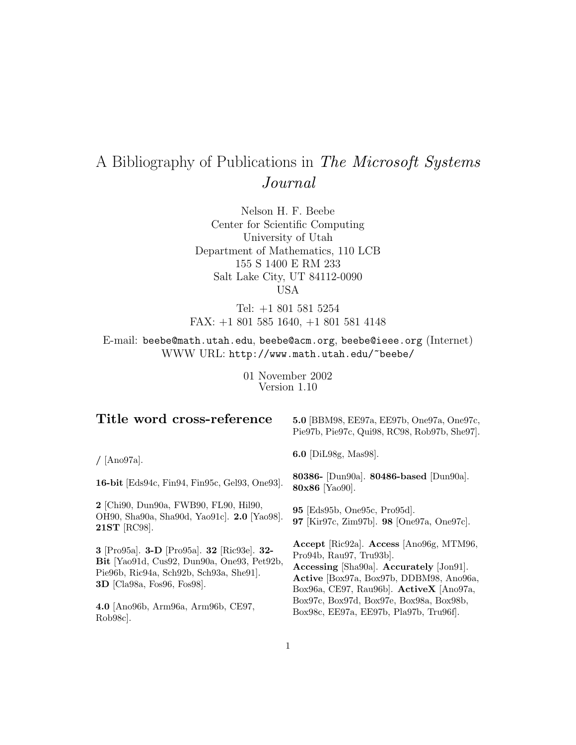# A Bibliography of Publications in The Microsoft Systems Journal

Nelson H. F. Beebe Center for Scientific Computing University of Utah Department of Mathematics, 110 LCB 155 S 1400 E RM 233 Salt Lake City, UT 84112-0090 USA

Tel: +1 801 581 5254 FAX: +1 801 585 1640, +1 801 581 4148

E-mail: beebe@math.utah.edu, beebe@acm.org, beebe@ieee.org (Internet) WWW URL: http://www.math.utah.edu/~beebe/

> 01 November 2002 Version 1.10

| Title word cross-reference                                                                                                                                         | 5.0 [BBM98, EE97a, EE97b, One97a, One97c,<br>Pie97b, Pie97c, Qui98, RC98, Rob97b, She97.                                                                                                                                                                   |
|--------------------------------------------------------------------------------------------------------------------------------------------------------------------|------------------------------------------------------------------------------------------------------------------------------------------------------------------------------------------------------------------------------------------------------------|
| $/$ [Ano97a].                                                                                                                                                      | <b>6.0</b> [DiL98g, Mas98].                                                                                                                                                                                                                                |
| 16-bit [Eds94c, Fin94, Fin95c, Gel93, One93].                                                                                                                      | 80386- [Dun90a]. 80486-based [Dun90a].<br>80x86 [Yao90].                                                                                                                                                                                                   |
| 2 [Chi90, Dun90a, FWB90, FL90, Hil90,<br>OH90, Sha90a, Sha90d, Yao91c]. 2.0 [Yao98].<br>21ST [RC98].                                                               | 95 [Eds95b, One95c, Pro95d].<br>97 [Kir97c, Zim97b]. 98 [One97a, One97c].                                                                                                                                                                                  |
| 3 [Pro95a]. 3-D [Pro95a]. 32 [Ric93e]. 32-<br>Bit [Yao91d, Cus92, Dun90a, One93, Pet92b,<br>Pie96b, Ric94a, Sch92b, Sch93a, She91.<br>$3D$ [Cla98a, Fos96, Fos98]. | Accept [Ric $92a$ ]. Access [Ano $96g$ , MTM $96$ ,<br>Pro94b, Rau97, Tru93b].<br>Accessing [Sha90a]. Accurately [Jon91].<br>Active [Box97a, Box97b, DDBM98, Ano96a,<br>Box96a, CE97, Rau96b]. ActiveX [Ano97a,<br>Box97c, Box97d, Box97e, Box98a, Box98b, |
| 4.0 Ano96b, Arm96a, Arm96b, CE97,<br>Rob <sub>98c</sub> .                                                                                                          | Box98c, EE97a, EE97b, Pla97b, Tru96f.                                                                                                                                                                                                                      |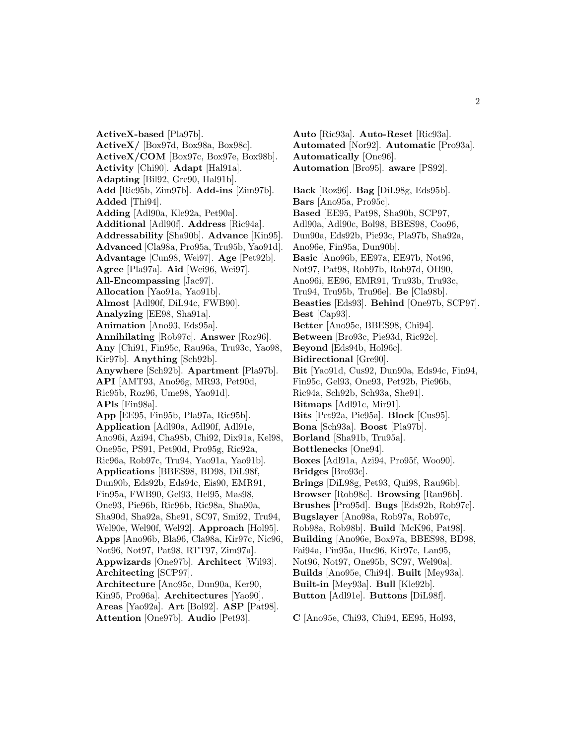**ActiveX-based** [Pla97b]. **ActiveX/** [Box97d, Box98a, Box98c]. **ActiveX/COM** [Box97c, Box97e, Box98b]. **Activity** [Chi90]. **Adapt** [Hal91a]. **Adapting** [Bil92, Gre90, Hal91b]. **Add** [Ric95b, Zim97b]. **Add-ins** [Zim97b]. **Added** [Thi94]. **Adding** [Adl90a, Kle92a, Pet90a]. **Additional** [Adl90f]. **Address** [Ric94a]. **Addressability** [Sha90b]. **Advance** [Kin95]. **Advanced** [Cla98a, Pro95a, Tru95b, Yao91d]. **Advantage** [Cun98, Wei97]. **Age** [Pet92b]. **Agree** [Pla97a]. **Aid** [Wei96, Wei97]. **All-Encompassing** [Jac97]. **Allocation** [Yao91a, Yao91b]. **Almost** [Adl90f, DiL94c, FWB90]. **Analyzing** [EE98, Sha91a]. **Animation** [Ano93, Eds95a]. **Annihilating** [Rob97c]. **Answer** [Roz96]. **Any** [Chi91, Fin95c, Rau96a, Tru93c, Yao98, Kir97b]. **Anything** [Sch92b]. **Anywhere** [Sch92b]. **Apartment** [Pla97b]. **API** [AMT93, Ano96g, MR93, Pet90d, Ric95b, Roz96, Ume98, Yao91d]. **APls** [Fin98a]. **App** [EE95, Fin95b, Pla97a, Ric95b]. **Application** [Adl90a, Adl90f, Adl91e, Ano96i, Azi94, Cha98b, Chi92, Dix91a, Kel98, One95c, PS91, Pet90d, Pro95g, Ric92a, Ric96a, Rob97c, Tru94, Yao91a, Yao91b]. **Applications** [BBES98, BD98, DiL98f, Dun90b, Eds92b, Eds94c, Eis90, EMR91, Fin95a, FWB90, Gel93, Hel95, Mas98, One93, Pie96b, Ric96b, Ric98a, Sha90a, Sha90d, Sha92a, She91, SC97, Smi92, Tru94, Wel90e, Wel90f, Wel92]. **Approach** [Hol95]. **Apps** [Ano96b, Bla96, Cla98a, Kir97c, Nic96, Not96, Not97, Pat98, RTT97, Zim97a]. **Appwizards** [One97b]. **Architect** [Wil93]. **Architecting** [SCP97]. **Architecture** [Ano95c, Dun90a, Ker90, Kin95, Pro96a]. **Architectures** [Yao90]. **Areas** [Yao92a]. **Art** [Bol92]. **ASP** [Pat98].

**Attention** [One97b]. **Audio** [Pet93].

**Auto** [Ric93a]. **Auto-Reset** [Ric93a]. **Automated** [Nor92]. **Automatic** [Pro93a]. **Automatically** [One96]. **Automation** [Bro95]. **aware** [PS92].

**Back** [Roz96]. **Bag** [DiL98g, Eds95b]. **Bars** [Ano95a, Pro95c]. **Based** [EE95, Pat98, Sha90b, SCP97, Adl90a, Adl90c, Bol98, BBES98, Coo96, Dun90a, Eds92b, Pie93c, Pla97b, Sha92a, Ano96e, Fin95a, Dun90b]. **Basic** [Ano96b, EE97a, EE97b, Not96, Not97, Pat98, Rob97b, Rob97d, OH90, Ano96i, EE96, EMR91, Tru93b, Tru93c, Tru94, Tru95b, Tru96e]. **Be** [Cla98b]. **Beasties** [Eds93]. **Behind** [One97b, SCP97]. **Best** [Cap93]. **Better** [Ano95e, BBES98, Chi94]. **Between** [Bro93c, Pie93d, Ric92c]. **Beyond** [Eds94b, Hol96c]. **Bidirectional** [Gre90]. **Bit** [Yao91d, Cus92, Dun90a, Eds94c, Fin94, Fin95c, Gel93, One93, Pet92b, Pie96b, Ric94a, Sch92b, Sch93a, She91]. **Bitmaps** [Adl91c, Mir91]. **Bits** [Pet92a, Pie95a]. **Block** [Cus95]. **Bona** [Sch93a]. **Boost** [Pla97b]. **Borland** [Sha91b, Tru95a]. **Bottlenecks** [One94]. **Boxes** [Adl91a, Azi94, Pro95f, Woo90]. **Bridges** [Bro93c]. **Brings** [DiL98g, Pet93, Qui98, Rau96b]. **Browser** [Rob98c]. **Browsing** [Rau96b]. **Brushes** [Pro95d]. **Bugs** [Eds92b, Rob97c]. **Bugslayer** [Ano98a, Rob97a, Rob97c, Rob98a, Rob98b]. **Build** [McK96, Pat98]. **Building** [Ano96e, Box97a, BBES98, BD98, Fai94a, Fin95a, Huc96, Kir97c, Lan95, Not96, Not97, One95b, SC97, Wel90a]. **Builds** [Ano95e, Chi94]. **Built** [Mey93a]. **Built-in** [Mey93a]. **Bull** [Kle92b]. **Button** [Adl91e]. **Buttons** [DiL98f].

**C** [Ano95e, Chi93, Chi94, EE95, Hol93,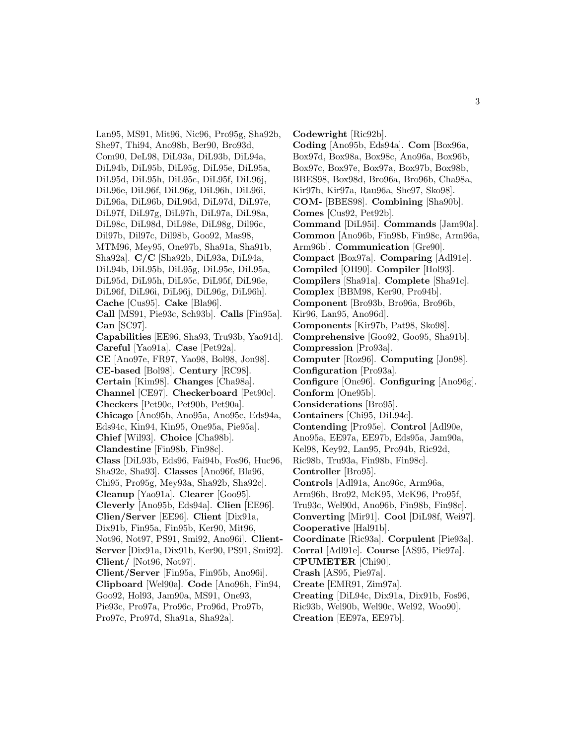Lan95, MS91, Mit96, Nic96, Pro95g, Sha92b, She97, Thi94, Ano98b, Ber90, Bro93d, Com90, DeL98, DiL93a, DiL93b, DiL94a, DiL94b, DiL95b, DiL95g, DiL95e, DiL95a, DiL95d, DiL95h, DiL95c, DiL95f, DiL96j, DiL96e, DiL96f, DiL96g, DiL96h, DiL96i, DiL96a, DiL96b, DiL96d, DiL97d, DiL97e, DiL97f, DiL97g, DiL97h, DiL97a, DiL98a, DiL98c, DiL98d, DiL98e, DiL98g, Dil96c, Dil97b, Dil97c, Dil98b, Goo92, Mas98, MTM96, Mey95, One97b, Sha91a, Sha91b, Sha92a]. **C/C** [Sha92b, DiL93a, DiL94a, DiL94b, DiL95b, DiL95g, DiL95e, DiL95a, DiL95d, DiL95h, DiL95c, DiL95f, DiL96e, DiL96f, DiL96i, DiL96j, DiL96g, DiL96h]. **Cache** [Cus95]. **Cake** [Bla96]. **Call** [MS91, Pie93c, Sch93b]. **Calls** [Fin95a]. **Can** [SC97]. **Capabilities** [EE96, Sha93, Tru93b, Yao91d]. **Careful** [Yao91a]. **Case** [Pet92a]. **CE** [Ano97e, FR97, Yao98, Bol98, Jon98]. **CE-based** [Bol98]. **Century** [RC98]. **Certain** [Kim98]. **Changes** [Cha98a]. **Channel** [CE97]. **Checkerboard** [Pet90c]. **Checkers** [Pet90c, Pet90b, Pet90a]. **Chicago** [Ano95b, Ano95a, Ano95c, Eds94a, Eds94c, Kin94, Kin95, One95a, Pie95a]. **Chief** [Wil93]. **Choice** [Cha98b]. **Clandestine** [Fin98b, Fin98c]. **Class** [DiL93b, Eds96, Fai94b, Fos96, Huc96, Sha92c, Sha93]. **Classes** [Ano96f, Bla96, Chi95, Pro95g, Mey93a, Sha92b, Sha92c]. **Cleanup** [Yao91a]. **Clearer** [Goo95]. **Cleverly** [Ano95b, Eds94a]. **Clien** [EE96]. **Clien/Server** [EE96]. **Client** [Dix91a, Dix91b, Fin95a, Fin95b, Ker90, Mit96, Not96, Not97, PS91, Smi92, Ano96i]. **Client-Server** [Dix91a, Dix91b, Ker90, PS91, Smi92]. **Client/** [Not96, Not97]. **Client/Server** [Fin95a, Fin95b, Ano96i]. **Clipboard** [Wel90a]. **Code** [Ano96h, Fin94, Goo92, Hol93, Jam90a, MS91, One93, Pie93c, Pro97a, Pro96c, Pro96d, Pro97b, Pro97c, Pro97d, Sha91a, Sha92a].

**Codewright** [Ric92b]. **Coding** [Ano95b, Eds94a]. **Com** [Box96a, Box97d, Box98a, Box98c, Ano96a, Box96b, Box97c, Box97e, Box97a, Box97b, Box98b, BBES98, Box98d, Bro96a, Bro96b, Cha98a, Kir97b, Kir97a, Rau96a, She97, Sko98]. **COM-** [BBES98]. **Combining** [Sha90b]. **Comes** [Cus92, Pet92b]. **Command** [DiL95i]. **Commands** [Jam90a]. **Common** [Ano96b, Fin98b, Fin98c, Arm96a, Arm96b]. **Communication** [Gre90]. **Compact** [Box97a]. **Comparing** [Adl91e]. **Compiled** [OH90]. **Compiler** [Hol93]. **Compilers** [Sha91a]. **Complete** [Sha91c]. **Complex** [BBM98, Ker90, Pro94b]. **Component** [Bro93b, Bro96a, Bro96b, Kir96, Lan95, Ano96d]. **Components** [Kir97b, Pat98, Sko98]. **Comprehensive** [Goo92, Goo95, Sha91b]. **Compression** [Pro93a]. **Computer** [Roz96]. **Computing** [Jon98]. **Configuration** [Pro93a]. **Configure** [One96]. **Configuring** [Ano96g]. **Conform** [One95b]. **Considerations** [Bro95]. **Containers** [Chi95, DiL94c]. **Contending** [Pro95e]. **Control** [Adl90e, Ano95a, EE97a, EE97b, Eds95a, Jam90a, Kel98, Key92, Lan95, Pro94b, Ric92d, Ric98b, Tru93a, Fin98b, Fin98c]. **Controller** [Bro95]. **Controls** [Adl91a, Ano96c, Arm96a, Arm96b, Bro92, McK95, McK96, Pro95f, Tru93c, Wel90d, Ano96b, Fin98b, Fin98c]. **Converting** [Mir91]. **Cool** [DiL98f, Wei97]. **Cooperative** [Hal91b]. **Coordinate** [Ric93a]. **Corpulent** [Pie93a]. **Corral** [Adl91e]. **Course** [AS95, Pie97a]. **CPUMETER** [Chi90]. **Crash** [AS95, Pie97a]. **Create** [EMR91, Zim97a]. **Creating** [DiL94c, Dix91a, Dix91b, Fos96, Ric93b, Wel90b, Wel90c, Wel92, Woo90].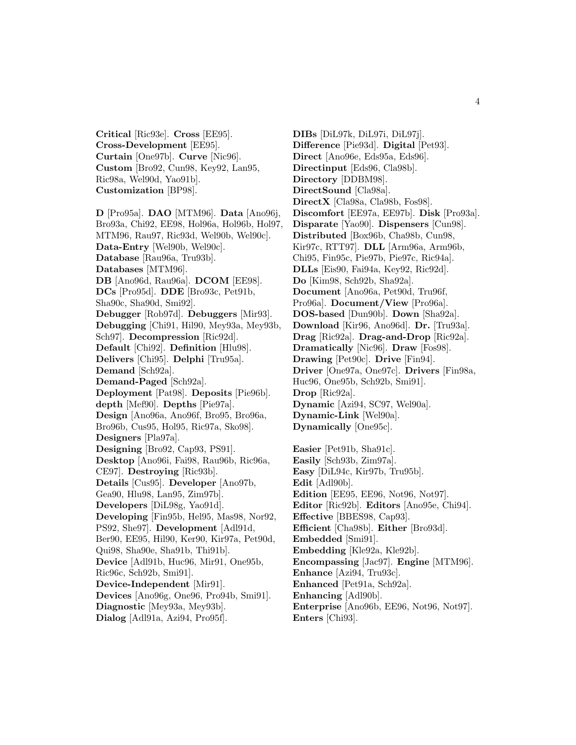**Critical** [Ric93e]. **Cross** [EE95]. **Cross-Development** [EE95]. **Curtain** [One97b]. **Curve** [Nic96]. **Custom** [Bro92, Cun98, Key92, Lan95, Ric98a, Wel90d, Yao91b]. **Customization** [BP98].

**D** [Pro95a]. **DAO** [MTM96]. **Data** [Ano96j, Bro93a, Chi92, EE98, Hol96a, Hol96b, Hol97, MTM96, Rau97, Ric93d, Wel90b, Wel90c]. **Data-Entry** [Wel90b, Wel90c]. **Database** [Rau96a, Tru93b]. **Databases** [MTM96]. **DB** [Ano96d, Rau96a]. **DCOM** [EE98]. **DCs** [Pro95d]. **DDE** [Bro93c, Pet91b, Sha90c, Sha90d, Smi92]. **Debugger** [Rob97d]. **Debuggers** [Mir93]. **Debugging** [Chi91, Hil90, Mey93a, Mey93b, Sch97]. **Decompression** [Ric92d]. **Default** [Chi92]. **Definition** [Hlu98]. **Delivers** [Chi95]. **Delphi** [Tru95a]. **Demand** [Sch92a]. **Demand-Paged** [Sch92a]. **Deployment** [Pat98]. **Deposits** [Pie96b]. **depth** [Mef90]. **Depths** [Pie97a]. **Design** [Ano96a, Ano96f, Bro95, Bro96a, Bro96b, Cus95, Hol95, Ric97a, Sko98]. **Designers** [Pla97a]. **Designing** [Bro92, Cap93, PS91]. **Desktop** [Ano96i, Fai98, Rau96b, Ric96a, CE97]. **Destroying** [Ric93b]. **Details** [Cus95]. **Developer** [Ano97b, Gea90, Hlu98, Lan95, Zim97b]. **Developers** [DiL98g, Yao91d]. **Developing** [Fin95b, Hel95, Mas98, Nor92, PS92, She97]. **Development** [Adl91d, Ber90, EE95, Hil90, Ker90, Kir97a, Pet90d, Qui98, Sha90e, Sha91b, Thi91b]. **Device** [Adl91b, Huc96, Mir91, One95b, Ric96c, Sch92b, Smi91]. **Device-Independent** [Mir91]. **Devices** [Ano96g, One96, Pro94b, Smi91]. **Diagnostic** [Mey93a, Mey93b].

**Dialog** [Adl91a, Azi94, Pro95f].

**DIBs** [DiL97k, DiL97i, DiL97j]. **Difference** [Pie93d]. **Digital** [Pet93]. **Direct** [Ano96e, Eds95a, Eds96]. **Directinput** [Eds96, Cla98b]. **Directory** [DDBM98]. **DirectSound** [Cla98a]. **DirectX** [Cla98a, Cla98b, Fos98]. **Discomfort** [EE97a, EE97b]. **Disk** [Pro93a]. **Disparate** [Yao90]. **Dispensers** [Cun98]. **Distributed** [Box96b, Cha98b, Cun98, Kir97c, RTT97]. **DLL** [Arm96a, Arm96b, Chi95, Fin95c, Pie97b, Pie97c, Ric94a]. **DLLs** [Eis90, Fai94a, Key92, Ric92d]. **Do** [Kim98, Sch92b, Sha92a]. **Document** [Ano96a, Pet90d, Tru96f, Pro96a]. **Document/View** [Pro96a]. **DOS-based** [Dun90b]. **Down** [Sha92a]. **Download** [Kir96, Ano96d]. **Dr.** [Tru93a]. **Drag** [Ric92a]. **Drag-and-Drop** [Ric92a]. **Dramatically** [Nic96]. **Draw** [Fos98]. **Drawing** [Pet90c]. **Drive** [Fin94]. **Driver** [One97a, One97c]. **Drivers** [Fin98a, Huc96, One95b, Sch92b, Smi91]. **Drop** [Ric92a]. **Dynamic** [Azi94, SC97, Wel90a]. **Dynamic-Link** [Wel90a]. **Dynamically** [One95c].

**Easier** [Pet91b, Sha91c]. **Easily** [Sch93b, Zim97a]. **Easy** [DiL94c, Kir97b, Tru95b]. **Edit** [Adl90b]. **Edition** [EE95, EE96, Not96, Not97]. **Editor** [Ric92b]. **Editors** [Ano95e, Chi94]. **Effective** [BBES98, Cap93]. **Efficient** [Cha98b]. **Either** [Bro93d]. **Embedded** [Smi91]. **Embedding** [Kle92a, Kle92b]. **Encompassing** [Jac97]. **Engine** [MTM96]. **Enhance** [Azi94, Tru93c]. **Enhanced** [Pet91a, Sch92a]. **Enhancing** [Adl90b]. **Enterprise** [Ano96b, EE96, Not96, Not97]. **Enters** [Chi93].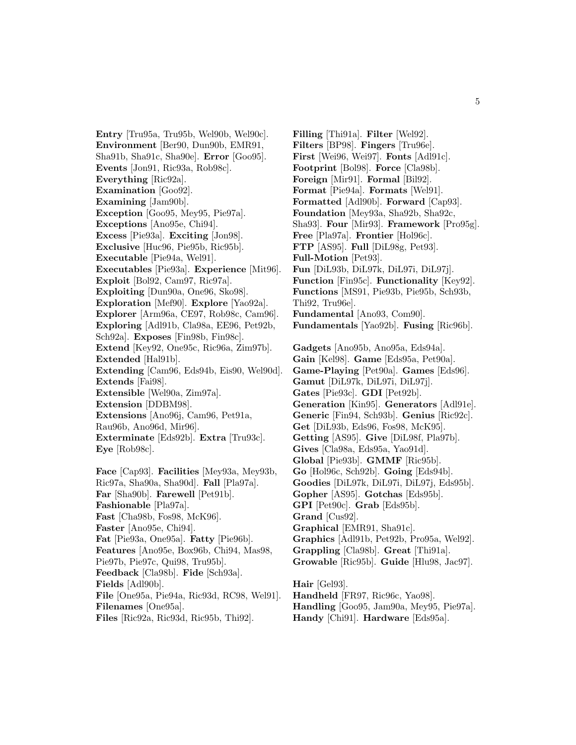**Entry** [Tru95a, Tru95b, Wel90b, Wel90c]. **Environment** [Ber90, Dun90b, EMR91, Sha91b, Sha91c, Sha90e]. **Error** [Goo95]. **Events** [Jon91, Ric93a, Rob98c]. **Everything** [Ric92a]. **Examination** [Goo92]. **Examining** [Jam90b]. **Exception** [Goo95, Mey95, Pie97a]. **Exceptions** [Ano95e, Chi94]. **Excess** [Pie93a]. **Exciting** [Jon98]. **Exclusive** [Huc96, Pie95b, Ric95b]. **Executable** [Pie94a, Wel91]. **Executables** [Pie93a]. **Experience** [Mit96]. **Exploit** [Bol92, Cam97, Ric97a]. **Exploiting** [Dun90a, One96, Sko98]. **Exploration** [Mef90]. **Explore** [Yao92a]. **Explorer** [Arm96a, CE97, Rob98c, Cam96]. **Exploring** [Adl91b, Cla98a, EE96, Pet92b, Sch92a]. **Exposes** [Fin98b, Fin98c]. **Extend** [Key92, One95c, Ric96a, Zim97b]. **Extended** [Hal91b]. **Extending** [Cam96, Eds94b, Eis90, Wel90d]. **Extends** [Fai98]. **Extensible** [Wel90a, Zim97a]. **Extension** [DDBM98]. **Extensions** [Ano96j, Cam96, Pet91a, Rau96b, Ano96d, Mir96]. **Exterminate** [Eds92b]. **Extra** [Tru93c]. **Eye** [Rob98c]. **Face** [Cap93]. **Facilities** [Mey93a, Mey93b, Ric97a, Sha90a, Sha90d]. **Fall** [Pla97a]. **Far** [Sha90b]. **Farewell** [Pet91b]. **Fashionable** [Pla97a]. **Fast** [Cha98b, Fos98, McK96]. **Faster** [Ano95e, Chi94].

**Fat** [Pie93a, One95a]. **Fatty** [Pie96b].

**Features** [Ano95e, Box96b, Chi94, Mas98,

Pie97b, Pie97c, Qui98, Tru95b].

**Feedback** [Cla98b]. **Fide** [Sch93a].

**Fields** [Adl90b].

**File** [One95a, Pie94a, Ric93d, RC98, Wel91].

**Filenames** [One95a].

**Files** [Ric92a, Ric93d, Ric95b, Thi92].

**Filling** [Thi91a]. **Filter** [Wel92]. **Filters** [BP98]. **Fingers** [Tru96e]. **First** [Wei96, Wei97]. **Fonts** [Adl91c]. **Footprint** [Bol98]. **Force** [Cla98b]. **Foreign** [Mir91]. **Formal** [Bil92]. **Format** [Pie94a]. **Formats** [Wel91]. **Formatted** [Adl90b]. **Forward** [Cap93]. **Foundation** [Mey93a, Sha92b, Sha92c, Sha93]. **Four** [Mir93]. **Framework** [Pro95g]. **Free** [Pla97a]. **Frontier** [Hol96c]. **FTP** [AS95]. **Full** [DiL98g, Pet93]. **Full-Motion** [Pet93]. **Fun** [DiL93b, DiL97k, DiL97i, DiL97j]. **Function** [Fin95c]. **Functionality** [Key92]. **Functions** [MS91, Pie93b, Pie95b, Sch93b, Thi92, Tru96e]. **Fundamental** [Ano93, Com90]. **Fundamentals** [Yao92b]. **Fusing** [Ric96b].

**Gadgets** [Ano95b, Ano95a, Eds94a]. **Gain** [Kel98]. **Game** [Eds95a, Pet90a]. **Game-Playing** [Pet90a]. **Games** [Eds96]. **Gamut** [DiL97k, DiL97i, DiL97j]. **Gates** [Pie93c]. **GDI** [Pet92b]. **Generation** [Kin95]. **Generators** [Adl91e]. **Generic** [Fin94, Sch93b]. **Genius** [Ric92c]. **Get** [DiL93b, Eds96, Fos98, McK95]. **Getting** [AS95]. **Give** [DiL98f, Pla97b]. **Gives** [Cla98a, Eds95a, Yao91d]. **Global** [Pie93b]. **GMMF** [Ric95b]. **Go** [Hol96c, Sch92b]. **Going** [Eds94b]. **Goodies** [DiL97k, DiL97i, DiL97j, Eds95b]. **Gopher** [AS95]. **Gotchas** [Eds95b]. **GPI** [Pet90c]. **Grab** [Eds95b]. **Grand** [Cus92]. **Graphical** [EMR91, Sha91c]. **Graphics** [Adl91b, Pet92b, Pro95a, Wel92]. **Grappling** [Cla98b]. **Great** [Thi91a]. **Growable** [Ric95b]. **Guide** [Hlu98, Jac97]. **Hair** [Gel93]. **Handheld** [FR97, Ric96c, Yao98].

**Handling** [Goo95, Jam90a, Mey95, Pie97a]. **Handy** [Chi91]. **Hardware** [Eds95a].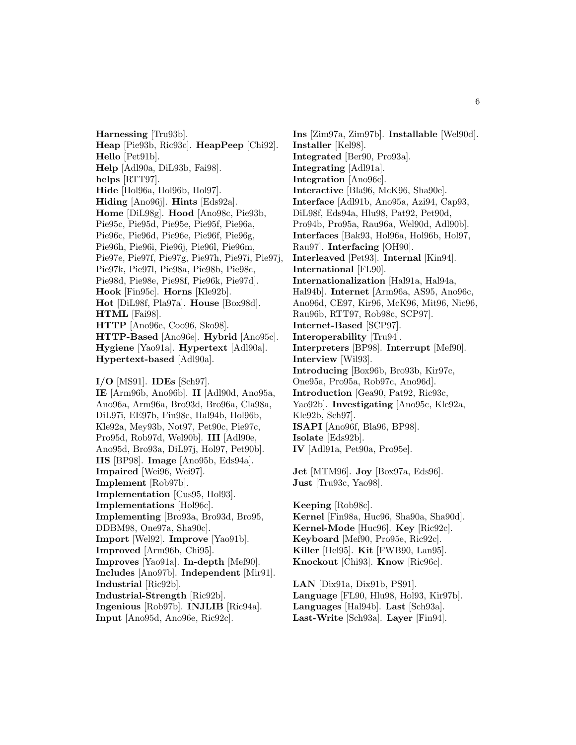**Harnessing** [Tru93b]. **Heap** [Pie93b, Ric93c]. **HeapPeep** [Chi92]. **Hello** [Pet91b]. **Help** [Adl90a, DiL93b, Fai98]. **helps** [RTT97]. **Hide** [Hol96a, Hol96b, Hol97]. **Hiding** [Ano96j]. **Hints** [Eds92a]. **Home** [DiL98g]. **Hood** [Ano98c, Pie93b, Pie95c, Pie95d, Pie95e, Pie95f, Pie96a, Pie96c, Pie96d, Pie96e, Pie96f, Pie96g, Pie96h, Pie96i, Pie96j, Pie96l, Pie96m, Pie97e, Pie97f, Pie97g, Pie97h, Pie97i, Pie97j, Pie97k, Pie97l, Pie98a, Pie98b, Pie98c, Pie98d, Pie98e, Pie98f, Pie96k, Pie97d]. **Hook** [Fin95c]. **Horns** [Kle92b]. **Hot** [DiL98f, Pla97a]. **House** [Box98d]. **HTML** [Fai98]. **HTTP** [Ano96e, Coo96, Sko98]. **HTTP-Based** [Ano96e]. **Hybrid** [Ano95c]. **Hygiene** [Yao91a]. **Hypertext** [Adl90a]. **Hypertext-based** [Adl90a]. **I/O** [MS91]. **IDEs** [Sch97]. **IE** [Arm96b, Ano96b]. **II** [Adl90d, Ano95a,

Ano96a, Arm96a, Bro93d, Bro96a, Cla98a, DiL97i, EE97b, Fin98c, Hal94b, Hol96b, Kle92a, Mey93b, Not97, Pet90c, Pie97c, Pro95d, Rob97d, Wel90b]. **III** [Adl90e, Ano95d, Bro93a, DiL97j, Hol97, Pet90b]. **IIS** [BP98]. **Image** [Ano95b, Eds94a]. **Impaired** [Wei96, Wei97]. **Implement** [Rob97b]. **Implementation** [Cus95, Hol93]. **Implementations** [Hol96c]. **Implementing** [Bro93a, Bro93d, Bro95, DDBM98, One97a, Sha90c]. **Import** [Wel92]. **Improve** [Yao91b]. **Improved** [Arm96b, Chi95]. **Improves** [Yao91a]. **In-depth** [Mef90]. **Includes** [Ano97b]. **Independent** [Mir91]. **Industrial** [Ric92b]. **Industrial-Strength** [Ric92b]. **Ingenious** [Rob97b]. **INJLIB** [Ric94a]. **Input** [Ano95d, Ano96e, Ric92c].

**Ins** [Zim97a, Zim97b]. **Installable** [Wel90d]. **Installer** [Kel98]. **Integrated** [Ber90, Pro93a]. **Integrating** [Adl91a]. **Integration** [Ano96c]. **Interactive** [Bla96, McK96, Sha90e]. **Interface** [Adl91b, Ano95a, Azi94, Cap93, DiL98f, Eds94a, Hlu98, Pat92, Pet90d, Pro94b, Pro95a, Rau96a, Wel90d, Adl90b]. **Interfaces** [Bak93, Hol96a, Hol96b, Hol97, Rau97]. **Interfacing** [OH90]. **Interleaved** [Pet93]. **Internal** [Kin94]. **International** [FL90]. **Internationalization** [Hal91a, Hal94a, Hal94b]. **Internet** [Arm96a, AS95, Ano96c, Ano96d, CE97, Kir96, McK96, Mit96, Nic96, Rau96b, RTT97, Rob98c, SCP97]. **Internet-Based** [SCP97]. **Interoperability** [Tru94]. **Interpreters** [BP98]. **Interrupt** [Mef90]. **Interview** [Wil93]. **Introducing** [Box96b, Bro93b, Kir97c, One95a, Pro95a, Rob97c, Ano96d]. **Introduction** [Gea90, Pat92, Ric93c, Yao92b]. **Investigating** [Ano95c, Kle92a, Kle92b, Sch97]. **ISAPI** [Ano96f, Bla96, BP98]. **Isolate** [Eds92b]. **IV** [Adl91a, Pet90a, Pro95e]. **Jet** [MTM96]. **Joy** [Box97a, Eds96].

**Just** [Tru93c, Yao98].

**Keeping** [Rob98c]. **Kernel** [Fin98a, Huc96, Sha90a, Sha90d]. **Kernel-Mode** [Huc96]. **Key** [Ric92c]. **Keyboard** [Mef90, Pro95e, Ric92c]. **Killer** [Hel95]. **Kit** [FWB90, Lan95]. **Knockout** [Chi93]. **Know** [Ric96c].

**LAN** [Dix91a, Dix91b, PS91]. **Language** [FL90, Hlu98, Hol93, Kir97b]. **Languages** [Hal94b]. **Last** [Sch93a]. **Last-Write** [Sch93a]. **Layer** [Fin94].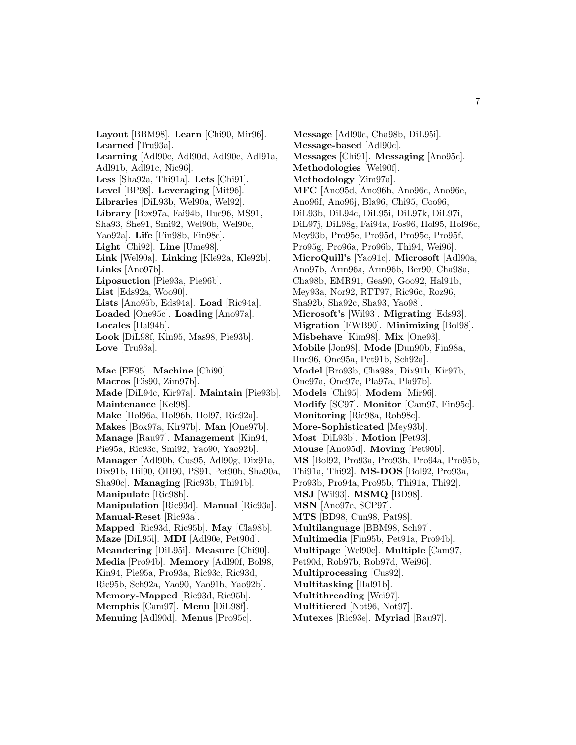**Layout** [BBM98]. **Learn** [Chi90, Mir96]. **Learned** [Tru93a]. **Learning** [Adl90c, Adl90d, Adl90e, Adl91a, Adl91b, Adl91c, Nic96]. **Less** [Sha92a, Thi91a]. **Lets** [Chi91]. **Level** [BP98]. **Leveraging** [Mit96]. **Libraries** [DiL93b, Wel90a, Wel92]. **Library** [Box97a, Fai94b, Huc96, MS91, Sha93, She91, Smi92, Wel90b, Wel90c, Yao92a]. **Life** [Fin98b, Fin98c]. **Light** [Chi92]. **Line** [Ume98]. **Link** [Wel90a]. **Linking** [Kle92a, Kle92b]. **Links** [Ano97b]. **Liposuction** [Pie93a, Pie96b]. **List** [Eds92a, Woo90]. **Lists** [Ano95b, Eds94a]. **Load** [Ric94a]. **Loaded** [One95c]. **Loading** [Ano97a]. **Locales** [Hal94b]. **Look** [DiL98f, Kin95, Mas98, Pie93b]. **Love** [Tru93a]. **Mac** [EE95]. **Machine** [Chi90]. **Macros** [Eis90, Zim97b]. **Made** [DiL94c, Kir97a]. **Maintain** [Pie93b]. **Maintenance** [Kel98]. **Make** [Hol96a, Hol96b, Hol97, Ric92a]. **Makes** [Box97a, Kir97b]. **Man** [One97b]. **Manage** [Rau97]. **Management** [Kin94, Pie95a, Ric93c, Smi92, Yao90, Yao92b]. **Manager** [Adl90b, Cus95, Adl90g, Dix91a, Dix91b, Hil90, OH90, PS91, Pet90b, Sha90a, Sha90c]. **Managing** [Ric93b, Thi91b]. **Manipulate** [Ric98b]. **Manipulation** [Ric93d]. **Manual** [Ric93a]. **Manual-Reset** [Ric93a]. **Mapped** [Ric93d, Ric95b]. **May** [Cla98b]. **Maze** [DiL95i]. **MDI** [Adl90e, Pet90d]. **Meandering** [DiL95i]. **Measure** [Chi90]. **Media** [Pro94b]. **Memory** [Adl90f, Bol98, Kin94, Pie95a, Pro93a, Ric93c, Ric93d, Ric95b, Sch92a, Yao90, Yao91b, Yao92b]. **Memory-Mapped** [Ric93d, Ric95b]. **Memphis** [Cam97]. **Menu** [DiL98f]. **Menuing** [Adl90d]. **Menus** [Pro95c].

**Message** [Adl90c, Cha98b, DiL95i]. **Message-based** [Adl90c]. **Messages** [Chi91]. **Messaging** [Ano95c]. **Methodologies** [Wel90f]. **Methodology** [Zim97a]. **MFC** [Ano95d, Ano96b, Ano96c, Ano96e, Ano96f, Ano96j, Bla96, Chi95, Coo96, DiL93b, DiL94c, DiL95i, DiL97k, DiL97i, DiL97j, DiL98g, Fai94a, Fos96, Hol95, Hol96c, Mey93b, Pro95e, Pro95d, Pro95c, Pro95f, Pro95g, Pro96a, Pro96b, Thi94, Wei96]. **MicroQuill's** [Yao91c]. **Microsoft** [Adl90a, Ano97b, Arm96a, Arm96b, Ber90, Cha98a, Cha98b, EMR91, Gea90, Goo92, Hal91b, Mey93a, Nor92, RTT97, Ric96c, Roz96, Sha92b, Sha92c, Sha93, Yao98]. **Microsoft's** [Wil93]. **Migrating** [Eds93]. **Migration** [FWB90]. **Minimizing** [Bol98]. **Misbehave** [Kim98]. **Mix** [One93]. **Mobile** [Jon98]. **Mode** [Dun90b, Fin98a, Huc96, One95a, Pet91b, Sch92a]. **Model** [Bro93b, Cha98a, Dix91b, Kir97b, One97a, One97c, Pla97a, Pla97b]. **Models** [Chi95]. **Modem** [Mir96]. **Modify** [SC97]. **Monitor** [Cam97, Fin95c]. **Monitoring** [Ric98a, Rob98c]. **More-Sophisticated** [Mey93b]. **Most** [DiL93b]. **Motion** [Pet93]. **Mouse** [Ano95d]. **Moving** [Pet90b]. **MS** [Bol92, Pro93a, Pro93b, Pro94a, Pro95b, Thi91a, Thi92]. **MS-DOS** [Bol92, Pro93a, Pro93b, Pro94a, Pro95b, Thi91a, Thi92]. **MSJ** [Wil93]. **MSMQ** [BD98]. **MSN** [Ano97e, SCP97]. **MTS** [BD98, Cun98, Pat98]. **Multilanguage** [BBM98, Sch97]. **Multimedia** [Fin95b, Pet91a, Pro94b]. **Multipage** [Wel90c]. **Multiple** [Cam97, Pet90d, Rob97b, Rob97d, Wei96]. **Multiprocessing** [Cus92]. **Multitasking** [Hal91b]. **Multithreading** [Wei97]. **Multitiered** [Not96, Not97].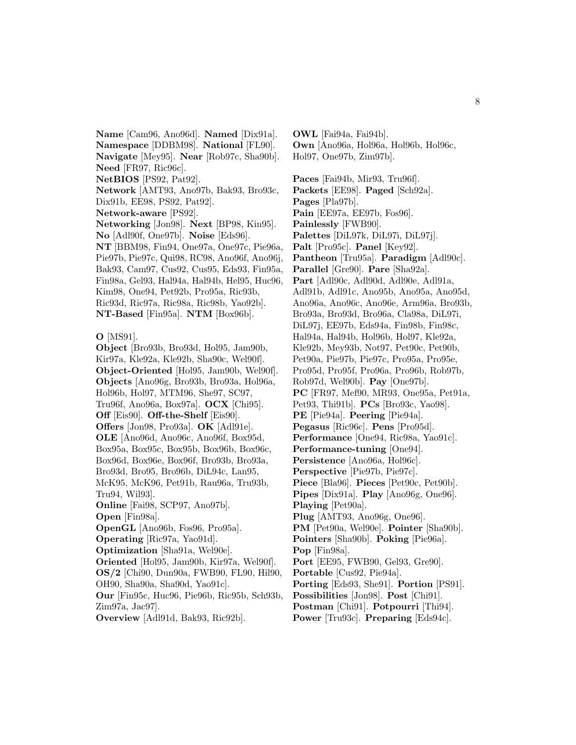**Name** [Cam96, Ano96d]. **Named** [Dix91a]. **Namespace** [DDBM98]. **National** [FL90]. **Navigate** [Mey95]. **Near** [Rob97c, Sha90b]. **Need** [FR97, Ric96c]. **NetBIOS** [PS92, Pat92]. **Network** [AMT93, Ano97b, Bak93, Bro93c, Dix91b, EE98, PS92, Pat92]. **Network-aware** [PS92]. **Networking** [Jon98]. **Next** [BP98, Kin95]. **No** [Adl90f, One97b]. **Noise** [Eds96]. **NT** [BBM98, Fin94, One97a, One97c, Pie96a, Pie97b, Pie97c, Qui98, RC98, Ano96f, Ano96j,

Bak93, Cam97, Cus92, Cus95, Eds93, Fin95a, Fin98a, Gel93, Hal94a, Hal94b, Hel95, Huc96, Kim98, One94, Pet92b, Pro95a, Ric93b, Ric93d, Ric97a, Ric98a, Ric98b, Yao92b]. **NT-Based** [Fin95a]. **NTM** [Box96b].

**O** [MS91].

**Object** [Bro93b, Bro93d, Hol95, Jam90b, Kir97a, Kle92a, Kle92b, Sha90c, Wel90f]. **Object-Oriented** [Hol95, Jam90b, Wel90f]. **Objects** [Ano96g, Bro93b, Bro93a, Hol96a, Hol96b, Hol97, MTM96, She97, SC97, Tru96f, Ano96a, Box97a]. **OCX** [Chi95]. **Off** [Eis90]. **Off-the-Shelf** [Eis90]. **Offers** [Jon98, Pro93a]. **OK** [Adl91e]. **OLE** [Ano96d, Ano96c, Ano96f, Box95d, Box95a, Box95c, Box95b, Box96b, Box96c, Box96d, Box96e, Box96f, Bro93b, Bro93a, Bro93d, Bro95, Bro96b, DiL94c, Lan95, McK95, McK96, Pet91b, Rau96a, Tru93b, Tru94, Wil93]. **Online** [Fai98, SCP97, Ano97b]. **Open** [Fin98a]. **OpenGL** [Ano96b, Fos96, Pro95a]. **Operating** [Ric97a, Yao91d]. **Optimization** [Sha91a, Wel90e]. **Oriented** [Hol95, Jam90b, Kir97a, Wel90f]. **OS/2** [Chi90, Dun90a, FWB90, FL90, Hil90, OH90, Sha90a, Sha90d, Yao91c]. **Our** [Fin95c, Huc96, Pie96b, Ric95b, Sch93b, Zim97a, Jac97]. **Overview** [Adl91d, Bak93, Ric92b].

**OWL** [Fai94a, Fai94b]. **Own** [Ano96a, Hol96a, Hol96b, Hol96c, Hol97, One97b, Zim97b]. **Paces** [Fai94b, Mir93, Tru96f]. **Packets** [EE98]. **Paged** [Sch92a]. **Pages** [Pla97b]. **Pain** [EE97a, EE97b, Fos96]. **Painlessly** [FWB90]. **Palettes** [DiL97k, DiL97i, DiL97j]. **Palt** [Pro95c]. **Panel** [Key92]. **Pantheon** [Tru95a]. **Paradigm** [Adl90c]. **Parallel** [Gre90]. **Pare** [Sha92a]. **Part** [Adl90c, Adl90d, Adl90e, Adl91a, Adl91b, Adl91c, Ano95b, Ano95a, Ano95d, Ano96a, Ano96c, Ano96e, Arm96a, Bro93b, Bro93a, Bro93d, Bro96a, Cla98a, DiL97i, DiL97j, EE97b, Eds94a, Fin98b, Fin98c, Hal94a, Hal94b, Hol96b, Hol97, Kle92a, Kle92b, Mey93b, Not97, Pet90c, Pet90b, Pet90a, Pie97b, Pie97c, Pro95a, Pro95e, Pro95d, Pro95f, Pro96a, Pro96b, Rob97b, Rob97d, Wel90b]. **Pay** [One97b]. **PC** [FR97, Mef90, MR93, One95a, Pet91a, Pet93, Thi91b]. **PCs** [Bro93c, Yao98]. **PE** [Pie94a]. **Peering** [Pie94a]. **Pegasus** [Ric96c]. **Pens** [Pro95d]. **Performance** [One94, Ric98a, Yao91c]. **Performance-tuning** [One94]. **Persistence** [Ano96a, Hol96c]. **Perspective** [Pie97b, Pie97c]. **Piece** [Bla96]. **Pieces** [Pet90c, Pet90b]. **Pipes** [Dix91a]. **Play** [Ano96g, One96]. **Playing** [Pet90a]. **Plug** [AMT93, Ano96g, One96]. **PM** [Pet90a, Wel90e]. **Pointer** [Sha90b]. **Pointers** [Sha90b]. **Poking** [Pie96a]. **Pop** [Fin98a]. **Port** [EE95, FWB90, Gel93, Gre90]. **Portable** [Cus92, Pie94a]. **Porting** [Eds93, She91]. **Portion** [PS91]. **Possibilities** [Jon98]. **Post** [Chi91]. **Postman** [Chi91]. **Potpourri** [Thi94].

**Power** [Tru93c]. **Preparing** [Eds94c].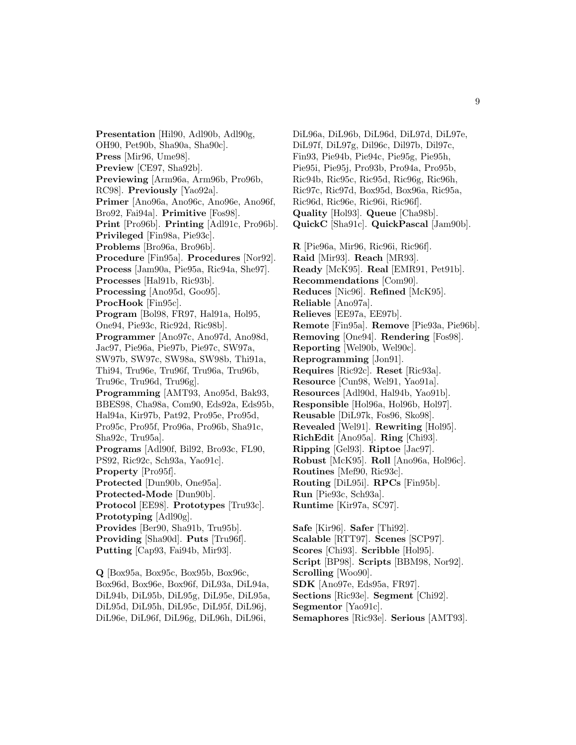**Presentation** [Hil90, Adl90b, Adl90g, OH90, Pet90b, Sha90a, Sha90c]. **Press** [Mir96, Ume98]. **Preview** [CE97, Sha92b]. **Previewing** [Arm96a, Arm96b, Pro96b, RC98]. **Previously** [Yao92a]. **Primer** [Ano96a, Ano96c, Ano96e, Ano96f, Bro92, Fai94a]. **Primitive** [Fos98]. **Print** [Pro96b]. **Printing** [Adl91c, Pro96b]. **Privileged** [Fin98a, Pie93c]. **Problems** [Bro96a, Bro96b]. **Procedure** [Fin95a]. **Procedures** [Nor92]. **Process** [Jam90a, Pie95a, Ric94a, She97]. **Processes** [Hal91b, Ric93b]. **Processing** [Ano95d, Goo95]. **ProcHook** [Fin95c]. **Program** [Bol98, FR97, Hal91a, Hol95, One94, Pie93c, Ric92d, Ric98b]. **Programmer** [Ano97c, Ano97d, Ano98d, Jac97, Pie96a, Pie97b, Pie97c, SW97a, SW97b, SW97c, SW98a, SW98b, Thi91a, Thi94, Tru96e, Tru96f, Tru96a, Tru96b, Tru96c, Tru96d, Tru96g]. **Programming** [AMT93, Ano95d, Bak93, BBES98, Cha98a, Com90, Eds92a, Eds95b, Hal94a, Kir97b, Pat92, Pro95e, Pro95d, Pro95c, Pro95f, Pro96a, Pro96b, Sha91c, Sha92c, Tru95a]. **Programs** [Adl90f, Bil92, Bro93c, FL90, PS92, Ric92c, Sch93a, Yao91c]. **Property** [Pro95f]. **Protected** [Dun90b, One95a]. **Protected-Mode** [Dun90b]. **Protocol** [EE98]. **Prototypes** [Tru93c]. **Prototyping** [Adl90g]. **Provides** [Ber90, Sha91b, Tru95b]. **Providing** [Sha90d]. **Puts** [Tru96f]. **Putting** [Cap93, Fai94b, Mir93].

**Q** [Box95a, Box95c, Box95b, Box96c, Box96d, Box96e, Box96f, DiL93a, DiL94a, DiL94b, DiL95b, DiL95g, DiL95e, DiL95a, DiL95d, DiL95h, DiL95c, DiL95f, DiL96j, DiL96e, DiL96f, DiL96g, DiL96h, DiL96i,

DiL96a, DiL96b, DiL96d, DiL97d, DiL97e, DiL97f, DiL97g, Dil96c, Dil97b, Dil97c, Fin93, Pie94b, Pie94c, Pie95g, Pie95h, Pie95i, Pie95j, Pro93b, Pro94a, Pro95b, Ric94b, Ric95c, Ric95d, Ric96g, Ric96h, Ric97c, Ric97d, Box95d, Box96a, Ric95a, Ric96d, Ric96e, Ric96i, Ric96f]. **Quality** [Hol93]. **Queue** [Cha98b]. **QuickC** [Sha91c]. **QuickPascal** [Jam90b]. **R** [Pie96a, Mir96, Ric96i, Ric96f]. **Raid** [Mir93]. **Reach** [MR93]. **Ready** [McK95]. **Real** [EMR91, Pet91b]. **Recommendations** [Com90]. **Reduces** [Nic96]. **Refined** [McK95]. **Reliable** [Ano97a]. **Relieves** [EE97a, EE97b]. **Remote** [Fin95a]. **Remove** [Pie93a, Pie96b]. **Removing** [One94]. **Rendering** [Fos98]. **Reporting** [Wel90b, Wel90c]. **Reprogramming** [Jon91]. **Requires** [Ric92c]. **Reset** [Ric93a]. **Resource** [Cun98, Wel91, Yao91a]. **Resources** [Adl90d, Hal94b, Yao91b]. **Responsible** [Hol96a, Hol96b, Hol97]. **Reusable** [DiL97k, Fos96, Sko98]. **Revealed** [Wel91]. **Rewriting** [Hol95]. **RichEdit** [Ano95a]. **Ring** [Chi93]. **Ripping** [Gel93]. **Riptoe** [Jac97]. **Robust** [McK95]. **Roll** [Ano96a, Hol96c]. **Routines** [Mef90, Ric93c]. **Routing** [DiL95i]. **RPCs** [Fin95b]. **Run** [Pie93c, Sch93a]. **Runtime** [Kir97a, SC97]. **Safe** [Kir96]. **Safer** [Thi92]. **Scalable** [RTT97]. **Scenes** [SCP97]. **Scores** [Chi93]. **Scribble** [Hol95].

**Script** [BP98]. **Scripts** [BBM98, Nor92].

**Scrolling** [Woo90].

**SDK** [Ano97e, Eds95a, FR97].

**Sections** [Ric93e]. **Segment** [Chi92].

**Segmentor** [Yao91c].

**Semaphores** [Ric93e]. **Serious** [AMT93].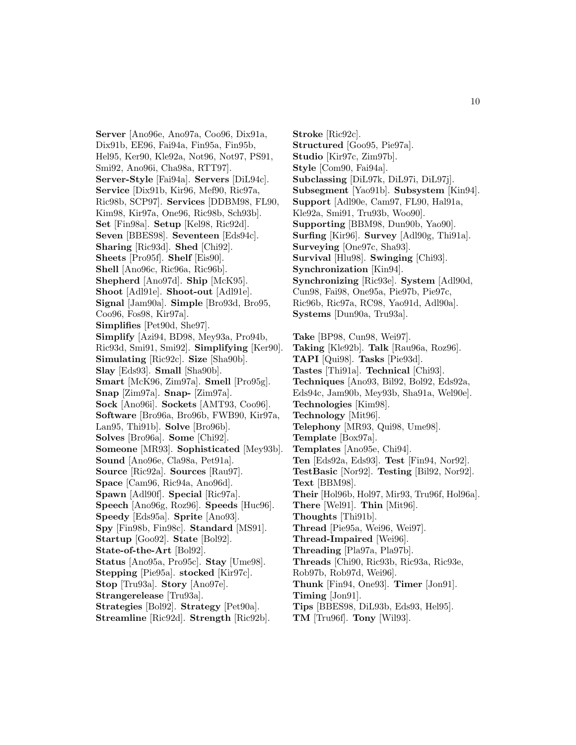**Server** [Ano96e, Ano97a, Coo96, Dix91a, Dix91b, EE96, Fai94a, Fin95a, Fin95b, Hel95, Ker90, Kle92a, Not96, Not97, PS91, Smi92, Ano96i, Cha98a, RTT97]. **Server-Style** [Fai94a]. **Servers** [DiL94c]. **Service** [Dix91b, Kir96, Mef90, Ric97a, Ric98b, SCP97]. **Services** [DDBM98, FL90, Kim98, Kir97a, One96, Ric98b, Sch93b]. **Set** [Fin98a]. **Setup** [Kel98, Ric92d]. **Seven** [BBES98]. **Seventeen** [Eds94c]. **Sharing** [Ric93d]. **Shed** [Chi92]. **Sheets** [Pro95f]. **Shelf** [Eis90]. **Shell** [Ano96c, Ric96a, Ric96b]. **Shepherd** [Ano97d]. **Ship** [McK95]. **Shoot** [Adl91e]. **Shoot-out** [Adl91e]. **Signal** [Jam90a]. **Simple** [Bro93d, Bro95, Coo96, Fos98, Kir97a]. **Simplifies** [Pet90d, She97]. **Simplify** [Azi94, BD98, Mey93a, Pro94b, Ric93d, Smi91, Smi92]. **Simplifying** [Ker90]. **Simulating** [Ric92c]. **Size** [Sha90b]. **Slay** [Eds93]. **Small** [Sha90b]. **Smart** [McK96, Zim97a]. **Smell** [Pro95g]. **Snap** [Zim97a]. **Snap-** [Zim97a]. **Sock** [Ano96i]. **Sockets** [AMT93, Coo96]. **Software** [Bro96a, Bro96b, FWB90, Kir97a, Lan95, Thi91b]. **Solve** [Bro96b]. **Solves** [Bro96a]. **Some** [Chi92]. **Someone** [MR93]. **Sophisticated** [Mey93b]. **Sound** [Ano96e, Cla98a, Pet91a]. **Source** [Ric92a]. **Sources** [Rau97]. **Space** [Cam96, Ric94a, Ano96d]. **Spawn** [Adl90f]. **Special** [Ric97a]. **Speech** [Ano96g, Roz96]. **Speeds** [Huc96]. **Speedy** [Eds95a]. **Sprite** [Ano93]. **Spy** [Fin98b, Fin98c]. **Standard** [MS91]. **Startup** [Goo92]. **State** [Bol92]. **State-of-the-Art** [Bol92]. **Status** [Ano95a, Pro95c]. **Stay** [Ume98]. **Stepping** [Pie95a]. **stocked** [Kir97c]. **Stop** [Tru93a]. **Story** [Ano97e]. **Strangerelease** [Tru93a]. **Strategies** [Bol92]. **Strategy** [Pet90a]. **Streamline** [Ric92d]. **Strength** [Ric92b].

**Stroke** [Ric92c]. **Structured** [Goo95, Pie97a]. **Studio** [Kir97c, Zim97b]. **Style** [Com90, Fai94a]. **Subclassing** [DiL97k, DiL97i, DiL97j]. **Subsegment** [Yao91b]. **Subsystem** [Kin94]. **Support** [Adl90e, Cam97, FL90, Hal91a, Kle92a, Smi91, Tru93b, Woo90]. **Supporting** [BBM98, Dun90b, Yao90]. **Surfing** [Kir96]. **Survey** [Adl90g, Thi91a]. **Surveying** [One97c, Sha93]. **Survival** [Hlu98]. **Swinging** [Chi93]. **Synchronization** [Kin94]. **Synchronizing** [Ric93e]. **System** [Adl90d, Cun98, Fai98, One95a, Pie97b, Pie97c, Ric96b, Ric97a, RC98, Yao91d, Adl90a]. **Systems** [Dun90a, Tru93a]. **Take** [BP98, Cun98, Wei97]. **Taking** [Kle92b]. **Talk** [Rau96a, Roz96]. **TAPI** [Qui98]. **Tasks** [Pie93d]. **Tastes** [Thi91a]. **Technical** [Chi93]. **Techniques** [Ano93, Bil92, Bol92, Eds92a, Eds94c, Jam90b, Mey93b, Sha91a, Wel90e]. **Technologies** [Kim98]. **Technology** [Mit96]. **Telephony** [MR93, Qui98, Ume98]. **Template** [Box97a].

- **Templates** [Ano95e, Chi94].
- **Ten** [Eds92a, Eds93]. **Test** [Fin94, Nor92].
- **TestBasic** [Nor92]. **Testing** [Bil92, Nor92]. **Text** [BBM98].
- **Their** [Hol96b, Hol97, Mir93, Tru96f, Hol96a].
- **There** [Wel91]. **Thin** [Mit96].
- **Thoughts** [Thi91b].
- **Thread** [Pie95a, Wei96, Wei97].
- **Thread-Impaired** [Wei96].
- **Threading** [Pla97a, Pla97b].
- **Threads** [Chi90, Ric93b, Ric93a, Ric93e,
- Rob97b, Rob97d, Wei96].
- **Thunk** [Fin94, One93]. **Timer** [Jon91].
- **Timing** [Jon91].
- **Tips** [BBES98, DiL93b, Eds93, Hel95].
- **TM** [Tru96f]. **Tony** [Wil93].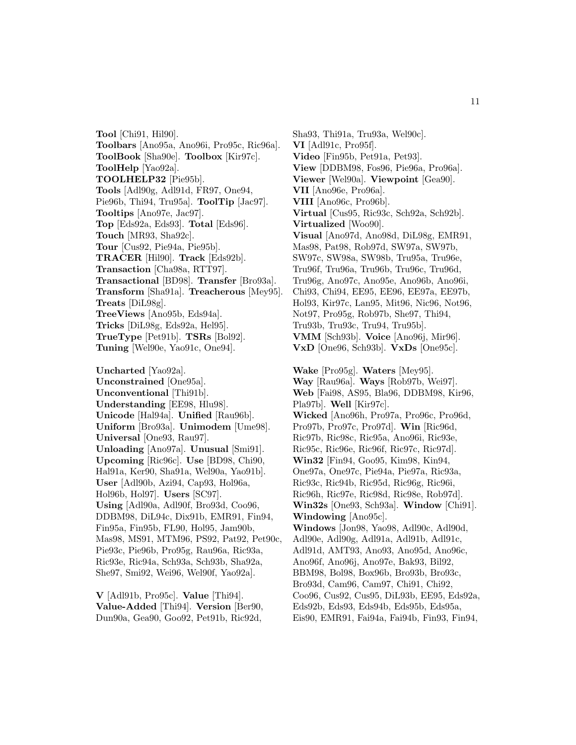**Tool** [Chi91, Hil90]. **Toolbars** [Ano95a, Ano96i, Pro95c, Ric96a]. **ToolBook** [Sha90e]. **Toolbox** [Kir97c]. **ToolHelp** [Yao92a]. **TOOLHELP32** [Pie95b]. **Tools** [Adl90g, Adl91d, FR97, One94, Pie96b, Thi94, Tru95a]. **ToolTip** [Jac97]. **Tooltips** [Ano97e, Jac97]. **Top** [Eds92a, Eds93]. **Total** [Eds96]. **Touch** [MR93, Sha92c]. **Tour** [Cus92, Pie94a, Pie95b]. **TRACER** [Hil90]. **Track** [Eds92b]. **Transaction** [Cha98a, RTT97]. **Transactional** [BD98]. **Transfer** [Bro93a]. **Transform** [Sha91a]. **Treacherous** [Mey95]. **Treats** [DiL98g]. **TreeViews** [Ano95b, Eds94a]. **Tricks** [DiL98g, Eds92a, Hel95]. **TrueType** [Pet91b]. **TSRs** [Bol92]. **Tuning** [Wel90e, Yao91c, One94]. **Uncharted** [Yao92a]. **Unconstrained** [One95a]. **Unconventional** [Thi91b]. **Understanding** [EE98, Hlu98]. **Unicode** [Hal94a]. **Unified** [Rau96b]. **Uniform** [Bro93a]. **Unimodem** [Ume98]. **Universal** [One93, Rau97]. **Unloading** [Ano97a]. **Unusual** [Smi91]. **Upcoming** [Ric96c]. **Use** [BD98, Chi90, Hal91a, Ker90, Sha91a, Wel90a, Yao91b]. **User** [Adl90b, Azi94, Cap93, Hol96a, Hol96b, Hol97]. **Users** [SC97]. **Using** [Adl90a, Adl90f, Bro93d, Coo96, DDBM98, DiL94c, Dix91b, EMR91, Fin94, Fin95a, Fin95b, FL90, Hol95, Jam90b, Mas98, MS91, MTM96, PS92, Pat92, Pet90c, Pie93c, Pie96b, Pro95g, Rau96a, Ric93a, Ric93e, Ric94a, Sch93a, Sch93b, Sha92a, She97, Smi92, Wei96, Wel90f, Yao92a].

**V** [Adl91b, Pro95c]. **Value** [Thi94]. **Value-Added** [Thi94]. **Version** [Ber90, Dun90a, Gea90, Goo92, Pet91b, Ric92d,

Sha93, Thi91a, Tru93a, Wel90c]. **VI** [Adl91c, Pro95f]. **Video** [Fin95b, Pet91a, Pet93]. **View** [DDBM98, Fos96, Pie96a, Pro96a]. **Viewer** [Wel90a]. **Viewpoint** [Gea90]. **VII** [Ano96e, Pro96a]. **VIII** [Ano96c, Pro96b]. **Virtual** [Cus95, Ric93c, Sch92a, Sch92b]. **Virtualized** [Woo90]. **Visual** [Ano97d, Ano98d, DiL98g, EMR91, Mas98, Pat98, Rob97d, SW97a, SW97b, SW97c, SW98a, SW98b, Tru95a, Tru96e, Tru96f, Tru96a, Tru96b, Tru96c, Tru96d, Tru96g, Ano97c, Ano95e, Ano96b, Ano96i, Chi93, Chi94, EE95, EE96, EE97a, EE97b, Hol93, Kir97c, Lan95, Mit96, Nic96, Not96, Not97, Pro95g, Rob97b, She97, Thi94, Tru93b, Tru93c, Tru94, Tru95b]. **VMM** [Sch93b]. **Voice** [Ano96j, Mir96]. **VxD** [One96, Sch93b]. **VxDs** [One95c]. **Wake** [Pro95g]. **Waters** [Mey95]. **Way** [Rau96a]. **Ways** [Rob97b, Wei97]. **Web** [Fai98, AS95, Bla96, DDBM98, Kir96, Pla97b]. **Well** [Kir97c]. **Wicked** [Ano96h, Pro97a, Pro96c, Pro96d, Pro97b, Pro97c, Pro97d]. **Win** [Ric96d, Ric97b, Ric98c, Ric95a, Ano96i, Ric93e, Ric95c, Ric96e, Ric96f, Ric97c, Ric97d]. **Win32** [Fin94, Goo95, Kim98, Kin94, One97a, One97c, Pie94a, Pie97a, Ric93a, Ric93c, Ric94b, Ric95d, Ric96g, Ric96i, Ric96h, Ric97e, Ric98d, Ric98e, Rob97d]. **Win32s** [One93, Sch93a]. **Window** [Chi91]. **Windowing** [Ano95c]. **Windows** [Jon98, Yao98, Adl90c, Adl90d, Adl90e, Adl90g, Adl91a, Adl91b, Adl91c, Adl91d, AMT93, Ano93, Ano95d, Ano96c, Ano96f, Ano96j, Ano97e, Bak93, Bil92, BBM98, Bol98, Box96b, Bro93b, Bro93c, Bro93d, Cam96, Cam97, Chi91, Chi92, Coo96, Cus92, Cus95, DiL93b, EE95, Eds92a, Eds92b, Eds93, Eds94b, Eds95b, Eds95a,

Eis90, EMR91, Fai94a, Fai94b, Fin93, Fin94,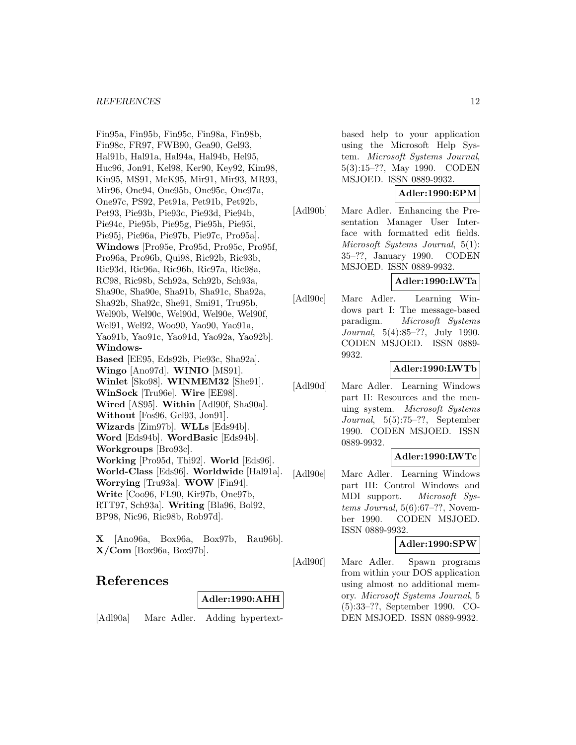Fin95a, Fin95b, Fin95c, Fin98a, Fin98b, Fin98c, FR97, FWB90, Gea90, Gel93, Hal91b, Hal91a, Hal94a, Hal94b, Hel95, Huc96, Jon91, Kel98, Ker90, Key92, Kim98, Kin95, MS91, McK95, Mir91, Mir93, MR93, Mir96, One94, One95b, One95c, One97a, One97c, PS92, Pet91a, Pet91b, Pet92b, Pet93, Pie93b, Pie93c, Pie93d, Pie94b, Pie94c, Pie95b, Pie95g, Pie95h, Pie95i, Pie95j, Pie96a, Pie97b, Pie97c, Pro95a]. **Windows** [Pro95e, Pro95d, Pro95c, Pro95f, Pro96a, Pro96b, Qui98, Ric92b, Ric93b, Ric93d, Ric96a, Ric96b, Ric97a, Ric98a, RC98, Ric98b, Sch92a, Sch92b, Sch93a, Sha90c, Sha90e, Sha91b, Sha91c, Sha92a, Sha92b, Sha92c, She91, Smi91, Tru95b, Wel90b, Wel90c, Wel90d, Wel90e, Wel90f, Wel91, Wel92, Woo90, Yao90, Yao91a, Yao91b, Yao91c, Yao91d, Yao92a, Yao92b]. **Windows-Based** [EE95, Eds92b, Pie93c, Sha92a]. **Wingo** [Ano97d]. **WINIO** [MS91]. **Winlet** [Sko98]. **WINMEM32** [She91]. **WinSock** [Tru96e]. **Wire** [EE98]. **Wired** [AS95]. **Within** [Adl90f, Sha90a]. **Without** [Fos96, Gel93, Jon91]. **Wizards** [Zim97b]. **WLLs** [Eds94b]. **Word** [Eds94b]. **WordBasic** [Eds94b]. **Workgroups** [Bro93c]. **Working** [Pro95d, Thi92]. **World** [Eds96]. **World-Class** [Eds96]. **Worldwide** [Hal91a]. **Worrying** [Tru93a]. **WOW** [Fin94]. **Write** [Coo96, FL90, Kir97b, One97b, RTT97, Sch93a]. **Writing** [Bla96, Bol92, BP98, Nic96, Ric98b, Rob97d].

**X** [Ano96a, Box96a, Box97b, Rau96b]. **X/Com** [Box96a, Box97b].

## **References**

### **Adler:1990:AHH**

[Adl90a] Marc Adler. Adding hypertext-

based help to your application using the Microsoft Help System. Microsoft Systems Journal, 5(3):15–??, May 1990. CODEN MSJOED. ISSN 0889-9932.

### **Adler:1990:EPM**

[Adl90b] Marc Adler. Enhancing the Presentation Manager User Interface with formatted edit fields. Microsoft Systems Journal, 5(1): 35–??, January 1990. CODEN MSJOED. ISSN 0889-9932.

## **Adler:1990:LWTa**

[Adl90c] Marc Adler. Learning Windows part I: The message-based paradigm. Microsoft Systems Journal, 5(4):85–??, July 1990. CODEN MSJOED. ISSN 0889- 9932.

### **Adler:1990:LWTb**

[Adl90d] Marc Adler. Learning Windows part II: Resources and the menuing system. Microsoft Systems Journal, 5(5):75–??, September 1990. CODEN MSJOED. ISSN 0889-9932.

### **Adler:1990:LWTc**

[Adl90e] Marc Adler. Learning Windows part III: Control Windows and MDI support. Microsoft Systems Journal,  $5(6):67-??$ , November 1990. CODEN MSJOED. ISSN 0889-9932.

### **Adler:1990:SPW**

[Adl90f] Marc Adler. Spawn programs from within your DOS application using almost no additional memory. Microsoft Systems Journal, 5 (5):33–??, September 1990. CO-DEN MSJOED. ISSN 0889-9932.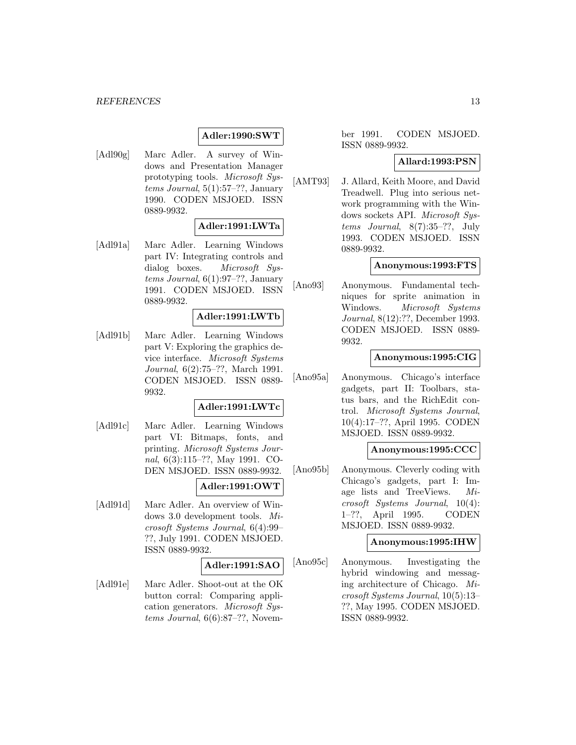## **Adler:1990:SWT**

[Adl90g] Marc Adler. A survey of Windows and Presentation Manager prototyping tools. Microsoft Systems Journal, 5(1):57–??, January 1990. CODEN MSJOED. ISSN 0889-9932.

### **Adler:1991:LWTa**

[Adl91a] Marc Adler. Learning Windows part IV: Integrating controls and dialog boxes. Microsoft Sys $tems\ Journal, 6(1):97-??, January$ 1991. CODEN MSJOED. ISSN 0889-9932.

### **Adler:1991:LWTb**

[Adl91b] Marc Adler. Learning Windows part V: Exploring the graphics device interface. Microsoft Systems Journal, 6(2):75–??, March 1991. CODEN MSJOED. ISSN 0889- 9932.

### **Adler:1991:LWTc**

[Adl91c] Marc Adler. Learning Windows part VI: Bitmaps, fonts, and printing. Microsoft Systems Journal, 6(3):115–??, May 1991. CO-DEN MSJOED. ISSN 0889-9932.

### **Adler:1991:OWT**

[Adl91d] Marc Adler. An overview of Windows 3.0 development tools. Microsoft Systems Journal, 6(4):99– ??, July 1991. CODEN MSJOED. ISSN 0889-9932.

#### **Adler:1991:SAO**

[Adl91e] Marc Adler. Shoot-out at the OK button corral: Comparing application generators. Microsoft Systems Journal, 6(6):87–??, Novem-

ber 1991. CODEN MSJOED. ISSN 0889-9932.

#### **Allard:1993:PSN**

[AMT93] J. Allard, Keith Moore, and David Treadwell. Plug into serious network programming with the Windows sockets API. Microsoft Systems Journal, 8(7):35–??, July 1993. CODEN MSJOED. ISSN 0889-9932.

### **Anonymous:1993:FTS**

[Ano93] Anonymous. Fundamental techniques for sprite animation in Windows. Microsoft Systems Journal, 8(12):??, December 1993. CODEN MSJOED. ISSN 0889- 9932.

## **Anonymous:1995:CIG**

[Ano95a] Anonymous. Chicago's interface gadgets, part II: Toolbars, status bars, and the RichEdit control. Microsoft Systems Journal, 10(4):17–??, April 1995. CODEN MSJOED. ISSN 0889-9932.

## **Anonymous:1995:CCC**

[Ano95b] Anonymous. Cleverly coding with Chicago's gadgets, part I: Image lists and TreeViews. Microsoft Systems Journal, 10(4): 1–??, April 1995. CODEN MSJOED. ISSN 0889-9932.

### **Anonymous:1995:IHW**

[Ano95c] Anonymous. Investigating the hybrid windowing and messaging architecture of Chicago. Microsoft Systems Journal, 10(5):13– ??, May 1995. CODEN MSJOED. ISSN 0889-9932.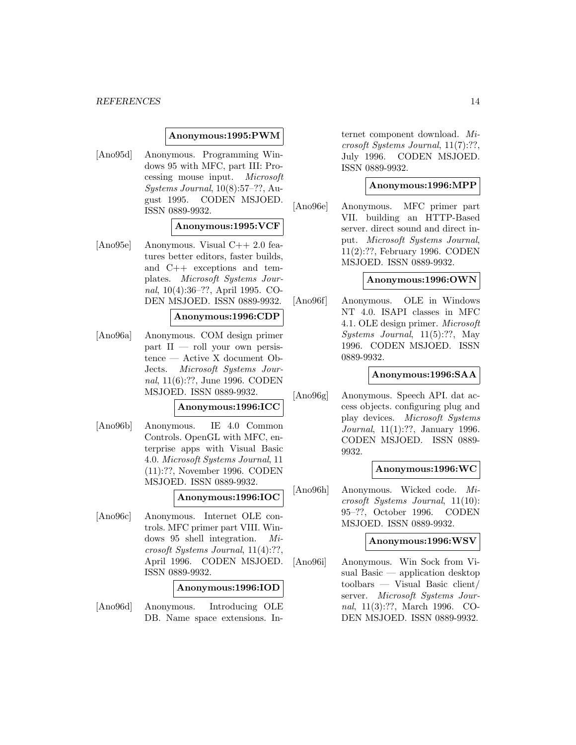### **Anonymous:1995:PWM**

[Ano95d] Anonymous. Programming Windows 95 with MFC, part III: Processing mouse input. Microsoft Systems Journal, 10(8):57–??, August 1995. CODEN MSJOED. ISSN 0889-9932.

#### **Anonymous:1995:VCF**

[Ano95e] Anonymous. Visual C++ 2.0 features better editors, faster builds, and C++ exceptions and templates. Microsoft Systems Journal, 10(4):36–??, April 1995. CO-DEN MSJOED. ISSN 0889-9932.

### **Anonymous:1996:CDP**

[Ano96a] Anonymous. COM design primer  $part II$  — roll your own persistence — Active X document Ob-Jects. Microsoft Systems Journal, 11(6):??, June 1996. CODEN MSJOED. ISSN 0889-9932.

### **Anonymous:1996:ICC**

[Ano96b] Anonymous. IE 4.0 Common Controls. OpenGL with MFC, enterprise apps with Visual Basic 4.0. Microsoft Systems Journal, 11 (11):??, November 1996. CODEN MSJOED. ISSN 0889-9932.

### **Anonymous:1996:IOC**

[Ano96c] Anonymous. Internet OLE controls. MFC primer part VIII. Windows 95 shell integration. Microsoft Systems Journal, 11(4):??, April 1996. CODEN MSJOED. ISSN 0889-9932.

### **Anonymous:1996:IOD**

[Ano96d] Anonymous. Introducing OLE DB. Name space extensions. In-

ternet component download. Microsoft Systems Journal, 11(7):??, July 1996. CODEN MSJOED. ISSN 0889-9932.

### **Anonymous:1996:MPP**

[Ano96e] Anonymous. MFC primer part VII. building an HTTP-Based server. direct sound and direct input. Microsoft Systems Journal, 11(2):??, February 1996. CODEN MSJOED. ISSN 0889-9932.

#### **Anonymous:1996:OWN**

[Ano96f] Anonymous. OLE in Windows NT 4.0. ISAPI classes in MFC 4.1. OLE design primer. Microsoft Systems Journal, 11(5):??, May 1996. CODEN MSJOED. ISSN 0889-9932.

#### **Anonymous:1996:SAA**

[Ano96g] Anonymous. Speech API. dat access objects. configuring plug and play devices. Microsoft Systems Journal, 11(1):??, January 1996. CODEN MSJOED. ISSN 0889- 9932.

#### **Anonymous:1996:WC**

[Ano96h] Anonymous. Wicked code. Microsoft Systems Journal, 11(10): 95–??, October 1996. CODEN MSJOED. ISSN 0889-9932.

#### **Anonymous:1996:WSV**

[Ano96i] Anonymous. Win Sock from Visual Basic — application desktop toolbars — Visual Basic client/ server. Microsoft Systems Journal, 11(3):??, March 1996. CO-DEN MSJOED. ISSN 0889-9932.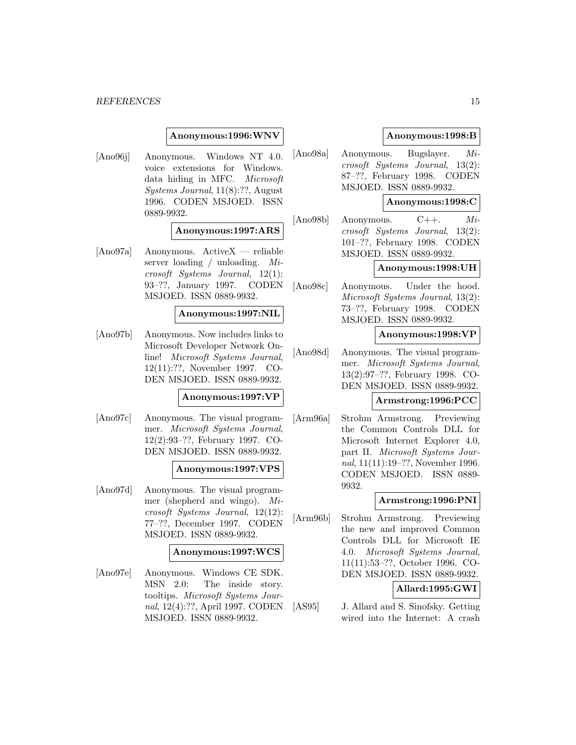### **Anonymous:1996:WNV**

[Ano96j] Anonymous. Windows NT 4.0. voice extensions for Windows. data hiding in MFC. Microsoft Systems Journal, 11(8):??, August 1996. CODEN MSJOED. ISSN 0889-9932.

#### **Anonymous:1997:ARS**

[Ano97a] Anonymous. ActiveX — reliable server loading / unloading. Microsoft Systems Journal, 12(1): 93–??, January 1997. CODEN MSJOED. ISSN 0889-9932.

### **Anonymous:1997:NIL**

[Ano97b] Anonymous. Now includes links to Microsoft Developer Network Online! Microsoft Systems Journal, 12(11):??, November 1997. CO-DEN MSJOED. ISSN 0889-9932.

#### **Anonymous:1997:VP**

[Ano97c] Anonymous. The visual programmer. Microsoft Systems Journal, 12(2):93–??, February 1997. CO-DEN MSJOED. ISSN 0889-9932.

### **Anonymous:1997:VPS**

[Ano97d] Anonymous. The visual programmer (shepherd and wingo). Microsoft Systems Journal, 12(12): 77–??, December 1997. CODEN MSJOED. ISSN 0889-9932.

#### **Anonymous:1997:WCS**

[Ano97e] Anonymous. Windows CE SDK. MSN 2.0: The inside story. tooltips. Microsoft Systems Journal, 12(4):??, April 1997. CODEN MSJOED. ISSN 0889-9932.

### **Anonymous:1998:B**

[Ano98a] Anonymous. Bugslayer. Microsoft Systems Journal, 13(2): 87–??, February 1998. CODEN MSJOED. ISSN 0889-9932.

## **Anonymous:1998:C**

[Ano98b] Anonymous. C++. Microsoft Systems Journal, 13(2): 101–??, February 1998. CODEN MSJOED. ISSN 0889-9932.

## **Anonymous:1998:UH**

[Ano98c] Anonymous. Under the hood. Microsoft Systems Journal, 13(2): 73–??, February 1998. CODEN MSJOED. ISSN 0889-9932.

#### **Anonymous:1998:VP**

[Ano98d] Anonymous. The visual programmer. Microsoft Systems Journal, 13(2):97–??, February 1998. CO-DEN MSJOED. ISSN 0889-9932.

## **Armstrong:1996:PCC**

[Arm96a] Strohm Armstrong. Previewing the Common Controls DLL for Microsoft Internet Explorer 4.0, part II. Microsoft Systems Journal, 11(11):19–??, November 1996. CODEN MSJOED. ISSN 0889- 9932.

### **Armstrong:1996:PNI**

[Arm96b] Strohm Armstrong. Previewing the new and improved Common Controls DLL for Microsoft IE 4.0. Microsoft Systems Journal, 11(11):53–??, October 1996. CO-DEN MSJOED. ISSN 0889-9932.

### **Allard:1995:GWI**

[AS95] J. Allard and S. Sinofsky. Getting wired into the Internet: A crash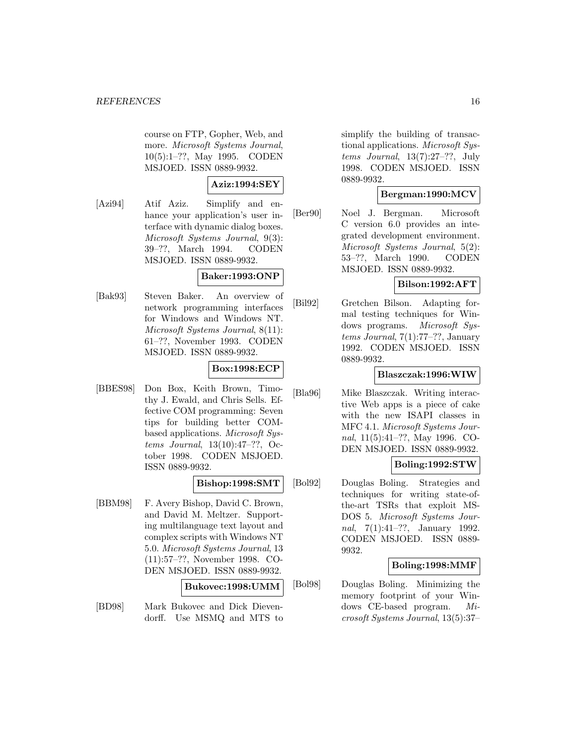course on FTP, Gopher, Web, and more. Microsoft Systems Journal, 10(5):1–??, May 1995. CODEN MSJOED. ISSN 0889-9932.

## **Aziz:1994:SEY**

[Azi94] Atif Aziz. Simplify and enhance your application's user interface with dynamic dialog boxes. Microsoft Systems Journal, 9(3): 39–??, March 1994. CODEN MSJOED. ISSN 0889-9932.

## **Baker:1993:ONP**

[Bak93] Steven Baker. An overview of network programming interfaces for Windows and Windows NT. Microsoft Systems Journal, 8(11): 61–??, November 1993. CODEN MSJOED. ISSN 0889-9932.

## **Box:1998:ECP**

[BBES98] Don Box, Keith Brown, Timothy J. Ewald, and Chris Sells. Effective COM programming: Seven tips for building better COMbased applications. Microsoft Systems Journal, 13(10):47–??, October 1998. CODEN MSJOED. ISSN 0889-9932.

### **Bishop:1998:SMT**

[BBM98] F. Avery Bishop, David C. Brown, and David M. Meltzer. Supporting multilanguage text layout and complex scripts with Windows NT 5.0. Microsoft Systems Journal, 13 (11):57–??, November 1998. CO-DEN MSJOED. ISSN 0889-9932.

#### **Bukovec:1998:UMM**

[BD98] Mark Bukovec and Dick Dievendorff. Use MSMQ and MTS to

simplify the building of transactional applications. Microsoft Systems Journal,  $13(7):27-??$ , July 1998. CODEN MSJOED. ISSN 0889-9932.

## **Bergman:1990:MCV**

[Ber90] Noel J. Bergman. Microsoft C version 6.0 provides an integrated development environment. Microsoft Systems Journal, 5(2): 53–??, March 1990. CODEN MSJOED. ISSN 0889-9932.

### **Bilson:1992:AFT**

[Bil92] Gretchen Bilson. Adapting formal testing techniques for Windows programs. Microsoft Sys $tems\ Journal, 7(1):77-??, January$ 1992. CODEN MSJOED. ISSN 0889-9932.

### **Blaszczak:1996:WIW**

[Bla96] Mike Blaszczak. Writing interactive Web apps is a piece of cake with the new ISAPI classes in MFC 4.1. Microsoft Systems Journal, 11(5):41–??, May 1996. CO-DEN MSJOED. ISSN 0889-9932.

## **Boling:1992:STW**

[Bol92] Douglas Boling. Strategies and techniques for writing state-ofthe-art TSRs that exploit MS-DOS 5. Microsoft Systems Journal, 7(1):41–??, January 1992. CODEN MSJOED. ISSN 0889- 9932.

### **Boling:1998:MMF**

[Bol98] Douglas Boling. Minimizing the memory footprint of your Windows CE-based program. Microsoft Systems Journal, 13(5):37–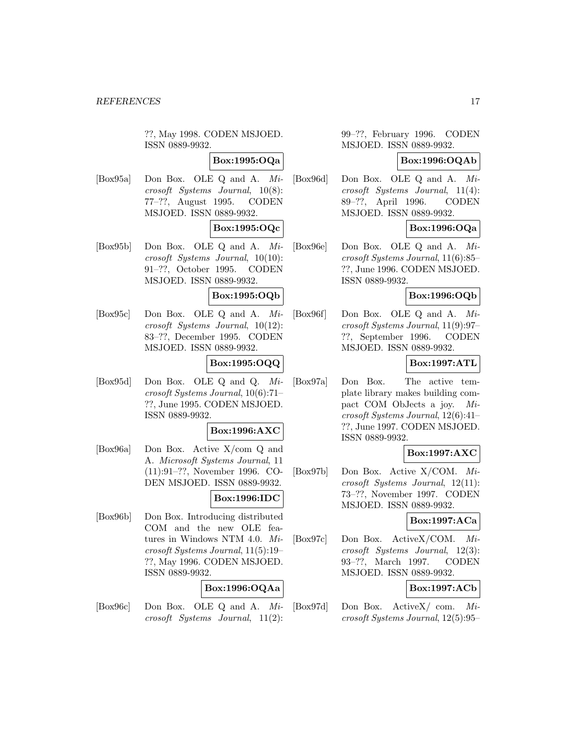??, May 1998. CODEN MSJOED. ISSN 0889-9932.

## **Box:1995:OQa**

[Box95a] Don Box. OLE Q and A. Microsoft Systems Journal, 10(8): 77–??, August 1995. CODEN MSJOED. ISSN 0889-9932.

## **Box:1995:OQc**

[Box95b] Don Box. OLE Q and A. Microsoft Systems Journal, 10(10): 91–??, October 1995. CODEN MSJOED. ISSN 0889-9932.

## **Box:1995:OQb**

[Box95c] Don Box. OLE Q and A. Microsoft Systems Journal, 10(12): 83–??, December 1995. CODEN MSJOED. ISSN 0889-9932.

## **Box:1995:OQQ**

[Box95d] Don Box. OLE Q and Q. Microsoft Systems Journal, 10(6):71– ??, June 1995. CODEN MSJOED. ISSN 0889-9932.

#### **Box:1996:AXC**

[Box96a] Don Box. Active X/com Q and A. Microsoft Systems Journal, 11 (11):91–??, November 1996. CO-DEN MSJOED. ISSN 0889-9932.

#### **Box:1996:IDC**

[Box96b] Don Box. Introducing distributed COM and the new OLE features in Windows NTM 4.0. Microsoft Systems Journal, 11(5):19– ??, May 1996. CODEN MSJOED. ISSN 0889-9932.

## **Box:1996:OQAa**

[Box96c] Don Box. OLE Q and A. Microsoft Systems Journal, 11(2):

99–??, February 1996. CODEN MSJOED. ISSN 0889-9932.

#### **Box:1996:OQAb**

[Box96d] Don Box. OLE Q and A. Microsoft Systems Journal, 11(4): 89–??, April 1996. CODEN MSJOED. ISSN 0889-9932.

## **Box:1996:OQa**

[Box96e] Don Box. OLE Q and A. Microsoft Systems Journal, 11(6):85– ??, June 1996. CODEN MSJOED. ISSN 0889-9932.

## **Box:1996:OQb**

[Box96f] Don Box. OLE Q and A. Microsoft Systems Journal, 11(9):97– ??, September 1996. CODEN MSJOED. ISSN 0889-9932.

## **Box:1997:ATL**

[Box97a] Don Box. The active template library makes building compact COM ObJects a joy. Microsoft Systems Journal, 12(6):41– ??, June 1997. CODEN MSJOED. ISSN 0889-9932.

## **Box:1997:AXC**

[Box97b] Don Box. Active X/COM. Microsoft Systems Journal, 12(11): 73–??, November 1997. CODEN MSJOED. ISSN 0889-9932.

#### **Box:1997:ACa**

[Box97c] Don Box. ActiveX/COM. Microsoft Systems Journal, 12(3): 93–??, March 1997. CODEN MSJOED. ISSN 0889-9932.

### **Box:1997:ACb**

[Box97d] Don Box. ActiveX/ com. Microsoft Systems Journal, 12(5):95–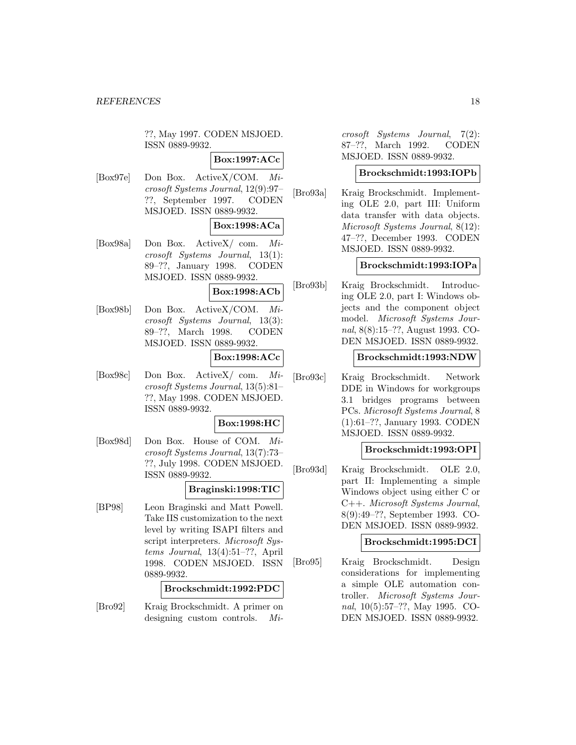??, May 1997. CODEN MSJOED. ISSN 0889-9932.

**Box:1997:ACc**

[Box97e] Don Box. ActiveX/COM. Microsoft Systems Journal, 12(9):97– ??, September 1997. CODEN MSJOED. ISSN 0889-9932.

## **Box:1998:ACa**

[Box98a] Don Box. ActiveX/ com. Microsoft Systems Journal, 13(1): 89–??, January 1998. CODEN MSJOED. ISSN 0889-9932.

### **Box:1998:ACb**

[Box98b] Don Box. ActiveX/COM. Microsoft Systems Journal, 13(3): 89–??, March 1998. CODEN MSJOED. ISSN 0889-9932.

## **Box:1998:ACc**

[Box98c] Don Box. ActiveX/ com. Microsoft Systems Journal, 13(5):81– ??, May 1998. CODEN MSJOED. ISSN 0889-9932.

### **Box:1998:HC**

[Box98d] Don Box. House of COM. Microsoft Systems Journal, 13(7):73– ??, July 1998. CODEN MSJOED. ISSN 0889-9932.

### **Braginski:1998:TIC**

[BP98] Leon Braginski and Matt Powell. Take IIS customization to the next level by writing ISAPI filters and script interpreters. Microsoft Systems Journal, 13(4):51–??, April 1998. CODEN MSJOED. ISSN 0889-9932.

## **Brockschmidt:1992:PDC**

[Bro92] Kraig Brockschmidt. A primer on designing custom controls. Mi-

crosoft Systems Journal, 7(2): 87–??, March 1992. CODEN MSJOED. ISSN 0889-9932.

#### **Brockschmidt:1993:IOPb**

[Bro93a] Kraig Brockschmidt. Implementing OLE 2.0, part III: Uniform data transfer with data objects. Microsoft Systems Journal, 8(12): 47–??, December 1993. CODEN MSJOED. ISSN 0889-9932.

### **Brockschmidt:1993:IOPa**

[Bro93b] Kraig Brockschmidt. Introducing OLE 2.0, part I: Windows objects and the component object model. Microsoft Systems Journal, 8(8):15–??, August 1993. CO-DEN MSJOED. ISSN 0889-9932.

#### **Brockschmidt:1993:NDW**

[Bro93c] Kraig Brockschmidt. Network DDE in Windows for workgroups 3.1 bridges programs between PCs. Microsoft Systems Journal, 8 (1):61–??, January 1993. CODEN MSJOED. ISSN 0889-9932.

### **Brockschmidt:1993:OPI**

[Bro93d] Kraig Brockschmidt. OLE 2.0, part II: Implementing a simple Windows object using either C or C++. Microsoft Systems Journal, 8(9):49–??, September 1993. CO-DEN MSJOED. ISSN 0889-9932.

### **Brockschmidt:1995:DCI**

[Bro95] Kraig Brockschmidt. Design considerations for implementing a simple OLE automation controller. Microsoft Systems Journal, 10(5):57–??, May 1995. CO-DEN MSJOED. ISSN 0889-9932.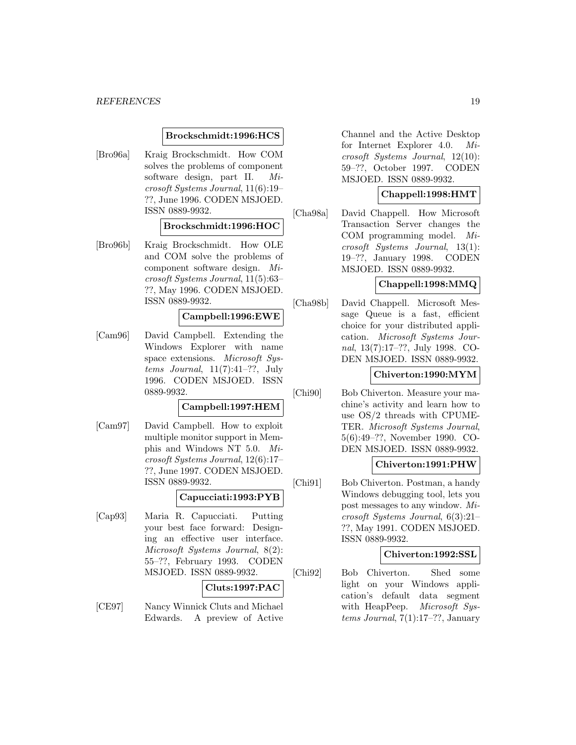### **Brockschmidt:1996:HCS**

[Bro96a] Kraig Brockschmidt. How COM solves the problems of component software design, part II. Microsoft Systems Journal, 11(6):19– ??, June 1996. CODEN MSJOED. ISSN 0889-9932.

### **Brockschmidt:1996:HOC**

[Bro96b] Kraig Brockschmidt. How OLE and COM solve the problems of component software design. Microsoft Systems Journal, 11(5):63– ??, May 1996. CODEN MSJOED. ISSN 0889-9932.

### **Campbell:1996:EWE**

[Cam96] David Campbell. Extending the Windows Explorer with name space extensions. Microsoft Systems Journal,  $11(7):41-??$ , July 1996. CODEN MSJOED. ISSN 0889-9932.

### **Campbell:1997:HEM**

[Cam97] David Campbell. How to exploit multiple monitor support in Memphis and Windows NT 5.0. Microsoft Systems Journal, 12(6):17– ??, June 1997. CODEN MSJOED. ISSN 0889-9932.

#### **Capucciati:1993:PYB**

[Cap93] Maria R. Capucciati. Putting your best face forward: Designing an effective user interface. Microsoft Systems Journal, 8(2): 55–??, February 1993. CODEN MSJOED. ISSN 0889-9932.

#### **Cluts:1997:PAC**

[CE97] Nancy Winnick Cluts and Michael Edwards. A preview of Active Channel and the Active Desktop for Internet Explorer 4.0. Microsoft Systems Journal, 12(10): 59–??, October 1997. CODEN MSJOED. ISSN 0889-9932.

## **Chappell:1998:HMT**

[Cha98a] David Chappell. How Microsoft Transaction Server changes the COM programming model. Microsoft Systems Journal, 13(1): 19–??, January 1998. CODEN MSJOED. ISSN 0889-9932.

### **Chappell:1998:MMQ**

[Cha98b] David Chappell. Microsoft Message Queue is a fast, efficient choice for your distributed application. Microsoft Systems Journal, 13(7):17–??, July 1998. CO-DEN MSJOED. ISSN 0889-9932.

## **Chiverton:1990:MYM**

[Chi90] Bob Chiverton. Measure your machine's activity and learn how to use OS/2 threads with CPUME-TER. Microsoft Systems Journal, 5(6):49–??, November 1990. CO-DEN MSJOED. ISSN 0889-9932.

## **Chiverton:1991:PHW**

[Chi91] Bob Chiverton. Postman, a handy Windows debugging tool, lets you post messages to any window. Microsoft Systems Journal, 6(3):21– ??, May 1991. CODEN MSJOED. ISSN 0889-9932.

#### **Chiverton:1992:SSL**

[Chi92] Bob Chiverton. Shed some light on your Windows application's default data segment with HeapPeep. Microsoft Systems Journal, 7(1):17–??, January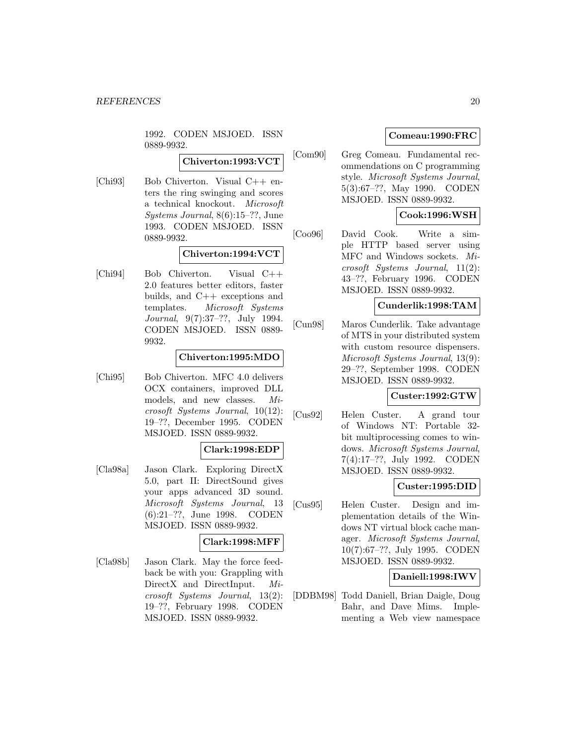1992. CODEN MSJOED. ISSN 0889-9932.

## **Chiverton:1993:VCT**

[Chi93] Bob Chiverton. Visual C++ enters the ring swinging and scores a technical knockout. Microsoft Systems Journal, 8(6):15–??, June 1993. CODEN MSJOED. ISSN 0889-9932.

### **Chiverton:1994:VCT**

[Chi94] Bob Chiverton. Visual C++ 2.0 features better editors, faster builds, and C++ exceptions and templates. Microsoft Systems Journal, 9(7):37–??, July 1994. CODEN MSJOED. ISSN 0889- 9932.

### **Chiverton:1995:MDO**

[Chi95] Bob Chiverton. MFC 4.0 delivers OCX containers, improved DLL models, and new classes. Microsoft Systems Journal, 10(12): 19–??, December 1995. CODEN MSJOED. ISSN 0889-9932.

## **Clark:1998:EDP**

[Cla98a] Jason Clark. Exploring DirectX 5.0, part II: DirectSound gives your apps advanced 3D sound. Microsoft Systems Journal, 13 (6):21–??, June 1998. CODEN MSJOED. ISSN 0889-9932.

## **Clark:1998:MFF**

[Cla98b] Jason Clark. May the force feedback be with you: Grappling with DirectX and DirectInput. Microsoft Systems Journal, 13(2): 19–??, February 1998. CODEN MSJOED. ISSN 0889-9932.

## **Comeau:1990:FRC**

[Com90] Greg Comeau. Fundamental recommendations on C programming style. Microsoft Systems Journal, 5(3):67–??, May 1990. CODEN MSJOED. ISSN 0889-9932.

## **Cook:1996:WSH**

[Coo96] David Cook. Write a simple HTTP based server using MFC and Windows sockets. Microsoft Systems Journal, 11(2): 43–??, February 1996. CODEN MSJOED. ISSN 0889-9932.

### **Cunderlik:1998:TAM**

[Cun98] Maros Cunderlik. Take advantage of MTS in your distributed system with custom resource dispensers. Microsoft Systems Journal, 13(9): 29–??, September 1998. CODEN MSJOED. ISSN 0889-9932.

### **Custer:1992:GTW**

[Cus92] Helen Custer. A grand tour of Windows NT: Portable 32 bit multiprocessing comes to windows. Microsoft Systems Journal, 7(4):17–??, July 1992. CODEN MSJOED. ISSN 0889-9932.

#### **Custer:1995:DID**

[Cus95] Helen Custer. Design and implementation details of the Windows NT virtual block cache manager. Microsoft Systems Journal, 10(7):67–??, July 1995. CODEN MSJOED. ISSN 0889-9932.

### **Daniell:1998:IWV**

[DDBM98] Todd Daniell, Brian Daigle, Doug Bahr, and Dave Mims. Implementing a Web view namespace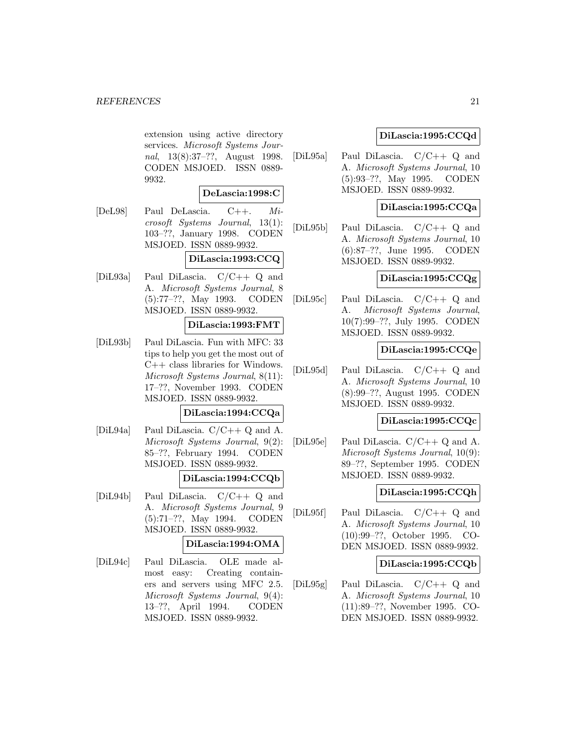extension using active directory services. Microsoft Systems Journal, 13(8):37–??, August 1998. CODEN MSJOED. ISSN 0889- 9932.

### **DeLascia:1998:C**

[DeL98] Paul DeLascia. C++. Microsoft Systems Journal, 13(1): 103–??, January 1998. CODEN MSJOED. ISSN 0889-9932.

## **DiLascia:1993:CCQ**

[DiL93a] Paul DiLascia. C/C++ Q and A. Microsoft Systems Journal, 8 (5):77–??, May 1993. CODEN MSJOED. ISSN 0889-9932.

## **DiLascia:1993:FMT**

[DiL93b] Paul DiLascia. Fun with MFC: 33 tips to help you get the most out of C++ class libraries for Windows. Microsoft Systems Journal, 8(11): 17–??, November 1993. CODEN MSJOED. ISSN 0889-9932.

## **DiLascia:1994:CCQa**

[DiL94a] Paul DiLascia. C/C++ Q and A. Microsoft Systems Journal, 9(2): 85–??, February 1994. CODEN MSJOED. ISSN 0889-9932.

## **DiLascia:1994:CCQb**

[DiL94b] Paul DiLascia. C/C++ Q and A. Microsoft Systems Journal, 9 (5):71–??, May 1994. CODEN MSJOED. ISSN 0889-9932.

### **DiLascia:1994:OMA**

[DiL94c] Paul DiLascia. OLE made almost easy: Creating containers and servers using MFC 2.5. Microsoft Systems Journal, 9(4): 13–??, April 1994. CODEN MSJOED. ISSN 0889-9932.

## **DiLascia:1995:CCQd**

[DiL95a] Paul DiLascia. C/C++ Q and A. Microsoft Systems Journal, 10 (5):93–??, May 1995. CODEN MSJOED. ISSN 0889-9932.

## **DiLascia:1995:CCQa**

[DiL95b] Paul DiLascia. C/C++ Q and A. Microsoft Systems Journal, 10 (6):87–??, June 1995. CODEN MSJOED. ISSN 0889-9932.

## **DiLascia:1995:CCQg**

[DiL95c] Paul DiLascia. C/C++ Q and A. Microsoft Systems Journal, 10(7):99–??, July 1995. CODEN MSJOED. ISSN 0889-9932.

### **DiLascia:1995:CCQe**

[DiL95d] Paul DiLascia. C/C++ Q and A. Microsoft Systems Journal, 10 (8):99–??, August 1995. CODEN MSJOED. ISSN 0889-9932.

## **DiLascia:1995:CCQc**

[DiL95e] Paul DiLascia. C/C++ Q and A. Microsoft Systems Journal, 10(9): 89–??, September 1995. CODEN MSJOED. ISSN 0889-9932.

### **DiLascia:1995:CCQh**

[DiL95f] Paul DiLascia. C/C++ Q and A. Microsoft Systems Journal, 10 (10):99–??, October 1995. CO-DEN MSJOED. ISSN 0889-9932.

### **DiLascia:1995:CCQb**

[DiL95g] Paul DiLascia. C/C++ Q and A. Microsoft Systems Journal, 10 (11):89–??, November 1995. CO-DEN MSJOED. ISSN 0889-9932.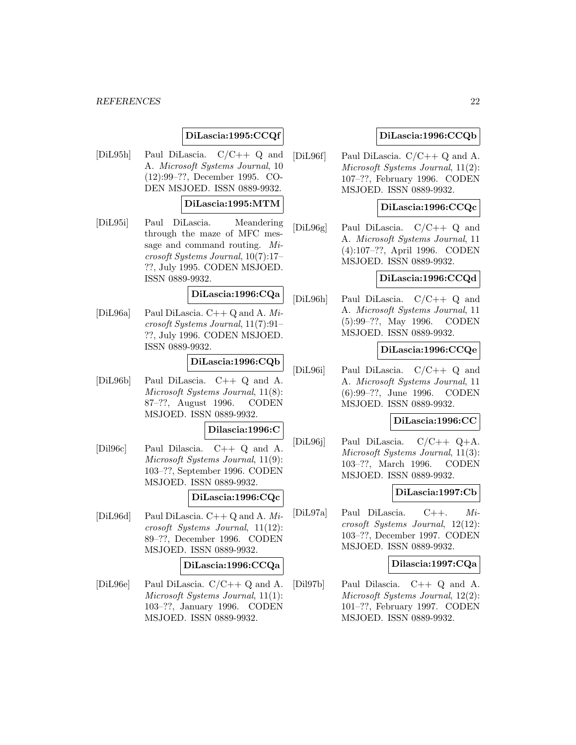## **DiLascia:1995:CCQf**

[DiL95h] Paul DiLascia. C/C++ Q and A. Microsoft Systems Journal, 10 (12):99–??, December 1995. CO-DEN MSJOED. ISSN 0889-9932.

## **DiLascia:1995:MTM**

[DiL95i] Paul DiLascia. Meandering through the maze of MFC message and command routing. Microsoft Systems Journal, 10(7):17– ??, July 1995. CODEN MSJOED. ISSN 0889-9932.

## **DiLascia:1996:CQa**

[DiL96a] Paul DiLascia.  $C++Q$  and A. Microsoft Systems Journal, 11(7):91– ??, July 1996. CODEN MSJOED. ISSN 0889-9932.

## **DiLascia:1996:CQb**

[DiL96b] Paul DiLascia. C++ Q and A. Microsoft Systems Journal, 11(8): 87–??, August 1996. CODEN MSJOED. ISSN 0889-9932.

#### **Dilascia:1996:C**

[Dil96c] Paul Dilascia. C++ Q and A. Microsoft Systems Journal, 11(9): 103–??, September 1996. CODEN MSJOED. ISSN 0889-9932.

#### **DiLascia:1996:CQc**

[DiL96d] Paul DiLascia. C++ Q and A. Microsoft Systems Journal, 11(12): 89–??, December 1996. CODEN MSJOED. ISSN 0889-9932.

#### **DiLascia:1996:CCQa**

[DiL96e] Paul DiLascia. C/C++ Q and A. Microsoft Systems Journal, 11(1): 103–??, January 1996. CODEN MSJOED. ISSN 0889-9932.

### **DiLascia:1996:CCQb**

[DiL96f] Paul DiLascia. C/C++ Q and A. Microsoft Systems Journal, 11(2): 107–??, February 1996. CODEN MSJOED. ISSN 0889-9932.

### **DiLascia:1996:CCQc**

[DiL96g] Paul DiLascia. C/C++ Q and A. Microsoft Systems Journal, 11 (4):107–??, April 1996. CODEN MSJOED. ISSN 0889-9932.

## **DiLascia:1996:CCQd**

[DiL96h] Paul DiLascia. C/C++ Q and A. Microsoft Systems Journal, 11 (5):99–??, May 1996. CODEN MSJOED. ISSN 0889-9932.

#### **DiLascia:1996:CCQe**

[DiL96i] Paul DiLascia. C/C++ Q and A. Microsoft Systems Journal, 11 (6):99–??, June 1996. CODEN MSJOED. ISSN 0889-9932.

### **DiLascia:1996:CC**

[DiL96j] Paul DiLascia. C/C++ Q+A. Microsoft Systems Journal, 11(3): 103–??, March 1996. CODEN MSJOED. ISSN 0889-9932.

### **DiLascia:1997:Cb**

[DiL97a] Paul DiLascia. C++. Microsoft Systems Journal, 12(12): 103–??, December 1997. CODEN MSJOED. ISSN 0889-9932.

### **Dilascia:1997:CQa**

[Dil97b] Paul Dilascia. C++ Q and A. Microsoft Systems Journal, 12(2): 101–??, February 1997. CODEN MSJOED. ISSN 0889-9932.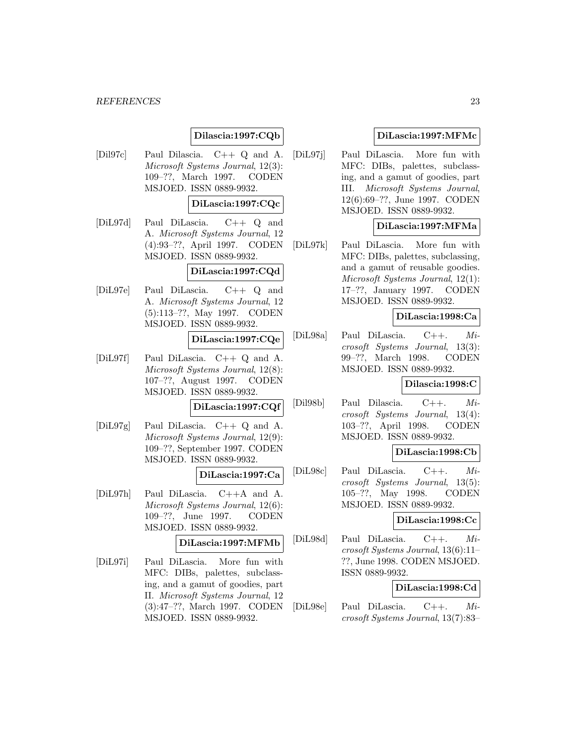## **Dilascia:1997:CQb**

[Dil97c] Paul Dilascia. C++ Q and A. Microsoft Systems Journal, 12(3): 109–??, March 1997. CODEN MSJOED. ISSN 0889-9932.

### **DiLascia:1997:CQc**

[DiL97d] Paul DiLascia. C++ Q and A. Microsoft Systems Journal, 12 (4):93–??, April 1997. CODEN MSJOED. ISSN 0889-9932.

## **DiLascia:1997:CQd**

[DiL97e] Paul DiLascia. C++ Q and A. Microsoft Systems Journal, 12 (5):113–??, May 1997. CODEN MSJOED. ISSN 0889-9932.

## **DiLascia:1997:CQe**

[DiL97f] Paul DiLascia. C++ Q and A. Microsoft Systems Journal, 12(8): 107–??, August 1997. CODEN MSJOED. ISSN 0889-9932.

#### **DiLascia:1997:CQf**

[DiL97g] Paul DiLascia. C++ Q and A. Microsoft Systems Journal, 12(9): 109–??, September 1997. CODEN MSJOED. ISSN 0889-9932.

## **DiLascia:1997:Ca**

[DiL97h] Paul DiLascia. C++A and A. Microsoft Systems Journal, 12(6): 109–??, June 1997. CODEN MSJOED. ISSN 0889-9932.

### **DiLascia:1997:MFMb**

[DiL97i] Paul DiLascia. More fun with MFC: DIBs, palettes, subclassing, and a gamut of goodies, part II. Microsoft Systems Journal, 12 (3):47–??, March 1997. CODEN MSJOED. ISSN 0889-9932.

### **DiLascia:1997:MFMc**

[DiL97j] Paul DiLascia. More fun with MFC: DIBs, palettes, subclassing, and a gamut of goodies, part III. Microsoft Systems Journal, 12(6):69–??, June 1997. CODEN MSJOED. ISSN 0889-9932.

### **DiLascia:1997:MFMa**

[DiL97k] Paul DiLascia. More fun with MFC: DIBs, palettes, subclassing, and a gamut of reusable goodies. Microsoft Systems Journal, 12(1): 17–??, January 1997. CODEN MSJOED. ISSN 0889-9932.

### **DiLascia:1998:Ca**

[DiL98a] Paul DiLascia. C++. Microsoft Systems Journal, 13(3): 99–??, March 1998. CODEN MSJOED. ISSN 0889-9932.

### **Dilascia:1998:C**

[Dil98b] Paul Dilascia. C++. Microsoft Systems Journal, 13(4): 103–??, April 1998. CODEN MSJOED. ISSN 0889-9932.

### **DiLascia:1998:Cb**

[DiL98c] Paul DiLascia. C++. Microsoft Systems Journal, 13(5): 105–??, May 1998. CODEN MSJOED. ISSN 0889-9932.

#### **DiLascia:1998:Cc**

[DiL98d] Paul DiLascia. C++. Microsoft Systems Journal, 13(6):11– ??, June 1998. CODEN MSJOED. ISSN 0889-9932.

#### **DiLascia:1998:Cd**

[DiL98e] Paul DiLascia. C++. Microsoft Systems Journal, 13(7):83–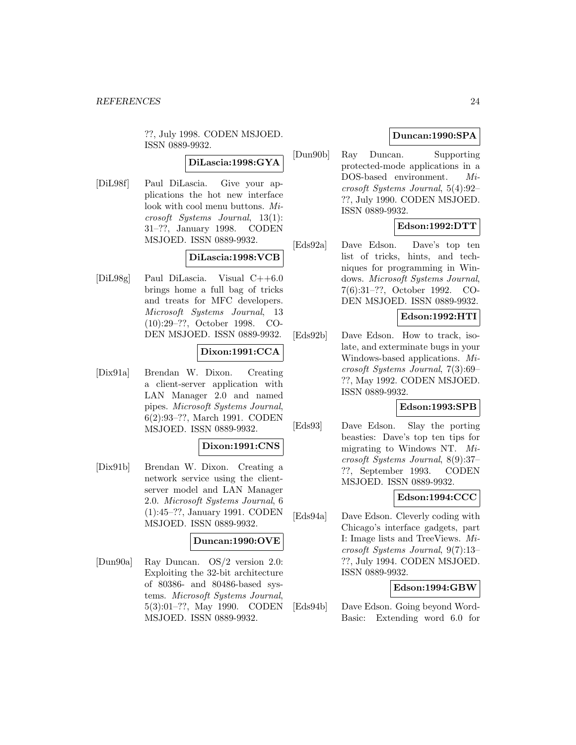??, July 1998. CODEN MSJOED. ISSN 0889-9932.

## **DiLascia:1998:GYA**

[DiL98f] Paul DiLascia. Give your applications the hot new interface look with cool menu buttons. Microsoft Systems Journal, 13(1): 31–??, January 1998. CODEN MSJOED. ISSN 0889-9932.

### **DiLascia:1998:VCB**

[DiL98g] Paul DiLascia. Visual C++6.0 brings home a full bag of tricks and treats for MFC developers. Microsoft Systems Journal, 13 (10):29–??, October 1998. CO-DEN MSJOED. ISSN 0889-9932.

## **Dixon:1991:CCA**

[Dix91a] Brendan W. Dixon. Creating a client-server application with LAN Manager 2.0 and named pipes. Microsoft Systems Journal, 6(2):93–??, March 1991. CODEN MSJOED. ISSN 0889-9932.

### **Dixon:1991:CNS**

[Dix91b] Brendan W. Dixon. Creating a network service using the clientserver model and LAN Manager 2.0. Microsoft Systems Journal, 6 (1):45–??, January 1991. CODEN MSJOED. ISSN 0889-9932.

### **Duncan:1990:OVE**

[Dun90a] Ray Duncan. OS/2 version 2.0: Exploiting the 32-bit architecture of 80386- and 80486-based systems. Microsoft Systems Journal, 5(3):01–??, May 1990. CODEN MSJOED. ISSN 0889-9932.

## **Duncan:1990:SPA**

[Dun90b] Ray Duncan. Supporting protected-mode applications in a DOS-based environment. Microsoft Systems Journal, 5(4):92– ??, July 1990. CODEN MSJOED. ISSN 0889-9932.

## **Edson:1992:DTT**

[Eds92a] Dave Edson. Dave's top ten list of tricks, hints, and techniques for programming in Windows. Microsoft Systems Journal, 7(6):31–??, October 1992. CO-DEN MSJOED. ISSN 0889-9932.

## **Edson:1992:HTI**

[Eds92b] Dave Edson. How to track, isolate, and exterminate bugs in your Windows-based applications. Microsoft Systems Journal, 7(3):69– ??, May 1992. CODEN MSJOED. ISSN 0889-9932.

#### **Edson:1993:SPB**

[Eds93] Dave Edson. Slay the porting beasties: Dave's top ten tips for migrating to Windows NT. Microsoft Systems Journal, 8(9):37– ??, September 1993. CODEN MSJOED. ISSN 0889-9932.

## **Edson:1994:CCC**

[Eds94a] Dave Edson. Cleverly coding with Chicago's interface gadgets, part I: Image lists and TreeViews. Microsoft Systems Journal, 9(7):13– ??, July 1994. CODEN MSJOED. ISSN 0889-9932.

### **Edson:1994:GBW**

[Eds94b] Dave Edson. Going beyond Word-Basic: Extending word 6.0 for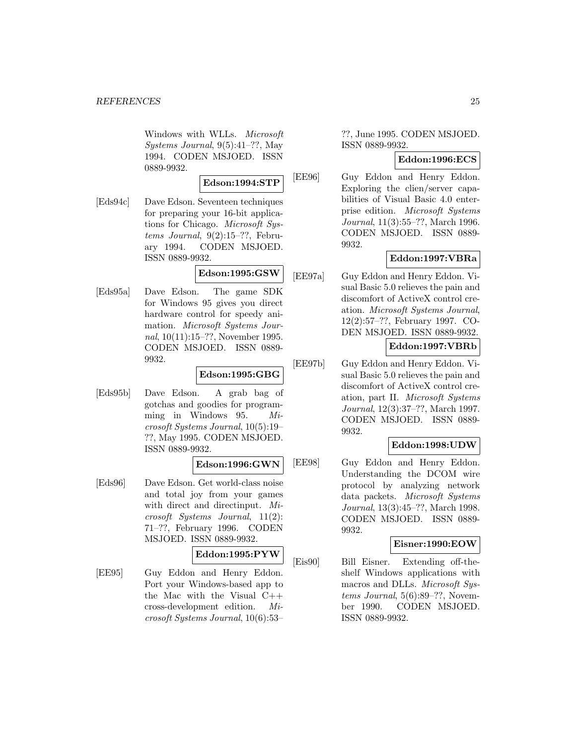Windows with WLLs. Microsoft Systems Journal, 9(5):41–??, May 1994. CODEN MSJOED. ISSN 0889-9932.

#### **Edson:1994:STP**

[Eds94c] Dave Edson. Seventeen techniques for preparing your 16-bit applications for Chicago. Microsoft Systems Journal,  $9(2):15-??$ , February 1994. CODEN MSJOED. ISSN 0889-9932.

## **Edson:1995:GSW**

[Eds95a] Dave Edson. The game SDK for Windows 95 gives you direct hardware control for speedy animation. Microsoft Systems Journal, 10(11):15–??, November 1995. CODEN MSJOED. ISSN 0889- 9932.

### **Edson:1995:GBG**

[Eds95b] Dave Edson. A grab bag of gotchas and goodies for programming in Windows 95. Microsoft Systems Journal, 10(5):19– ??, May 1995. CODEN MSJOED. ISSN 0889-9932.

### **Edson:1996:GWN**

[Eds96] Dave Edson. Get world-class noise and total joy from your games with direct and directinput. Microsoft Systems Journal, 11(2): 71–??, February 1996. CODEN MSJOED. ISSN 0889-9932.

### **Eddon:1995:PYW**

[EE95] Guy Eddon and Henry Eddon. Port your Windows-based app to the Mac with the Visual C++ cross-development edition. Microsoft Systems Journal, 10(6):53–

??, June 1995. CODEN MSJOED. ISSN 0889-9932.

### **Eddon:1996:ECS**

[EE96] Guy Eddon and Henry Eddon. Exploring the clien/server capabilities of Visual Basic 4.0 enterprise edition. Microsoft Systems Journal, 11(3):55–??, March 1996. CODEN MSJOED. ISSN 0889- 9932.

## **Eddon:1997:VBRa**

[EE97a] Guy Eddon and Henry Eddon. Visual Basic 5.0 relieves the pain and discomfort of ActiveX control creation. Microsoft Systems Journal, 12(2):57–??, February 1997. CO-DEN MSJOED. ISSN 0889-9932.

## **Eddon:1997:VBRb**

[EE97b] Guy Eddon and Henry Eddon. Visual Basic 5.0 relieves the pain and discomfort of ActiveX control creation, part II. Microsoft Systems Journal, 12(3):37–??, March 1997. CODEN MSJOED. ISSN 0889- 9932.

### **Eddon:1998:UDW**

[EE98] Guy Eddon and Henry Eddon. Understanding the DCOM wire protocol by analyzing network data packets. Microsoft Systems Journal, 13(3):45–??, March 1998. CODEN MSJOED. ISSN 0889- 9932.

### **Eisner:1990:EOW**

[Eis90] Bill Eisner. Extending off-theshelf Windows applications with macros and DLLs. Microsoft Systems Journal,  $5(6):89-$ ??, November 1990. CODEN MSJOED. ISSN 0889-9932.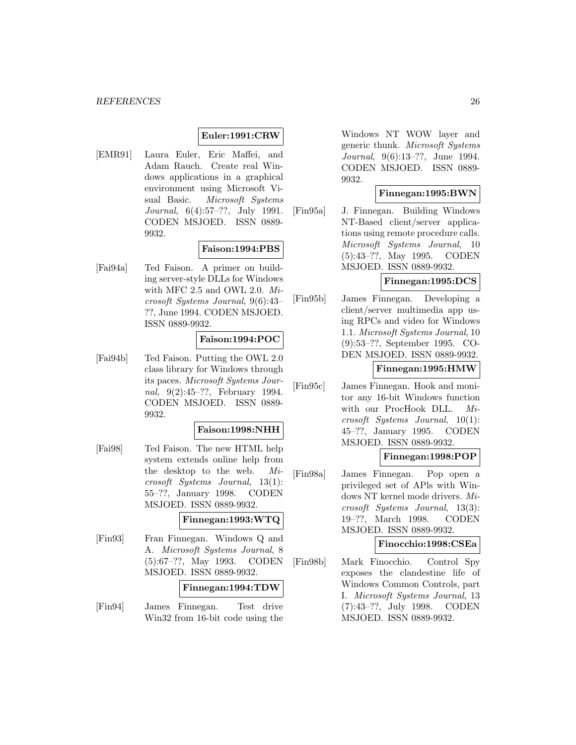## **Euler:1991:CRW**

[EMR91] Laura Euler, Eric Maffei, and Adam Rauch. Create real Windows applications in a graphical environment using Microsoft Visual Basic. Microsoft Systems Journal, 6(4):57–??, July 1991. CODEN MSJOED. ISSN 0889- 9932.

### **Faison:1994:PBS**

[Fai94a] Ted Faison. A primer on building server-style DLLs for Windows with MFC 2.5 and OWL 2.0. Microsoft Systems Journal, 9(6):43– ??, June 1994. CODEN MSJOED. ISSN 0889-9932.

## **Faison:1994:POC**

[Fai94b] Ted Faison. Putting the OWL 2.0 class library for Windows through its paces. Microsoft Systems Journal, 9(2):45–??, February 1994. CODEN MSJOED. ISSN 0889- 9932.

#### **Faison:1998:NHH**

[Fai98] Ted Faison. The new HTML help system extends online help from the desktop to the web. Microsoft Systems Journal, 13(1): 55–??, January 1998. CODEN MSJOED. ISSN 0889-9932.

#### **Finnegan:1993:WTQ**

[Fin93] Fran Finnegan. Windows Q and A. Microsoft Systems Journal, 8 (5):67–??, May 1993. CODEN MSJOED. ISSN 0889-9932.

### **Finnegan:1994:TDW**

[Fin94] James Finnegan. Test drive Win32 from 16-bit code using the

Windows NT WOW layer and generic thunk. Microsoft Systems Journal, 9(6):13–??, June 1994. CODEN MSJOED. ISSN 0889- 9932.

### **Finnegan:1995:BWN**

[Fin95a] J. Finnegan. Building Windows NT-Based client/server applications using remote procedure calls. Microsoft Systems Journal, 10 (5):43–??, May 1995. CODEN MSJOED. ISSN 0889-9932.

## **Finnegan:1995:DCS**

[Fin95b] James Finnegan. Developing a client/server multimedia app using RPCs and video for Windows 1.1. Microsoft Systems Journal, 10 (9):53–??, September 1995. CO-DEN MSJOED. ISSN 0889-9932.

### **Finnegan:1995:HMW**

[Fin95c] James Finnegan. Hook and monitor any 16-bit Windows function with our ProcHook DLL. Microsoft Systems Journal, 10(1): 45–??, January 1995. CODEN MSJOED. ISSN 0889-9932.

#### **Finnegan:1998:POP**

[Fin98a] James Finnegan. Pop open a privileged set of APls with Windows NT kernel mode drivers. Microsoft Systems Journal, 13(3): 19–??, March 1998. CODEN MSJOED. ISSN 0889-9932.

### **Finocchio:1998:CSEa**

[Fin98b] Mark Finocchio. Control Spy exposes the clandestine life of Windows Common Controls, part I. Microsoft Systems Journal, 13 (7):43–??, July 1998. CODEN MSJOED. ISSN 0889-9932.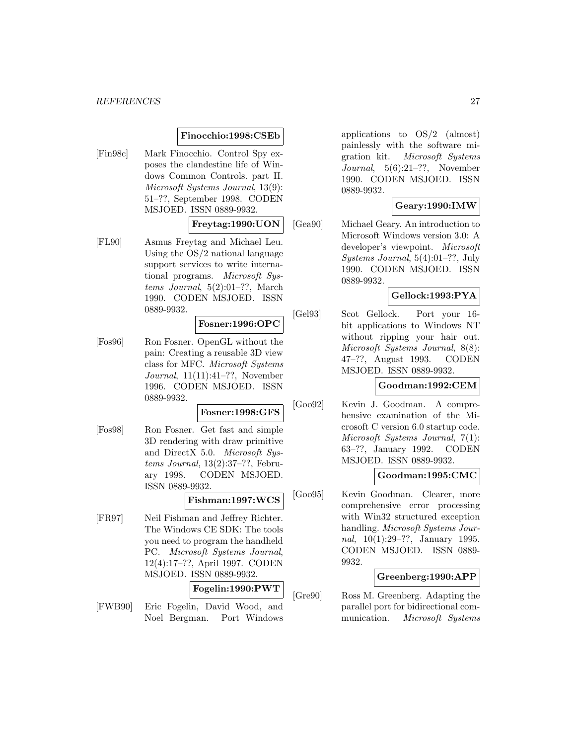### **Finocchio:1998:CSEb**

[Fin98c] Mark Finocchio. Control Spy exposes the clandestine life of Windows Common Controls. part II. Microsoft Systems Journal, 13(9): 51–??, September 1998. CODEN MSJOED. ISSN 0889-9932.

#### **Freytag:1990:UON**

[FL90] Asmus Freytag and Michael Leu. Using the OS/2 national language support services to write international programs. Microsoft Systems Journal, 5(2):01–??, March 1990. CODEN MSJOED. ISSN 0889-9932.

## **Fosner:1996:OPC**

[Fos96] Ron Fosner. OpenGL without the pain: Creating a reusable 3D view class for MFC. Microsoft Systems Journal, 11(11):41–??, November 1996. CODEN MSJOED. ISSN 0889-9932.

### **Fosner:1998:GFS**

[Fos98] Ron Fosner. Get fast and simple 3D rendering with draw primitive and DirectX 5.0. Microsoft Systems Journal, 13(2):37–??, February 1998. CODEN MSJOED. ISSN 0889-9932.

## **Fishman:1997:WCS**

[FR97] Neil Fishman and Jeffrey Richter. The Windows CE SDK: The tools you need to program the handheld PC. Microsoft Systems Journal, 12(4):17–??, April 1997. CODEN MSJOED. ISSN 0889-9932.

**Fogelin:1990:PWT**

[FWB90] Eric Fogelin, David Wood, and Noel Bergman. Port Windows

applications to  $OS/2$  (almost) painlessly with the software migration kit. Microsoft Systems Journal, 5(6):21–??, November 1990. CODEN MSJOED. ISSN 0889-9932.

### **Geary:1990:IMW**

[Gea90] Michael Geary. An introduction to Microsoft Windows version 3.0: A developer's viewpoint. Microsoft Systems Journal, 5(4):01–??, July 1990. CODEN MSJOED. ISSN 0889-9932.

## **Gellock:1993:PYA**

[Gel93] Scot Gellock. Port your 16 bit applications to Windows NT without ripping your hair out. Microsoft Systems Journal, 8(8): 47–??, August 1993. CODEN MSJOED. ISSN 0889-9932.

#### **Goodman:1992:CEM**

[Goo92] Kevin J. Goodman. A comprehensive examination of the Microsoft C version 6.0 startup code. Microsoft Systems Journal, 7(1): 63–??, January 1992. CODEN MSJOED. ISSN 0889-9932.

#### **Goodman:1995:CMC**

[Goo95] Kevin Goodman. Clearer, more comprehensive error processing with Win32 structured exception handling. Microsoft Systems Journal, 10(1):29–??, January 1995. CODEN MSJOED. ISSN 0889- 9932.

### **Greenberg:1990:APP**

[Gre90] Ross M. Greenberg. Adapting the parallel port for bidirectional communication. Microsoft Systems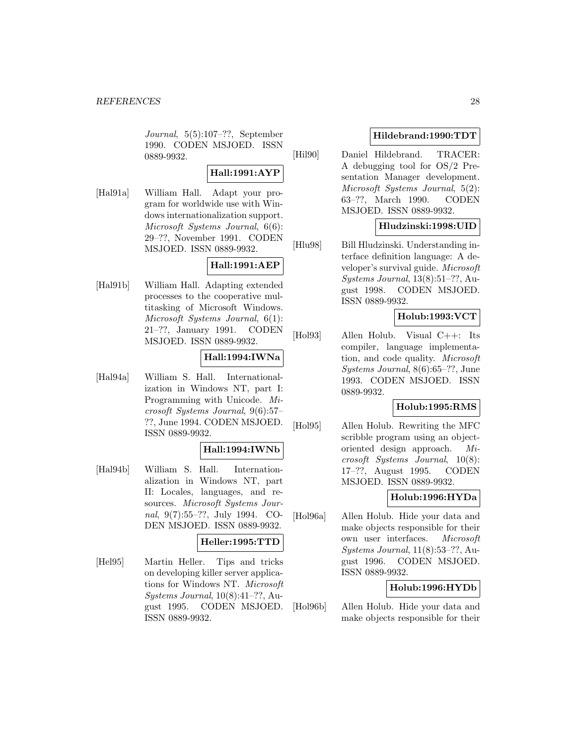Journal, 5(5):107–??, September 1990. CODEN MSJOED. ISSN 0889-9932.

## **Hall:1991:AYP**

[Hal91a] William Hall. Adapt your program for worldwide use with Windows internationalization support. Microsoft Systems Journal, 6(6): 29–??, November 1991. CODEN MSJOED. ISSN 0889-9932.

## **Hall:1991:AEP**

[Hal91b] William Hall. Adapting extended processes to the cooperative multitasking of Microsoft Windows. Microsoft Systems Journal, 6(1): 21–??, January 1991. CODEN MSJOED. ISSN 0889-9932.

## **Hall:1994:IWNa**

[Hal94a] William S. Hall. Internationalization in Windows NT, part I: Programming with Unicode. Microsoft Systems Journal, 9(6):57– ??, June 1994. CODEN MSJOED. ISSN 0889-9932.

## **Hall:1994:IWNb**

[Hal94b] William S. Hall. Internationalization in Windows NT, part II: Locales, languages, and resources. Microsoft Systems Journal, 9(7):55–??, July 1994. CO-DEN MSJOED. ISSN 0889-9932.

## **Heller:1995:TTD**

[Hel95] Martin Heller. Tips and tricks on developing killer server applications for Windows NT. Microsoft Systems Journal, 10(8):41–??, August 1995. CODEN MSJOED. ISSN 0889-9932.

## **Hildebrand:1990:TDT**

[Hil90] Daniel Hildebrand. TRACER: A debugging tool for OS/2 Presentation Manager development. Microsoft Systems Journal, 5(2): 63–??, March 1990. CODEN MSJOED. ISSN 0889-9932.

## **Hludzinski:1998:UID**

[Hlu98] Bill Hludzinski. Understanding interface definition language: A developer's survival guide. Microsoft Systems Journal, 13(8):51–??, August 1998. CODEN MSJOED. ISSN 0889-9932.

## **Holub:1993:VCT**

[Hol93] Allen Holub. Visual C++: Its compiler, language implementation, and code quality. Microsoft Systems Journal, 8(6):65–??, June 1993. CODEN MSJOED. ISSN 0889-9932.

### **Holub:1995:RMS**

[Hol95] Allen Holub. Rewriting the MFC scribble program using an objectoriented design approach. Microsoft Systems Journal, 10(8): 17–??, August 1995. CODEN MSJOED. ISSN 0889-9932.

## **Holub:1996:HYDa**

[Hol96a] Allen Holub. Hide your data and make objects responsible for their own user interfaces. Microsoft Systems Journal, 11(8):53–??, August 1996. CODEN MSJOED. ISSN 0889-9932.

## **Holub:1996:HYDb**

[Hol96b] Allen Holub. Hide your data and make objects responsible for their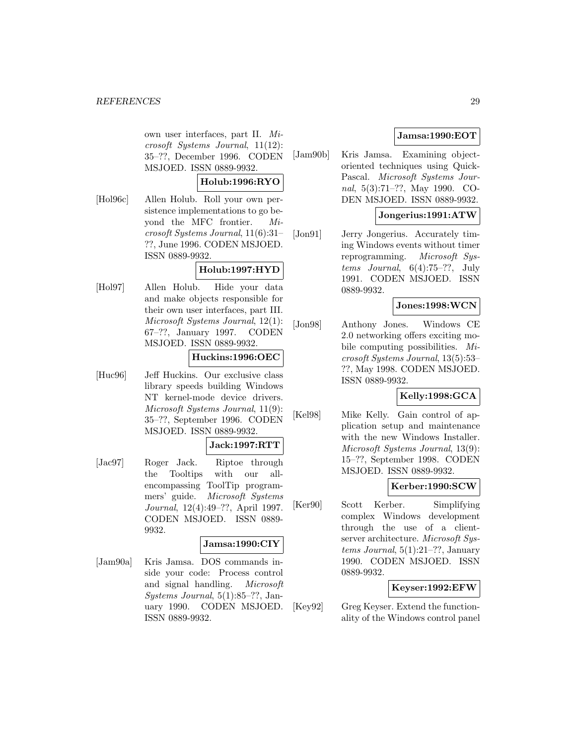own user interfaces, part II. Microsoft Systems Journal, 11(12): 35–??, December 1996. CODEN MSJOED. ISSN 0889-9932.

## **Holub:1996:RYO**

[Hol96c] Allen Holub. Roll your own persistence implementations to go beyond the MFC frontier. Microsoft Systems Journal, 11(6):31– ??, June 1996. CODEN MSJOED. ISSN 0889-9932.

## **Holub:1997:HYD**

[Hol97] Allen Holub. Hide your data and make objects responsible for their own user interfaces, part III. Microsoft Systems Journal, 12(1): 67–??, January 1997. CODEN MSJOED. ISSN 0889-9932.

## **Huckins:1996:OEC**

[Huc96] Jeff Huckins. Our exclusive class library speeds building Windows NT kernel-mode device drivers. Microsoft Systems Journal, 11(9): 35–??, September 1996. CODEN MSJOED. ISSN 0889-9932.

## **Jack:1997:RTT**

[Jac97] Roger Jack. Riptoe through the Tooltips with our allencompassing ToolTip programmers' guide. Microsoft Systems Journal, 12(4):49–??, April 1997. CODEN MSJOED. ISSN 0889- 9932.

### **Jamsa:1990:CIY**

[Jam90a] Kris Jamsa. DOS commands inside your code: Process control and signal handling. Microsoft Systems Journal, 5(1):85–??, January 1990. CODEN MSJOED. ISSN 0889-9932.

## **Jamsa:1990:EOT**

[Jam90b] Kris Jamsa. Examining objectoriented techniques using Quick-Pascal. Microsoft Systems Journal, 5(3):71–??, May 1990. CO-DEN MSJOED. ISSN 0889-9932.

## **Jongerius:1991:ATW**

[Jon91] Jerry Jongerius. Accurately timing Windows events without timer reprogramming. Microsoft Systems Journal,  $6(4):75-??$ , July 1991. CODEN MSJOED. ISSN 0889-9932.

### **Jones:1998:WCN**

[Jon98] Anthony Jones. Windows CE 2.0 networking offers exciting mobile computing possibilities. Microsoft Systems Journal, 13(5):53– ??, May 1998. CODEN MSJOED. ISSN 0889-9932.

### **Kelly:1998:GCA**

[Kel98] Mike Kelly. Gain control of application setup and maintenance with the new Windows Installer. Microsoft Systems Journal, 13(9): 15–??, September 1998. CODEN MSJOED. ISSN 0889-9932.

### **Kerber:1990:SCW**

[Ker90] Scott Kerber. Simplifying complex Windows development through the use of a clientserver architecture. Microsoft Sys $tems\ Journal, 5(1):21-??, January$ 1990. CODEN MSJOED. ISSN 0889-9932.

### **Keyser:1992:EFW**

[Key92] Greg Keyser. Extend the functionality of the Windows control panel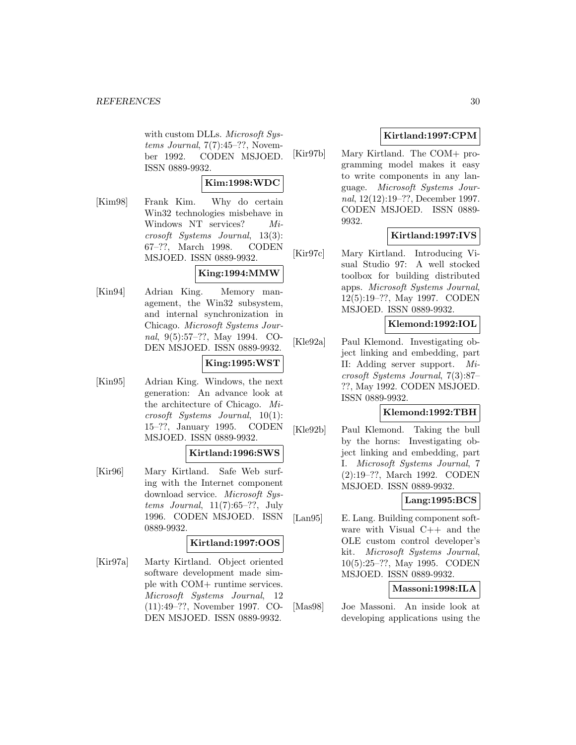with custom DLLs. Microsoft Systems Journal,  $7(7):45-??$ , November 1992. CODEN MSJOED. ISSN 0889-9932.

### **Kim:1998:WDC**

[Kim98] Frank Kim. Why do certain Win32 technologies misbehave in Windows NT services? Microsoft Systems Journal, 13(3): 67–??, March 1998. CODEN MSJOED. ISSN 0889-9932.

## **King:1994:MMW**

[Kin94] Adrian King. Memory management, the Win32 subsystem, and internal synchronization in Chicago. Microsoft Systems Journal, 9(5):57–??, May 1994. CO-DEN MSJOED. ISSN 0889-9932.

## **King:1995:WST**

[Kin95] Adrian King. Windows, the next generation: An advance look at the architecture of Chicago. Microsoft Systems Journal, 10(1): 15–??, January 1995. CODEN MSJOED. ISSN 0889-9932.

### **Kirtland:1996:SWS**

[Kir96] Mary Kirtland. Safe Web surfing with the Internet component download service. Microsoft Systems Journal, 11(7):65–??, July 1996. CODEN MSJOED. ISSN 0889-9932.

## **Kirtland:1997:OOS**

[Kir97a] Marty Kirtland. Object oriented software development made simple with COM+ runtime services. Microsoft Systems Journal, 12 (11):49–??, November 1997. CO-DEN MSJOED. ISSN 0889-9932.

## **Kirtland:1997:CPM**

[Kir97b] Mary Kirtland. The COM+ programming model makes it easy to write components in any language. Microsoft Systems Journal, 12(12):19–??, December 1997. CODEN MSJOED. ISSN 0889- 9932.

## **Kirtland:1997:IVS**

[Kir97c] Mary Kirtland. Introducing Visual Studio 97: A well stocked toolbox for building distributed apps. Microsoft Systems Journal, 12(5):19–??, May 1997. CODEN MSJOED. ISSN 0889-9932.

## **Klemond:1992:IOL**

[Kle92a] Paul Klemond. Investigating object linking and embedding, part II: Adding server support. Microsoft Systems Journal, 7(3):87– ??, May 1992. CODEN MSJOED. ISSN 0889-9932.

## **Klemond:1992:TBH**

[Kle92b] Paul Klemond. Taking the bull by the horns: Investigating object linking and embedding, part I. Microsoft Systems Journal, 7 (2):19–??, March 1992. CODEN MSJOED. ISSN 0889-9932.

### **Lang:1995:BCS**

[Lan95] E. Lang. Building component software with Visual C++ and the OLE custom control developer's kit. Microsoft Systems Journal, 10(5):25–??, May 1995. CODEN MSJOED. ISSN 0889-9932.

### **Massoni:1998:ILA**

[Mas98] Joe Massoni. An inside look at developing applications using the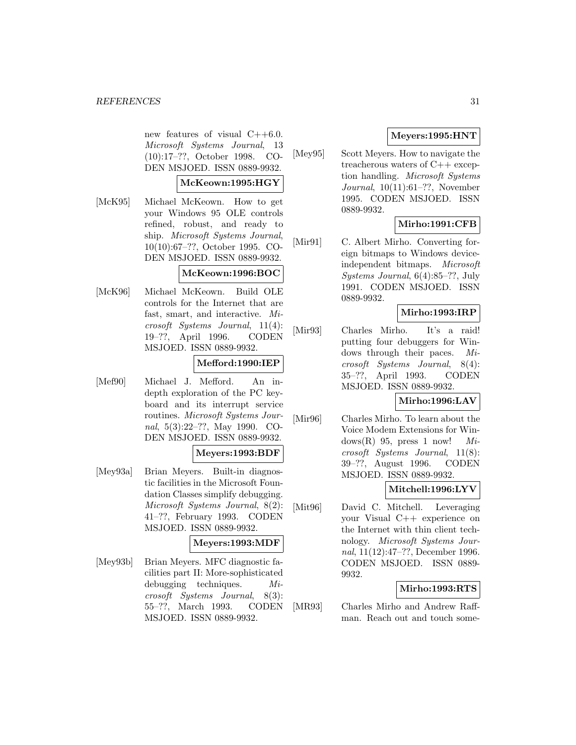new features of visual  $C++6.0$ . Microsoft Systems Journal, 13 (10):17–??, October 1998. CO-DEN MSJOED. ISSN 0889-9932.

#### **McKeown:1995:HGY**

[McK95] Michael McKeown. How to get your Windows 95 OLE controls refined, robust, and ready to ship. Microsoft Systems Journal, 10(10):67–??, October 1995. CO-DEN MSJOED. ISSN 0889-9932.

### **McKeown:1996:BOC**

[McK96] Michael McKeown. Build OLE controls for the Internet that are fast, smart, and interactive. Microsoft Systems Journal, 11(4): 19–??, April 1996. CODEN MSJOED. ISSN 0889-9932.

## **Mefford:1990:IEP**

[Mef90] Michael J. Mefford. An indepth exploration of the PC keyboard and its interrupt service routines. Microsoft Systems Journal, 5(3):22–??, May 1990. CO-DEN MSJOED. ISSN 0889-9932.

### **Meyers:1993:BDF**

[Mey93a] Brian Meyers. Built-in diagnostic facilities in the Microsoft Foundation Classes simplify debugging. Microsoft Systems Journal, 8(2): 41–??, February 1993. CODEN MSJOED. ISSN 0889-9932.

### **Meyers:1993:MDF**

[Mey93b] Brian Meyers. MFC diagnostic facilities part II: More-sophisticated debugging techniques. Microsoft Systems Journal, 8(3): 55–??, March 1993. CODEN MSJOED. ISSN 0889-9932.

## **Meyers:1995:HNT**

[Mey95] Scott Meyers. How to navigate the treacherous waters of C++ exception handling. Microsoft Systems Journal, 10(11):61–??, November 1995. CODEN MSJOED. ISSN 0889-9932.

## **Mirho:1991:CFB**

[Mir91] C. Albert Mirho. Converting foreign bitmaps to Windows deviceindependent bitmaps. Microsoft Systems Journal, 6(4):85–??, July 1991. CODEN MSJOED. ISSN 0889-9932.

## **Mirho:1993:IRP**

[Mir93] Charles Mirho. It's a raid! putting four debuggers for Windows through their paces. Microsoft Systems Journal, 8(4): 35–??, April 1993. CODEN MSJOED. ISSN 0889-9932.

### **Mirho:1996:LAV**

[Mir96] Charles Mirho. To learn about the Voice Modem Extensions for Windows(R) 95, press 1 now!  $Mi$ crosoft Systems Journal, 11(8): 39–??, August 1996. CODEN MSJOED. ISSN 0889-9932.

### **Mitchell:1996:LYV**

[Mit96] David C. Mitchell. Leveraging your Visual C++ experience on the Internet with thin client technology. Microsoft Systems Journal, 11(12):47–??, December 1996. CODEN MSJOED. ISSN 0889- 9932.

## **Mirho:1993:RTS**

[MR93] Charles Mirho and Andrew Raffman. Reach out and touch some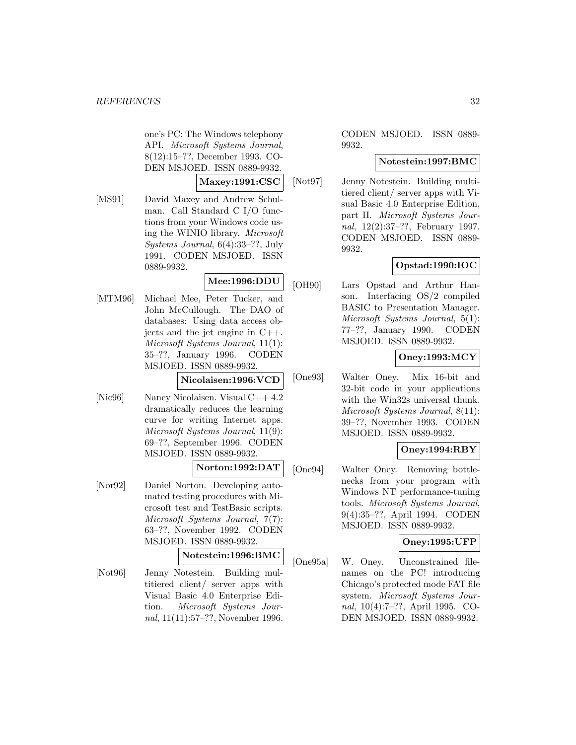one's PC: The Windows telephony API. Microsoft Systems Journal, 8(12):15–??, December 1993. CO-DEN MSJOED. ISSN 0889-9932.

### **Maxey:1991:CSC**

[MS91] David Maxey and Andrew Schulman. Call Standard C I/O functions from your Windows code using the WINIO library. Microsoft Systems Journal, 6(4):33–??, July 1991. CODEN MSJOED. ISSN 0889-9932.

## **Mee:1996:DDU**

[MTM96] Michael Mee, Peter Tucker, and John McCullough. The DAO of databases: Using data access objects and the jet engine in  $C_{++}$ . Microsoft Systems Journal, 11(1): 35–??, January 1996. CODEN MSJOED. ISSN 0889-9932.

### **Nicolaisen:1996:VCD**

[Nic96] Nancy Nicolaisen. Visual C++ 4.2 dramatically reduces the learning curve for writing Internet apps. Microsoft Systems Journal, 11(9): 69–??, September 1996. CODEN MSJOED. ISSN 0889-9932.

### **Norton:1992:DAT**

[Nor92] Daniel Norton. Developing automated testing procedures with Microsoft test and TestBasic scripts. Microsoft Systems Journal, 7(7): 63–??, November 1992. CODEN MSJOED. ISSN 0889-9932.

#### **Notestein:1996:BMC**

[Not96] Jenny Notestein. Building multitiered client/ server apps with Visual Basic 4.0 Enterprise Edition. Microsoft Systems Journal, 11(11):57–??, November 1996.

CODEN MSJOED. ISSN 0889- 9932.

### **Notestein:1997:BMC**

[Not97] Jenny Notestein. Building multitiered client/ server apps with Visual Basic 4.0 Enterprise Edition, part II. Microsoft Systems Journal, 12(2):37–??, February 1997. CODEN MSJOED. ISSN 0889- 9932.

## **Opstad:1990:IOC**

[OH90] Lars Opstad and Arthur Hanson. Interfacing OS/2 compiled BASIC to Presentation Manager. Microsoft Systems Journal, 5(1): 77–??, January 1990. CODEN MSJOED. ISSN 0889-9932.

## **Oney:1993:MCY**

[One93] Walter Oney. Mix 16-bit and 32-bit code in your applications with the Win32s universal thunk. Microsoft Systems Journal, 8(11): 39–??, November 1993. CODEN MSJOED. ISSN 0889-9932.

## **Oney:1994:RBY**

[One94] Walter Oney. Removing bottlenecks from your program with Windows NT performance-tuning tools. Microsoft Systems Journal, 9(4):35–??, April 1994. CODEN MSJOED. ISSN 0889-9932.

## **Oney:1995:UFP**

[One95a] W. Oney. Unconstrained filenames on the PC! introducing Chicago's protected mode FAT file system. Microsoft Systems Journal, 10(4):7–??, April 1995. CO-DEN MSJOED. ISSN 0889-9932.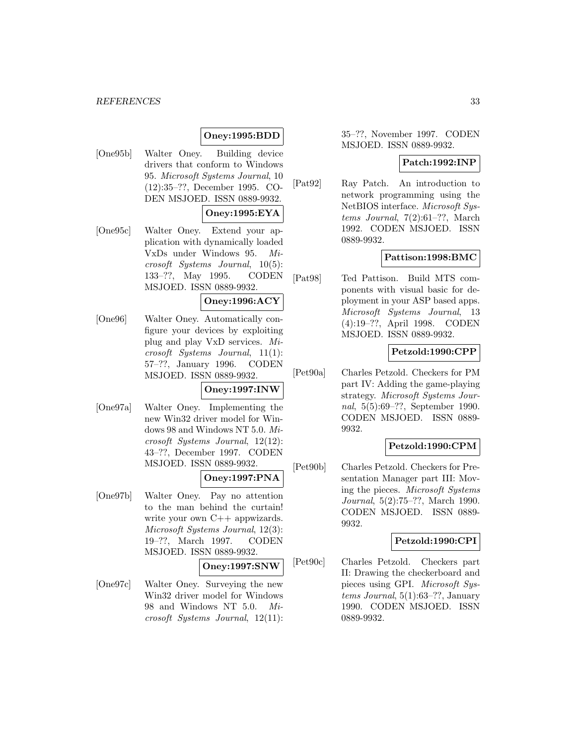## **Oney:1995:BDD**

[One95b] Walter Oney. Building device drivers that conform to Windows 95. Microsoft Systems Journal, 10 (12):35–??, December 1995. CO-DEN MSJOED. ISSN 0889-9932.

## **Oney:1995:EYA**

[One95c] Walter Oney. Extend your application with dynamically loaded VxDs under Windows 95. Microsoft Systems Journal, 10(5): 133–??, May 1995. CODEN MSJOED. ISSN 0889-9932.

### **Oney:1996:ACY**

[One96] Walter Oney. Automatically configure your devices by exploiting plug and play VxD services. Microsoft Systems Journal, 11(1): 57–??, January 1996. CODEN MSJOED. ISSN 0889-9932.

#### **Oney:1997:INW**

[One97a] Walter Oney. Implementing the new Win32 driver model for Windows 98 and Windows NT 5.0. Microsoft Systems Journal, 12(12): 43–??, December 1997. CODEN MSJOED. ISSN 0889-9932.

#### **Oney:1997:PNA**

[One97b] Walter Oney. Pay no attention to the man behind the curtain! write your own  $C++$  appwizards. Microsoft Systems Journal, 12(3): 19–??, March 1997. CODEN MSJOED. ISSN 0889-9932.

#### **Oney:1997:SNW**

[One97c] Walter Oney. Surveying the new Win32 driver model for Windows 98 and Windows NT 5.0. Microsoft Systems Journal, 12(11):

35–??, November 1997. CODEN MSJOED. ISSN 0889-9932.

#### **Patch:1992:INP**

[Pat92] Ray Patch. An introduction to network programming using the NetBIOS interface. Microsoft Systems Journal, 7(2):61–??, March 1992. CODEN MSJOED. ISSN 0889-9932.

#### **Pattison:1998:BMC**

[Pat98] Ted Pattison. Build MTS components with visual basic for deployment in your ASP based apps. Microsoft Systems Journal, 13 (4):19–??, April 1998. CODEN MSJOED. ISSN 0889-9932.

## **Petzold:1990:CPP**

[Pet90a] Charles Petzold. Checkers for PM part IV: Adding the game-playing strategy. Microsoft Systems Journal, 5(5):69–??, September 1990. CODEN MSJOED. ISSN 0889- 9932.

#### **Petzold:1990:CPM**

[Pet90b] Charles Petzold. Checkers for Presentation Manager part III: Moving the pieces. Microsoft Systems Journal, 5(2):75–??, March 1990. CODEN MSJOED. ISSN 0889- 9932.

#### **Petzold:1990:CPI**

[Pet90c] Charles Petzold. Checkers part II: Drawing the checkerboard and pieces using GPI. Microsoft Sys $tems\ Journal, 5(1):63-??, January$ 1990. CODEN MSJOED. ISSN 0889-9932.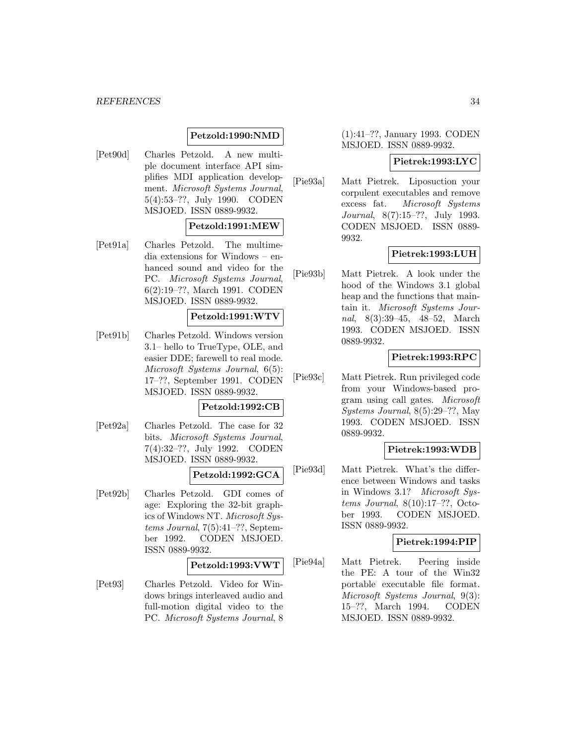## **Petzold:1990:NMD**

[Pet90d] Charles Petzold. A new multiple document interface API simplifies MDI application development. Microsoft Systems Journal, 5(4):53–??, July 1990. CODEN MSJOED. ISSN 0889-9932.

### **Petzold:1991:MEW**

[Pet91a] Charles Petzold. The multimedia extensions for Windows – enhanced sound and video for the PC. Microsoft Systems Journal, 6(2):19–??, March 1991. CODEN MSJOED. ISSN 0889-9932.

#### **Petzold:1991:WTV**

[Pet91b] Charles Petzold. Windows version 3.1– hello to TrueType, OLE, and easier DDE; farewell to real mode. Microsoft Systems Journal, 6(5): 17–??, September 1991. CODEN MSJOED. ISSN 0889-9932.

#### **Petzold:1992:CB**

[Pet92a] Charles Petzold. The case for 32 bits. Microsoft Systems Journal, 7(4):32–??, July 1992. CODEN MSJOED. ISSN 0889-9932.

## **Petzold:1992:GCA**

[Pet92b] Charles Petzold. GDI comes of age: Exploring the 32-bit graphics of Windows NT. Microsoft Systems Journal, 7(5):41–??, September 1992. CODEN MSJOED. ISSN 0889-9932.

#### **Petzold:1993:VWT**

[Pet93] Charles Petzold. Video for Windows brings interleaved audio and full-motion digital video to the PC. Microsoft Systems Journal, 8

## (1):41–??, January 1993. CODEN MSJOED. ISSN 0889-9932.

### **Pietrek:1993:LYC**

[Pie93a] Matt Pietrek. Liposuction your corpulent executables and remove excess fat. Microsoft Systems Journal, 8(7):15–??, July 1993. CODEN MSJOED. ISSN 0889- 9932.

## **Pietrek:1993:LUH**

[Pie93b] Matt Pietrek. A look under the hood of the Windows 3.1 global heap and the functions that maintain it. Microsoft Systems Journal, 8(3):39–45, 48–52, March 1993. CODEN MSJOED. ISSN 0889-9932.

## **Pietrek:1993:RPC**

[Pie93c] Matt Pietrek. Run privileged code from your Windows-based program using call gates. Microsoft Systems Journal, 8(5):29–??, May 1993. CODEN MSJOED. ISSN 0889-9932.

## **Pietrek:1993:WDB**

[Pie93d] Matt Pietrek. What's the difference between Windows and tasks in Windows 3.1? Microsoft Systems Journal, 8(10):17–??, October 1993. CODEN MSJOED. ISSN 0889-9932.

#### **Pietrek:1994:PIP**

[Pie94a] Matt Pietrek. Peering inside the PE: A tour of the Win32 portable executable file format. Microsoft Systems Journal, 9(3): 15–??, March 1994. CODEN MSJOED. ISSN 0889-9932.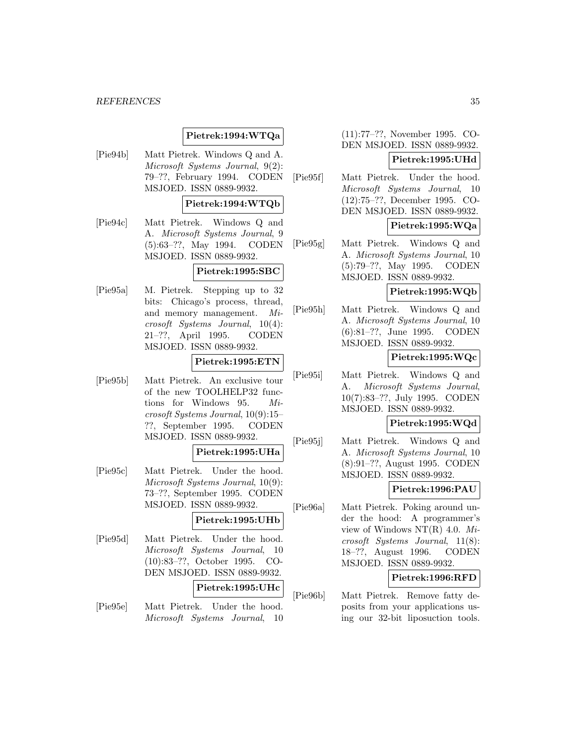## **Pietrek:1994:WTQa**

[Pie94b] Matt Pietrek. Windows Q and A. Microsoft Systems Journal, 9(2): 79–??, February 1994. CODEN MSJOED. ISSN 0889-9932.

### **Pietrek:1994:WTQb**

[Pie94c] Matt Pietrek. Windows Q and A. Microsoft Systems Journal, 9 (5):63–??, May 1994. CODEN MSJOED. ISSN 0889-9932.

### **Pietrek:1995:SBC**

[Pie95a] M. Pietrek. Stepping up to 32 bits: Chicago's process, thread, and memory management. Microsoft Systems Journal, 10(4): 21–??, April 1995. CODEN MSJOED. ISSN 0889-9932.

### **Pietrek:1995:ETN**

[Pie95b] Matt Pietrek. An exclusive tour of the new TOOLHELP32 functions for Windows 95. Microsoft Systems Journal, 10(9):15– ??, September 1995. CODEN MSJOED. ISSN 0889-9932.

#### **Pietrek:1995:UHa**

[Pie95c] Matt Pietrek. Under the hood. Microsoft Systems Journal, 10(9): 73–??, September 1995. CODEN MSJOED. ISSN 0889-9932.

#### **Pietrek:1995:UHb**

[Pie95d] Matt Pietrek. Under the hood. Microsoft Systems Journal, 10 (10):83–??, October 1995. CO-DEN MSJOED. ISSN 0889-9932.

#### **Pietrek:1995:UHc**

[Pie95e] Matt Pietrek. Under the hood. Microsoft Systems Journal, 10

(11):77–??, November 1995. CO-DEN MSJOED. ISSN 0889-9932.

## **Pietrek:1995:UHd**

[Pie95f] Matt Pietrek. Under the hood. Microsoft Systems Journal, 10 (12):75–??, December 1995. CO-DEN MSJOED. ISSN 0889-9932.

### **Pietrek:1995:WQa**

[Pie95g] Matt Pietrek. Windows Q and A. Microsoft Systems Journal, 10 (5):79–??, May 1995. CODEN MSJOED. ISSN 0889-9932.

### **Pietrek:1995:WQb**

[Pie95h] Matt Pietrek. Windows Q and A. Microsoft Systems Journal, 10 (6):81–??, June 1995. CODEN MSJOED. ISSN 0889-9932.

## **Pietrek:1995:WQc**

[Pie95i] Matt Pietrek. Windows Q and A. Microsoft Systems Journal, 10(7):83–??, July 1995. CODEN MSJOED. ISSN 0889-9932.

### **Pietrek:1995:WQd**

[Pie95j] Matt Pietrek. Windows Q and A. Microsoft Systems Journal, 10 (8):91–??, August 1995. CODEN MSJOED. ISSN 0889-9932.

#### **Pietrek:1996:PAU**

[Pie96a] Matt Pietrek. Poking around under the hood: A programmer's view of Windows NT(R) 4.0.  $Mi$ crosoft Systems Journal, 11(8): 18–??, August 1996. CODEN MSJOED. ISSN 0889-9932.

#### **Pietrek:1996:RFD**

[Pie96b] Matt Pietrek. Remove fatty deposits from your applications using our 32-bit liposuction tools.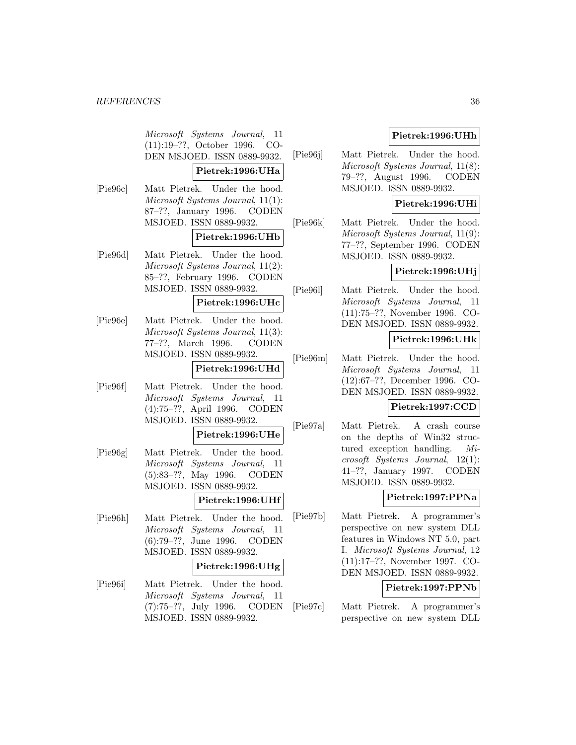Microsoft Systems Journal, 11 (11):19–??, October 1996. CO-DEN MSJOED. ISSN 0889-9932.

### **Pietrek:1996:UHa**

[Pie96c] Matt Pietrek. Under the hood. Microsoft Systems Journal, 11(1): 87–??, January 1996. CODEN MSJOED. ISSN 0889-9932.

### **Pietrek:1996:UHb**

[Pie96d] Matt Pietrek. Under the hood. Microsoft Systems Journal, 11(2): 85–??, February 1996. CODEN MSJOED. ISSN 0889-9932.

### **Pietrek:1996:UHc**

[Pie96e] Matt Pietrek. Under the hood. Microsoft Systems Journal, 11(3): 77–??, March 1996. CODEN MSJOED. ISSN 0889-9932.

### **Pietrek:1996:UHd**

[Pie96f] Matt Pietrek. Under the hood. Microsoft Systems Journal, 11 (4):75–??, April 1996. CODEN MSJOED. ISSN 0889-9932.

### **Pietrek:1996:UHe**

[Pie96g] Matt Pietrek. Under the hood. Microsoft Systems Journal, 11 (5):83–??, May 1996. CODEN MSJOED. ISSN 0889-9932.

## **Pietrek:1996:UHf**

[Pie96h] Matt Pietrek. Under the hood. Microsoft Systems Journal, 11 (6):79–??, June 1996. CODEN MSJOED. ISSN 0889-9932.

### **Pietrek:1996:UHg**

[Pie96i] Matt Pietrek. Under the hood. Microsoft Systems Journal, 11 (7):75–??, July 1996. CODEN MSJOED. ISSN 0889-9932.

## **Pietrek:1996:UHh**

[Pie96j] Matt Pietrek. Under the hood. Microsoft Systems Journal, 11(8): 79–??, August 1996. CODEN MSJOED. ISSN 0889-9932.

## **Pietrek:1996:UHi**

[Pie96k] Matt Pietrek. Under the hood. Microsoft Systems Journal, 11(9): 77–??, September 1996. CODEN MSJOED. ISSN 0889-9932.

### **Pietrek:1996:UHj**

[Pie96l] Matt Pietrek. Under the hood. Microsoft Systems Journal, 11 (11):75–??, November 1996. CO-DEN MSJOED. ISSN 0889-9932.

## **Pietrek:1996:UHk**

[Pie96m] Matt Pietrek. Under the hood. Microsoft Systems Journal, 11 (12):67–??, December 1996. CO-DEN MSJOED. ISSN 0889-9932.

### **Pietrek:1997:CCD**

[Pie97a] Matt Pietrek. A crash course on the depths of Win32 structured exception handling. Microsoft Systems Journal, 12(1): 41–??, January 1997. CODEN MSJOED. ISSN 0889-9932.

## **Pietrek:1997:PPNa**

[Pie97b] Matt Pietrek. A programmer's perspective on new system DLL features in Windows NT 5.0, part I. Microsoft Systems Journal, 12 (11):17–??, November 1997. CO-DEN MSJOED. ISSN 0889-9932.

#### **Pietrek:1997:PPNb**

[Pie97c] Matt Pietrek. A programmer's perspective on new system DLL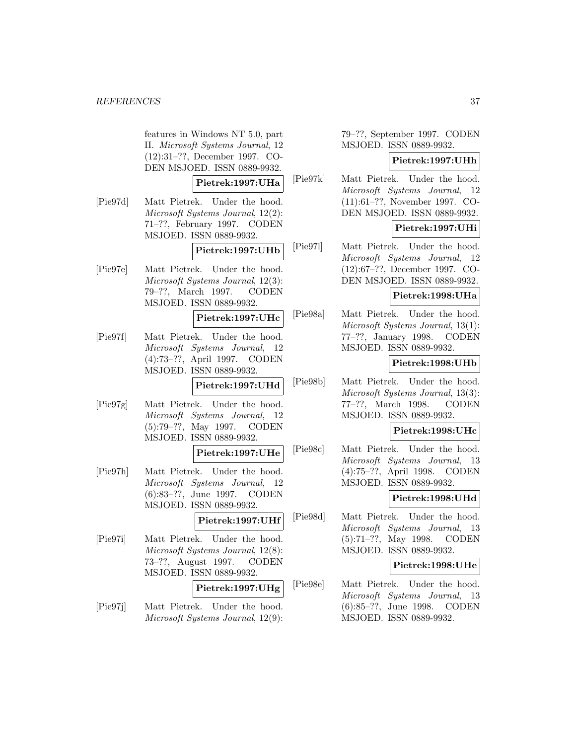features in Windows NT 5.0, part II. Microsoft Systems Journal, 12 (12):31–??, December 1997. CO-DEN MSJOED. ISSN 0889-9932.

#### **Pietrek:1997:UHa**

[Pie97d] Matt Pietrek. Under the hood. Microsoft Systems Journal, 12(2): 71–??, February 1997. CODEN MSJOED. ISSN 0889-9932.

## **Pietrek:1997:UHb**

[Pie97e] Matt Pietrek. Under the hood. Microsoft Systems Journal, 12(3): 79–??, March 1997. CODEN MSJOED. ISSN 0889-9932.

#### **Pietrek:1997:UHc**

[Pie97f] Matt Pietrek. Under the hood. Microsoft Systems Journal, 12 (4):73–??, April 1997. CODEN MSJOED. ISSN 0889-9932.

### **Pietrek:1997:UHd**

[Pie97g] Matt Pietrek. Under the hood. Microsoft Systems Journal, 12 (5):79–??, May 1997. CODEN MSJOED. ISSN 0889-9932.

## **Pietrek:1997:UHe**

[Pie97h] Matt Pietrek. Under the hood. Microsoft Systems Journal, 12 (6):83–??, June 1997. CODEN MSJOED. ISSN 0889-9932.

### **Pietrek:1997:UHf**

[Pie97i] Matt Pietrek. Under the hood. Microsoft Systems Journal, 12(8): 73–??, August 1997. CODEN MSJOED. ISSN 0889-9932.

## **Pietrek:1997:UHg**

[Pie97j] Matt Pietrek. Under the hood. Microsoft Systems Journal, 12(9):

79–??, September 1997. CODEN MSJOED. ISSN 0889-9932.

#### **Pietrek:1997:UHh**

[Pie97k] Matt Pietrek. Under the hood. Microsoft Systems Journal, 12 (11):61–??, November 1997. CO-DEN MSJOED. ISSN 0889-9932.

## **Pietrek:1997:UHi**

[Pie97l] Matt Pietrek. Under the hood. Microsoft Systems Journal, 12 (12):67–??, December 1997. CO-DEN MSJOED. ISSN 0889-9932.

## **Pietrek:1998:UHa**

[Pie98a] Matt Pietrek. Under the hood. Microsoft Systems Journal, 13(1): 77–??, January 1998. CODEN MSJOED. ISSN 0889-9932.

### **Pietrek:1998:UHb**

[Pie98b] Matt Pietrek. Under the hood. Microsoft Systems Journal, 13(3): 77–??, March 1998. CODEN MSJOED. ISSN 0889-9932.

#### **Pietrek:1998:UHc**

[Pie98c] Matt Pietrek. Under the hood. Microsoft Systems Journal, 13 (4):75–??, April 1998. CODEN MSJOED. ISSN 0889-9932.

### **Pietrek:1998:UHd**

[Pie98d] Matt Pietrek. Under the hood. Microsoft Systems Journal, 13 (5):71–??, May 1998. CODEN MSJOED. ISSN 0889-9932.

#### **Pietrek:1998:UHe**

[Pie98e] Matt Pietrek. Under the hood. Microsoft Systems Journal, 13 (6):85–??, June 1998. CODEN MSJOED. ISSN 0889-9932.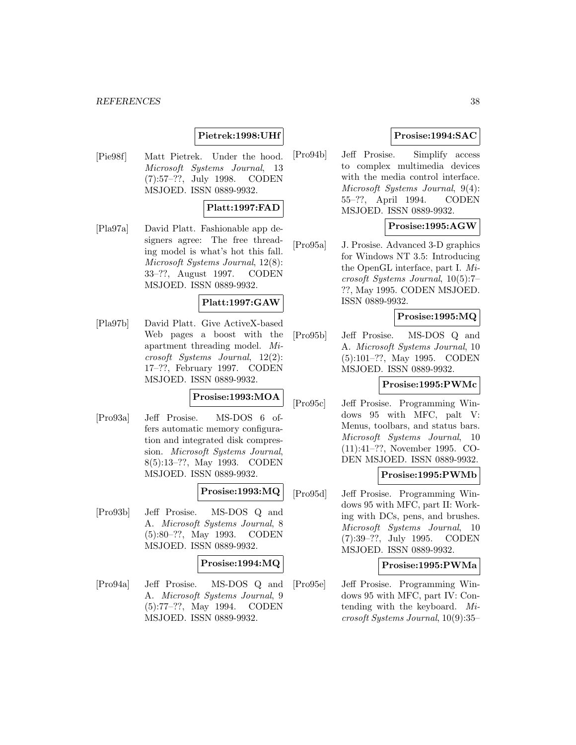## **Pietrek:1998:UHf**

[Pie98f] Matt Pietrek. Under the hood. Microsoft Systems Journal, 13 (7):57–??, July 1998. CODEN MSJOED. ISSN 0889-9932.

#### **Platt:1997:FAD**

[Pla97a] David Platt. Fashionable app designers agree: The free threading model is what's hot this fall. Microsoft Systems Journal, 12(8): 33–??, August 1997. CODEN MSJOED. ISSN 0889-9932.

### **Platt:1997:GAW**

[Pla97b] David Platt. Give ActiveX-based Web pages a boost with the apartment threading model. Microsoft Systems Journal, 12(2): 17–??, February 1997. CODEN MSJOED. ISSN 0889-9932.

## **Prosise:1993:MOA**

[Pro93a] Jeff Prosise. MS-DOS 6 offers automatic memory configuration and integrated disk compression. Microsoft Systems Journal, 8(5):13–??, May 1993. CODEN MSJOED. ISSN 0889-9932.

## **Prosise:1993:MQ**

[Pro93b] Jeff Prosise. MS-DOS Q and A. Microsoft Systems Journal, 8 (5):80–??, May 1993. CODEN MSJOED. ISSN 0889-9932.

#### **Prosise:1994:MQ**

[Pro94a] Jeff Prosise. MS-DOS Q and A. Microsoft Systems Journal, 9 (5):77–??, May 1994. CODEN MSJOED. ISSN 0889-9932.

## **Prosise:1994:SAC**

[Pro94b] Jeff Prosise. Simplify access to complex multimedia devices with the media control interface. Microsoft Systems Journal, 9(4): 55–??, April 1994. CODEN MSJOED. ISSN 0889-9932.

### **Prosise:1995:AGW**

[Pro95a] J. Prosise. Advanced 3-D graphics for Windows NT 3.5: Introducing the OpenGL interface, part I. Microsoft Systems Journal, 10(5):7– ??, May 1995. CODEN MSJOED. ISSN 0889-9932.

### **Prosise:1995:MQ**

[Pro95b] Jeff Prosise. MS-DOS Q and A. Microsoft Systems Journal, 10 (5):101–??, May 1995. CODEN MSJOED. ISSN 0889-9932.

### **Prosise:1995:PWMc**

[Pro95c] Jeff Prosise. Programming Windows 95 with MFC, palt V: Menus, toolbars, and status bars. Microsoft Systems Journal, 10 (11):41–??, November 1995. CO-DEN MSJOED. ISSN 0889-9932.

#### **Prosise:1995:PWMb**

[Pro95d] Jeff Prosise. Programming Windows 95 with MFC, part II: Working with DCs, pens, and brushes. Microsoft Systems Journal, 10 (7):39–??, July 1995. CODEN MSJOED. ISSN 0889-9932.

#### **Prosise:1995:PWMa**

[Pro95e] Jeff Prosise. Programming Windows 95 with MFC, part IV: Contending with the keyboard. Microsoft Systems Journal, 10(9):35–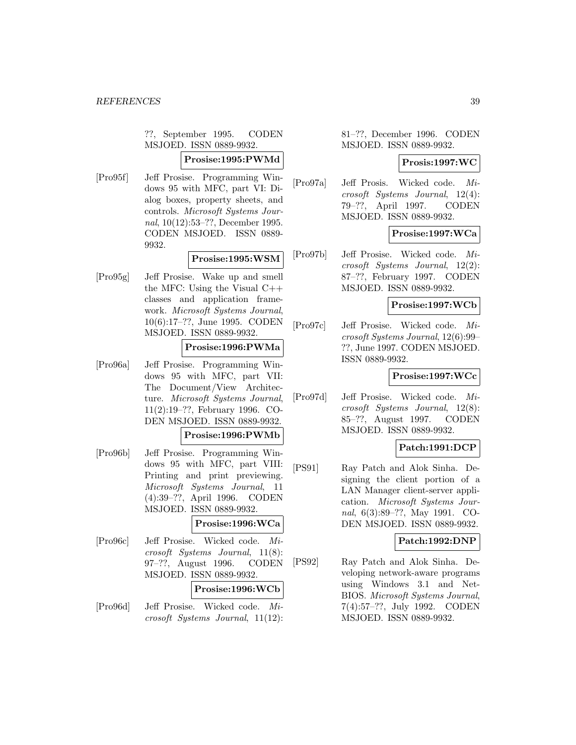??, September 1995. CODEN MSJOED. ISSN 0889-9932.

### **Prosise:1995:PWMd**

[Pro95f] Jeff Prosise. Programming Windows 95 with MFC, part VI: Dialog boxes, property sheets, and controls. Microsoft Systems Journal, 10(12):53–??, December 1995. CODEN MSJOED. ISSN 0889- 9932.

### **Prosise:1995:WSM**

[Pro95g] Jeff Prosise. Wake up and smell the MFC: Using the Visual C++ classes and application framework. Microsoft Systems Journal, 10(6):17–??, June 1995. CODEN MSJOED. ISSN 0889-9932.

### **Prosise:1996:PWMa**

[Pro96a] Jeff Prosise. Programming Windows 95 with MFC, part VII: The Document/View Architecture. Microsoft Systems Journal, 11(2):19–??, February 1996. CO-DEN MSJOED. ISSN 0889-9932.

### **Prosise:1996:PWMb**

[Pro96b] Jeff Prosise. Programming Windows 95 with MFC, part VIII: Printing and print previewing. Microsoft Systems Journal, 11 (4):39–??, April 1996. CODEN MSJOED. ISSN 0889-9932.

## **Prosise:1996:WCa**

[Pro96c] Jeff Prosise. Wicked code. Microsoft Systems Journal, 11(8): 97–??, August 1996. CODEN MSJOED. ISSN 0889-9932.

### **Prosise:1996:WCb**

[Pro96d] Jeff Prosise. Wicked code. Microsoft Systems Journal, 11(12): 81–??, December 1996. CODEN MSJOED. ISSN 0889-9932.

### **Prosis:1997:WC**

[Pro97a] Jeff Prosis. Wicked code. Microsoft Systems Journal, 12(4): 79–??, April 1997. CODEN MSJOED. ISSN 0889-9932.

## **Prosise:1997:WCa**

[Pro97b] Jeff Prosise. Wicked code. Microsoft Systems Journal, 12(2): 87–??, February 1997. CODEN MSJOED. ISSN 0889-9932.

### **Prosise:1997:WCb**

[Pro97c] Jeff Prosise. Wicked code. Microsoft Systems Journal, 12(6):99– ??, June 1997. CODEN MSJOED. ISSN 0889-9932.

### **Prosise:1997:WCc**

[Pro97d] Jeff Prosise. Wicked code. Microsoft Systems Journal, 12(8): 85–??, August 1997. CODEN MSJOED. ISSN 0889-9932.

### **Patch:1991:DCP**

[PS91] Ray Patch and Alok Sinha. Designing the client portion of a LAN Manager client-server application. Microsoft Systems Journal, 6(3):89–??, May 1991. CO-DEN MSJOED. ISSN 0889-9932.

#### **Patch:1992:DNP**

[PS92] Ray Patch and Alok Sinha. Developing network-aware programs using Windows 3.1 and Net-BIOS. Microsoft Systems Journal, 7(4):57–??, July 1992. CODEN MSJOED. ISSN 0889-9932.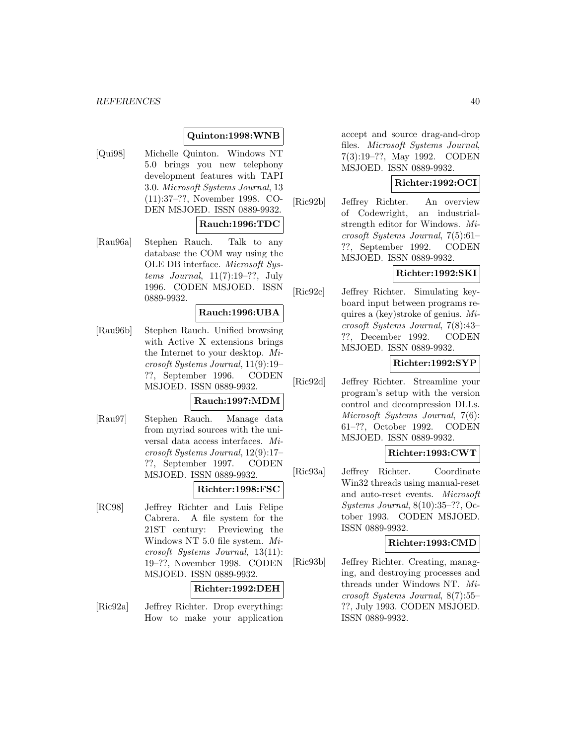### **Quinton:1998:WNB**

[Qui98] Michelle Quinton. Windows NT 5.0 brings you new telephony development features with TAPI 3.0. Microsoft Systems Journal, 13 (11):37–??, November 1998. CO-DEN MSJOED. ISSN 0889-9932.

### **Rauch:1996:TDC**

[Rau96a] Stephen Rauch. Talk to any database the COM way using the OLE DB interface. Microsoft Systems Journal,  $11(7):19-??$ , July 1996. CODEN MSJOED. ISSN 0889-9932.

### **Rauch:1996:UBA**

[Rau96b] Stephen Rauch. Unified browsing with Active X extensions brings the Internet to your desktop. Microsoft Systems Journal, 11(9):19– ??, September 1996. CODEN MSJOED. ISSN 0889-9932.

#### **Rauch:1997:MDM**

[Rau97] Stephen Rauch. Manage data from myriad sources with the universal data access interfaces. Microsoft Systems Journal, 12(9):17– ??, September 1997. CODEN MSJOED. ISSN 0889-9932.

### **Richter:1998:FSC**

[RC98] Jeffrey Richter and Luis Felipe Cabrera. A file system for the 21ST century: Previewing the Windows NT 5.0 file system. Microsoft Systems Journal, 13(11): 19–??, November 1998. CODEN MSJOED. ISSN 0889-9932.

#### **Richter:1992:DEH**

[Ric92a] Jeffrey Richter. Drop everything: How to make your application accept and source drag-and-drop files. Microsoft Systems Journal, 7(3):19–??, May 1992. CODEN MSJOED. ISSN 0889-9932.

### **Richter:1992:OCI**

[Ric92b] Jeffrey Richter. An overview of Codewright, an industrialstrength editor for Windows. Microsoft Systems Journal, 7(5):61– ??, September 1992. CODEN MSJOED. ISSN 0889-9932.

## **Richter:1992:SKI**

[Ric92c] Jeffrey Richter. Simulating keyboard input between programs requires a (key)stroke of genius. Microsoft Systems Journal, 7(8):43– ??, December 1992. CODEN MSJOED. ISSN 0889-9932.

### **Richter:1992:SYP**

[Ric92d] Jeffrey Richter. Streamline your program's setup with the version control and decompression DLLs. Microsoft Systems Journal, 7(6): 61–??, October 1992. CODEN MSJOED. ISSN 0889-9932.

### **Richter:1993:CWT**

[Ric93a] Jeffrey Richter. Coordinate Win32 threads using manual-reset and auto-reset events. Microsoft Systems Journal, 8(10):35–??, October 1993. CODEN MSJOED. ISSN 0889-9932.

#### **Richter:1993:CMD**

[Ric93b] Jeffrey Richter. Creating, managing, and destroying processes and threads under Windows NT. Microsoft Systems Journal, 8(7):55– ??, July 1993. CODEN MSJOED. ISSN 0889-9932.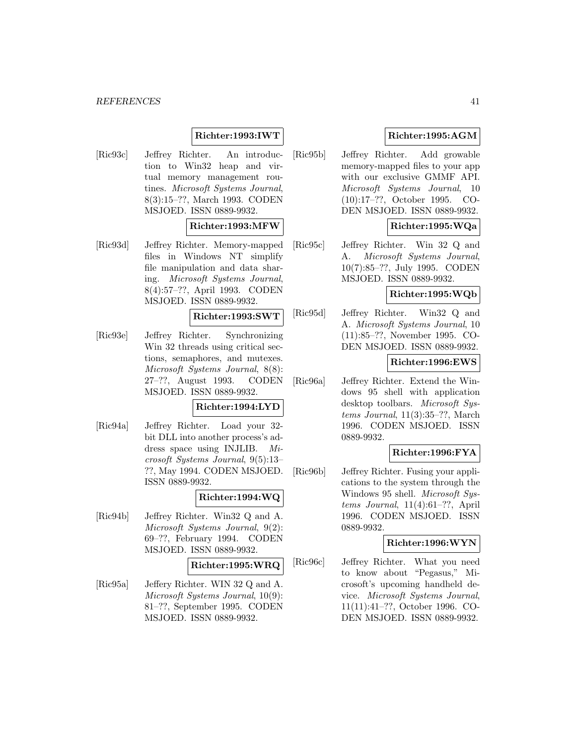## **Richter:1993:IWT**

[Ric93c] Jeffrey Richter. An introduction to Win32 heap and virtual memory management routines. Microsoft Systems Journal, 8(3):15–??, March 1993. CODEN MSJOED. ISSN 0889-9932.

### **Richter:1993:MFW**

[Ric93d] Jeffrey Richter. Memory-mapped files in Windows NT simplify file manipulation and data sharing. Microsoft Systems Journal, 8(4):57–??, April 1993. CODEN MSJOED. ISSN 0889-9932.

#### **Richter:1993:SWT**

[Ric93e] Jeffrey Richter. Synchronizing Win 32 threads using critical sections, semaphores, and mutexes. Microsoft Systems Journal, 8(8): 27–??, August 1993. CODEN MSJOED. ISSN 0889-9932.

#### **Richter:1994:LYD**

[Ric94a] Jeffrey Richter. Load your 32 bit DLL into another process's address space using INJLIB. Microsoft Systems Journal, 9(5):13– ??, May 1994. CODEN MSJOED. ISSN 0889-9932.

## **Richter:1994:WQ**

[Ric94b] Jeffrey Richter. Win32 Q and A. Microsoft Systems Journal, 9(2): 69–??, February 1994. CODEN MSJOED. ISSN 0889-9932.

#### **Richter:1995:WRQ**

[Ric95a] Jeffery Richter. WIN 32 Q and A. Microsoft Systems Journal, 10(9): 81–??, September 1995. CODEN MSJOED. ISSN 0889-9932.

## **Richter:1995:AGM**

[Ric95b] Jeffrey Richter. Add growable memory-mapped files to your app with our exclusive GMMF API. Microsoft Systems Journal, 10 (10):17–??, October 1995. CO-DEN MSJOED. ISSN 0889-9932.

## **Richter:1995:WQa**

[Ric95c] Jeffrey Richter. Win 32 Q and A. Microsoft Systems Journal, 10(7):85–??, July 1995. CODEN MSJOED. ISSN 0889-9932.

## **Richter:1995:WQb**

[Ric95d] Jeffrey Richter. Win32 Q and A. Microsoft Systems Journal, 10 (11):85–??, November 1995. CO-DEN MSJOED. ISSN 0889-9932.

### **Richter:1996:EWS**

[Ric96a] Jeffrey Richter. Extend the Windows 95 shell with application desktop toolbars. Microsoft Systems Journal, 11(3):35–??, March 1996. CODEN MSJOED. ISSN 0889-9932.

## **Richter:1996:FYA**

[Ric96b] Jeffrey Richter. Fusing your applications to the system through the Windows 95 shell. Microsoft Systems Journal, 11(4):61–??, April 1996. CODEN MSJOED. ISSN 0889-9932.

### **Richter:1996:WYN**

[Ric96c] Jeffrey Richter. What you need to know about "Pegasus," Microsoft's upcoming handheld device. Microsoft Systems Journal, 11(11):41–??, October 1996. CO-DEN MSJOED. ISSN 0889-9932.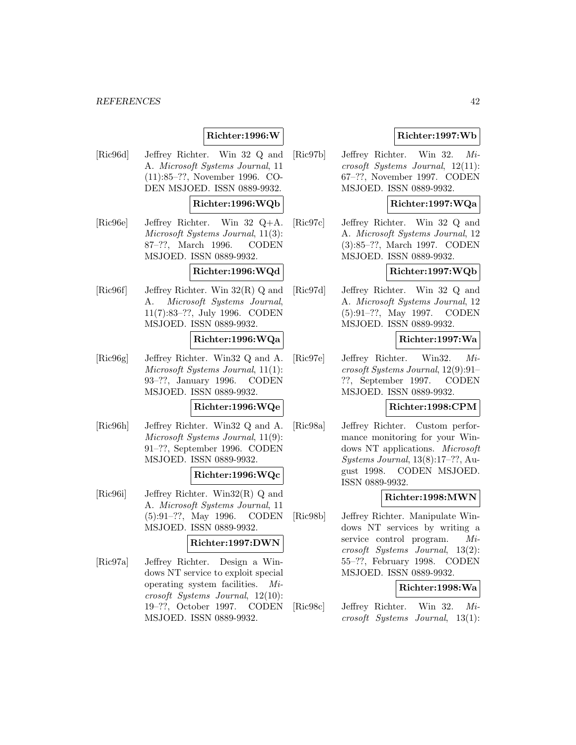## **Richter:1996:W**

[Ric96d] Jeffrey Richter. Win 32 Q and A. Microsoft Systems Journal, 11 (11):85–??, November 1996. CO-DEN MSJOED. ISSN 0889-9932.

## **Richter:1996:WQb**

[Ric96e] Jeffrey Richter. Win 32 Q+A. Microsoft Systems Journal, 11(3): 87–??, March 1996. CODEN MSJOED. ISSN 0889-9932.

## **Richter:1996:WQd**

[Ric96f] Jeffrey Richter. Win 32(R) Q and A. Microsoft Systems Journal, 11(7):83–??, July 1996. CODEN MSJOED. ISSN 0889-9932.

#### **Richter:1996:WQa**

[Ric96g] Jeffrey Richter. Win32 Q and A. Microsoft Systems Journal, 11(1): 93–??, January 1996. CODEN MSJOED. ISSN 0889-9932.

#### **Richter:1996:WQe**

[Ric96h] Jeffrey Richter. Win32 Q and A. Microsoft Systems Journal, 11(9): 91–??, September 1996. CODEN MSJOED. ISSN 0889-9932.

### **Richter:1996:WQc**

[Ric96i] Jeffrey Richter. Win32(R) Q and A. Microsoft Systems Journal, 11 (5):91–??, May 1996. CODEN MSJOED. ISSN 0889-9932.

#### **Richter:1997:DWN**

[Ric97a] Jeffrey Richter. Design a Windows NT service to exploit special operating system facilities. Microsoft Systems Journal, 12(10): 19–??, October 1997. CODEN MSJOED. ISSN 0889-9932.

## **Richter:1997:Wb**

[Ric97b] Jeffrey Richter. Win 32. Microsoft Systems Journal, 12(11): 67–??, November 1997. CODEN MSJOED. ISSN 0889-9932.

## **Richter:1997:WQa**

[Ric97c] Jeffrey Richter. Win 32 Q and A. Microsoft Systems Journal, 12 (3):85–??, March 1997. CODEN MSJOED. ISSN 0889-9932.

### **Richter:1997:WQb**

[Ric97d] Jeffrey Richter. Win 32 Q and A. Microsoft Systems Journal, 12 (5):91–??, May 1997. CODEN MSJOED. ISSN 0889-9932.

### **Richter:1997:Wa**

[Ric97e] Jeffrey Richter. Win32. Microsoft Systems Journal, 12(9):91– ??, September 1997. CODEN MSJOED. ISSN 0889-9932.

#### **Richter:1998:CPM**

[Ric98a] Jeffrey Richter. Custom performance monitoring for your Windows NT applications. Microsoft Systems Journal, 13(8):17–??, August 1998. CODEN MSJOED. ISSN 0889-9932.

## **Richter:1998:MWN**

[Ric98b] Jeffrey Richter. Manipulate Windows NT services by writing a service control program. Microsoft Systems Journal, 13(2): 55–??, February 1998. CODEN MSJOED. ISSN 0889-9932.

### **Richter:1998:Wa**

[Ric98c] Jeffrey Richter. Win 32. Microsoft Systems Journal, 13(1):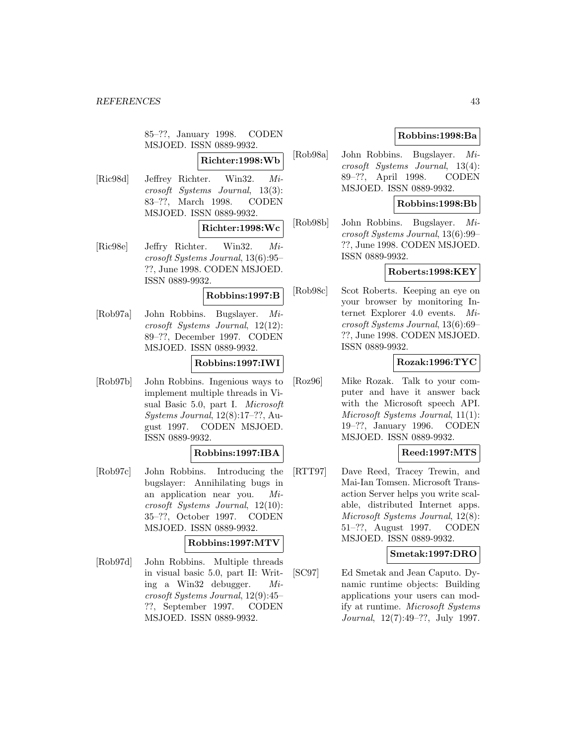85–??, January 1998. CODEN MSJOED. ISSN 0889-9932.

**Richter:1998:Wb**

[Ric98d] Jeffrey Richter. Win32. Microsoft Systems Journal, 13(3): 83–??, March 1998. CODEN MSJOED. ISSN 0889-9932.

## **Richter:1998:Wc**

[Ric98e] Jeffry Richter. Win32. Microsoft Systems Journal, 13(6):95– ??, June 1998. CODEN MSJOED. ISSN 0889-9932.

#### **Robbins:1997:B**

[Rob97a] John Robbins. Bugslayer. Microsoft Systems Journal, 12(12): 89–??, December 1997. CODEN MSJOED. ISSN 0889-9932.

### **Robbins:1997:IWI**

[Rob97b] John Robbins. Ingenious ways to implement multiple threads in Visual Basic 5.0, part I. Microsoft Systems Journal, 12(8):17–??, August 1997. CODEN MSJOED. ISSN 0889-9932.

### **Robbins:1997:IBA**

[Rob97c] John Robbins. Introducing the bugslayer: Annihilating bugs in an application near you. Microsoft Systems Journal, 12(10): 35–??, October 1997. CODEN MSJOED. ISSN 0889-9932.

## **Robbins:1997:MTV**

[Rob97d] John Robbins. Multiple threads in visual basic 5.0, part II: Writing a Win32 debugger. Microsoft Systems Journal, 12(9):45– ??, September 1997. CODEN MSJOED. ISSN 0889-9932.

## **Robbins:1998:Ba**

[Rob98a] John Robbins. Bugslayer. Microsoft Systems Journal, 13(4): 89–??, April 1998. CODEN MSJOED. ISSN 0889-9932.

## **Robbins:1998:Bb**

[Rob98b] John Robbins. Bugslayer. Microsoft Systems Journal, 13(6):99– ??, June 1998. CODEN MSJOED. ISSN 0889-9932.

### **Roberts:1998:KEY**

[Rob98c] Scot Roberts. Keeping an eye on your browser by monitoring Internet Explorer 4.0 events. Microsoft Systems Journal, 13(6):69– ??, June 1998. CODEN MSJOED. ISSN 0889-9932.

### **Rozak:1996:TYC**

[Roz96] Mike Rozak. Talk to your computer and have it answer back with the Microsoft speech API. Microsoft Systems Journal, 11(1): 19–??, January 1996. CODEN MSJOED. ISSN 0889-9932.

## **Reed:1997:MTS**

[RTT97] Dave Reed, Tracey Trewin, and Mai-Ian Tomsen. Microsoft Transaction Server helps you write scalable, distributed Internet apps. Microsoft Systems Journal, 12(8): 51–??, August 1997. CODEN MSJOED. ISSN 0889-9932.

### **Smetak:1997:DRO**

[SC97] Ed Smetak and Jean Caputo. Dynamic runtime objects: Building applications your users can modify at runtime. Microsoft Systems Journal, 12(7):49–??, July 1997.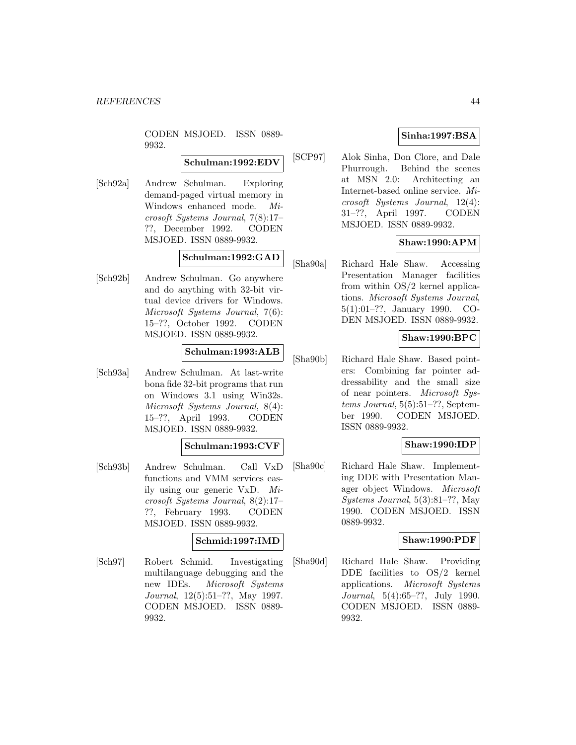CODEN MSJOED. ISSN 0889- 9932.

### **Schulman:1992:EDV**

[Sch92a] Andrew Schulman. Exploring demand-paged virtual memory in Windows enhanced mode. Microsoft Systems Journal, 7(8):17– ??, December 1992. CODEN MSJOED. ISSN 0889-9932.

## **Schulman:1992:GAD**

[Sch92b] Andrew Schulman. Go anywhere and do anything with 32-bit virtual device drivers for Windows. Microsoft Systems Journal, 7(6): 15–??, October 1992. CODEN MSJOED. ISSN 0889-9932.

### **Schulman:1993:ALB**

[Sch93a] Andrew Schulman. At last-write bona fide 32-bit programs that run on Windows 3.1 using Win32s. Microsoft Systems Journal, 8(4): 15–??, April 1993. CODEN MSJOED. ISSN 0889-9932.

#### **Schulman:1993:CVF**

[Sch93b] Andrew Schulman. Call VxD functions and VMM services easily using our generic VxD. Microsoft Systems Journal, 8(2):17– ??, February 1993. CODEN MSJOED. ISSN 0889-9932.

### **Schmid:1997:IMD**

[Sch97] Robert Schmid. Investigating multilanguage debugging and the new IDEs. Microsoft Systems Journal, 12(5):51–??, May 1997. CODEN MSJOED. ISSN 0889- 9932.

## **Sinha:1997:BSA**

[SCP97] Alok Sinha, Don Clore, and Dale Phurrough. Behind the scenes at MSN 2.0: Architecting an Internet-based online service. Microsoft Systems Journal, 12(4): 31–??, April 1997. CODEN MSJOED. ISSN 0889-9932.

## **Shaw:1990:APM**

[Sha90a] Richard Hale Shaw. Accessing Presentation Manager facilities from within OS/2 kernel applications. Microsoft Systems Journal, 5(1):01–??, January 1990. CO-DEN MSJOED. ISSN 0889-9932.

## **Shaw:1990:BPC**

[Sha90b] Richard Hale Shaw. Based pointers: Combining far pointer addressability and the small size of near pointers. Microsoft Systems Journal, 5(5):51–??, September 1990. CODEN MSJOED. ISSN 0889-9932.

## **Shaw:1990:IDP**

[Sha90c] Richard Hale Shaw. Implementing DDE with Presentation Manager object Windows. Microsoft Systems Journal, 5(3):81–??, May 1990. CODEN MSJOED. ISSN 0889-9932.

### **Shaw:1990:PDF**

[Sha90d] Richard Hale Shaw. Providing DDE facilities to OS/2 kernel applications. Microsoft Systems Journal, 5(4):65–??, July 1990. CODEN MSJOED. ISSN 0889- 9932.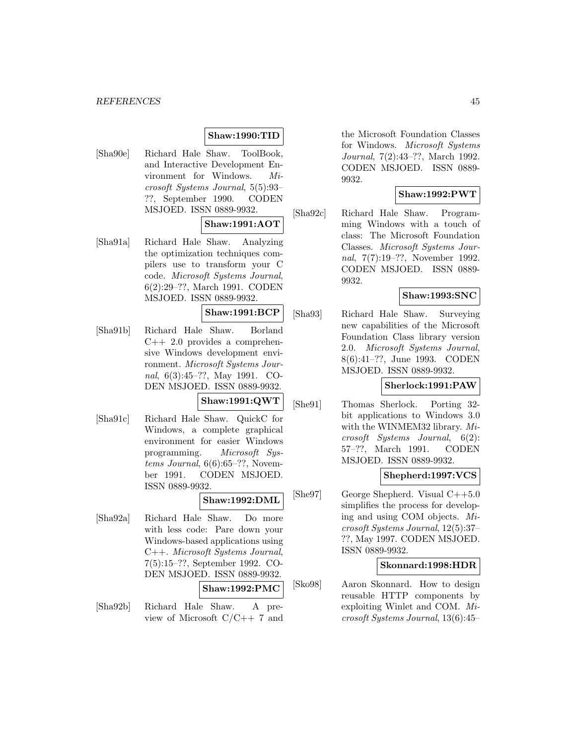## **Shaw:1990:TID**

[Sha90e] Richard Hale Shaw. ToolBook, and Interactive Development Environment for Windows. Microsoft Systems Journal, 5(5):93– ??, September 1990. CODEN MSJOED. ISSN 0889-9932.

### **Shaw:1991:AOT**

[Sha91a] Richard Hale Shaw. Analyzing the optimization techniques compilers use to transform your C code. Microsoft Systems Journal, 6(2):29–??, March 1991. CODEN MSJOED. ISSN 0889-9932.

#### **Shaw:1991:BCP**

[Sha91b] Richard Hale Shaw. Borland C++ 2.0 provides a comprehensive Windows development environment. Microsoft Systems Journal, 6(3):45–??, May 1991. CO-DEN MSJOED. ISSN 0889-9932.

**Shaw:1991:QWT**

[Sha91c] Richard Hale Shaw. QuickC for Windows, a complete graphical environment for easier Windows programming. Microsoft Systems Journal,  $6(6):65-??$ , November 1991. CODEN MSJOED. ISSN 0889-9932.

**Shaw:1992:DML**

[Sha92a] Richard Hale Shaw. Do more with less code: Pare down your Windows-based applications using C++. Microsoft Systems Journal, 7(5):15–??, September 1992. CO-DEN MSJOED. ISSN 0889-9932.

**Shaw:1992:PMC**

[Sha92b] Richard Hale Shaw. A preview of Microsoft  $C/C++7$  and

the Microsoft Foundation Classes for Windows. Microsoft Systems Journal, 7(2):43–??, March 1992. CODEN MSJOED. ISSN 0889- 9932.

### **Shaw:1992:PWT**

[Sha92c] Richard Hale Shaw. Programming Windows with a touch of class: The Microsoft Foundation Classes. Microsoft Systems Journal, 7(7):19–??, November 1992. CODEN MSJOED. ISSN 0889- 9932.

## **Shaw:1993:SNC**

[Sha93] Richard Hale Shaw. Surveying new capabilities of the Microsoft Foundation Class library version 2.0. Microsoft Systems Journal, 8(6):41–??, June 1993. CODEN MSJOED. ISSN 0889-9932.

#### **Sherlock:1991:PAW**

[She91] Thomas Sherlock. Porting 32 bit applications to Windows 3.0 with the WINMEM32 library. Microsoft Systems Journal, 6(2): 57–??, March 1991. CODEN MSJOED. ISSN 0889-9932.

#### **Shepherd:1997:VCS**

[She97] George Shepherd. Visual C++5.0 simplifies the process for developing and using COM objects. Microsoft Systems Journal, 12(5):37– ??, May 1997. CODEN MSJOED. ISSN 0889-9932.

#### **Skonnard:1998:HDR**

[Sko98] Aaron Skonnard. How to design reusable HTTP components by exploiting Winlet and COM. Microsoft Systems Journal, 13(6):45–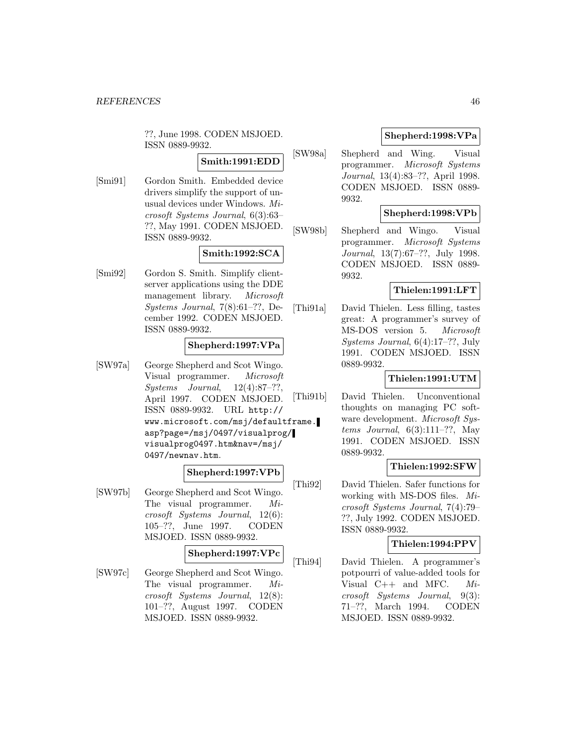??, June 1998. CODEN MSJOED. ISSN 0889-9932.

## **Smith:1991:EDD**

[Smi91] Gordon Smith. Embedded device drivers simplify the support of unusual devices under Windows. Microsoft Systems Journal, 6(3):63– ??, May 1991. CODEN MSJOED. ISSN 0889-9932.

## **Smith:1992:SCA**

[Smi92] Gordon S. Smith. Simplify clientserver applications using the DDE management library. Microsoft Systems Journal, 7(8):61–??, December 1992. CODEN MSJOED. ISSN 0889-9932.

## **Shepherd:1997:VPa**

[SW97a] George Shepherd and Scot Wingo. Visual programmer. Microsoft Systems Journal, 12(4):87–??, April 1997. CODEN MSJOED. ISSN 0889-9932. URL http:// www.microsoft.com/msj/defaultframe. asp?page=/msj/0497/visualprog/ visualprog0497.htm&nav=/msj/ 0497/newnav.htm.

### **Shepherd:1997:VPb**

[SW97b] George Shepherd and Scot Wingo. The visual programmer. Microsoft Systems Journal, 12(6): 105–??, June 1997. CODEN MSJOED. ISSN 0889-9932.

### **Shepherd:1997:VPc**

[SW97c] George Shepherd and Scot Wingo. The visual programmer. Microsoft Systems Journal, 12(8): 101–??, August 1997. CODEN MSJOED. ISSN 0889-9932.

## **Shepherd:1998:VPa**

[SW98a] Shepherd and Wing. Visual programmer. Microsoft Systems Journal, 13(4):83–??, April 1998. CODEN MSJOED. ISSN 0889- 9932.

### **Shepherd:1998:VPb**

[SW98b] Shepherd and Wingo. Visual programmer. Microsoft Systems Journal, 13(7):67–??, July 1998. CODEN MSJOED. ISSN 0889- 9932.

## **Thielen:1991:LFT**

[Thi91a] David Thielen. Less filling, tastes great: A programmer's survey of MS-DOS version 5. Microsoft Systems Journal, 6(4):17–??, July 1991. CODEN MSJOED. ISSN 0889-9932.

## **Thielen:1991:UTM**

[Thi91b] David Thielen. Unconventional thoughts on managing PC software development. Microsoft Sys*tems Journal*,  $6(3):111-??$ , May 1991. CODEN MSJOED. ISSN 0889-9932.

### **Thielen:1992:SFW**

[Thi92] David Thielen. Safer functions for working with MS-DOS files. Microsoft Systems Journal, 7(4):79– ??, July 1992. CODEN MSJOED. ISSN 0889-9932.

### **Thielen:1994:PPV**

[Thi94] David Thielen. A programmer's potpourri of value-added tools for Visual C++ and MFC. Microsoft Systems Journal, 9(3): 71–??, March 1994. CODEN MSJOED. ISSN 0889-9932.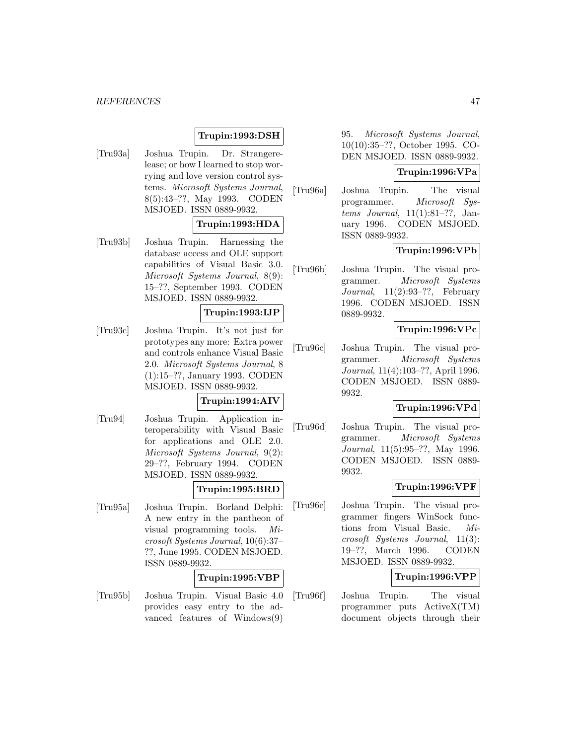## **Trupin:1993:DSH**

[Tru93a] Joshua Trupin. Dr. Strangerelease; or how I learned to stop worrying and love version control systems. Microsoft Systems Journal, 8(5):43–??, May 1993. CODEN MSJOED. ISSN 0889-9932.

### **Trupin:1993:HDA**

[Tru93b] Joshua Trupin. Harnessing the database access and OLE support capabilities of Visual Basic 3.0. Microsoft Systems Journal, 8(9): 15–??, September 1993. CODEN MSJOED. ISSN 0889-9932.

### **Trupin:1993:IJP**

[Tru93c] Joshua Trupin. It's not just for prototypes any more: Extra power and controls enhance Visual Basic 2.0. Microsoft Systems Journal, 8 (1):15–??, January 1993. CODEN MSJOED. ISSN 0889-9932.

## **Trupin:1994:AIV**

[Tru94] Joshua Trupin. Application interoperability with Visual Basic for applications and OLE 2.0. Microsoft Systems Journal, 9(2): 29–??, February 1994. CODEN MSJOED. ISSN 0889-9932.

## **Trupin:1995:BRD**

[Tru95a] Joshua Trupin. Borland Delphi: A new entry in the pantheon of visual programming tools. Microsoft Systems Journal, 10(6):37– ??, June 1995. CODEN MSJOED. ISSN 0889-9932.

## **Trupin:1995:VBP**

[Tru95b] Joshua Trupin. Visual Basic 4.0 provides easy entry to the advanced features of Windows(9)

95. Microsoft Systems Journal, 10(10):35–??, October 1995. CO-DEN MSJOED. ISSN 0889-9932.

## **Trupin:1996:VPa**

[Tru96a] Joshua Trupin. The visual programmer. Microsoft Systems Journal, 11(1):81–??, January 1996. CODEN MSJOED. ISSN 0889-9932.

## **Trupin:1996:VPb**

[Tru96b] Joshua Trupin. The visual programmer. Microsoft Systems Journal,  $11(2):93-??$ , February 1996. CODEN MSJOED. ISSN 0889-9932.

### **Trupin:1996:VPc**

[Tru96c] Joshua Trupin. The visual programmer. Microsoft Systems Journal, 11(4):103–??, April 1996. CODEN MSJOED. ISSN 0889- 9932.

#### **Trupin:1996:VPd**

[Tru96d] Joshua Trupin. The visual programmer. Microsoft Systems Journal, 11(5):95–??, May 1996. CODEN MSJOED. ISSN 0889- 9932.

## **Trupin:1996:VPF**

[Tru96e] Joshua Trupin. The visual programmer fingers WinSock functions from Visual Basic. Microsoft Systems Journal, 11(3): 19–??, March 1996. CODEN MSJOED. ISSN 0889-9932.

## **Trupin:1996:VPP**

[Tru96f] Joshua Trupin. The visual programmer puts ActiveX(TM) document objects through their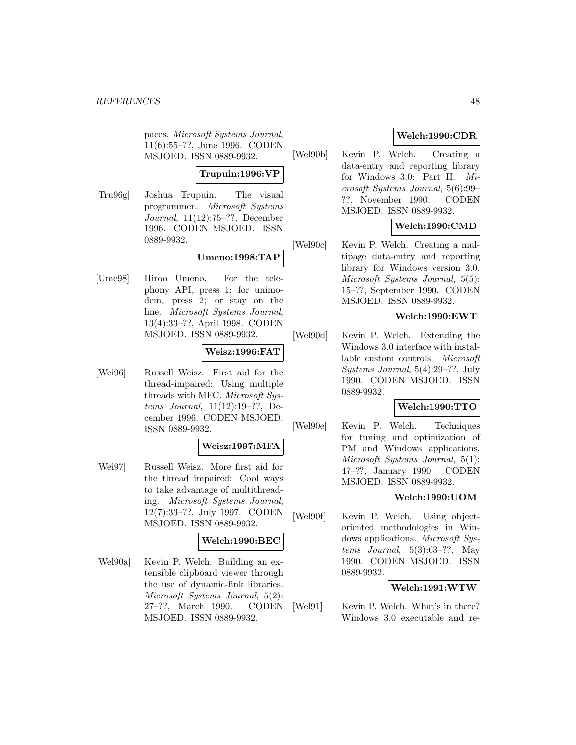paces. Microsoft Systems Journal, 11(6):55–??, June 1996. CODEN MSJOED. ISSN 0889-9932.

## **Trupuin:1996:VP**

[Tru96g] Joshua Trupuin. The visual programmer. Microsoft Systems Journal, 11(12):75–??, December 1996. CODEN MSJOED. ISSN 0889-9932.

## **Umeno:1998:TAP**

[Ume98] Hiroo Umeno. For the telephony API, press 1; for unimodem, press 2; or stay on the line. Microsoft Systems Journal, 13(4):33–??, April 1998. CODEN MSJOED. ISSN 0889-9932.

## **Weisz:1996:FAT**

[Wei96] Russell Weisz. First aid for the thread-impaired: Using multiple threads with MFC. Microsoft Systems Journal, 11(12):19–??, December 1996. CODEN MSJOED. ISSN 0889-9932.

### **Weisz:1997:MFA**

[Wei97] Russell Weisz. More first aid for the thread impaired: Cool ways to take advantage of multithreading. Microsoft Systems Journal, 12(7):33–??, July 1997. CODEN MSJOED. ISSN 0889-9932.

## **Welch:1990:BEC**

[Wel90a] Kevin P. Welch. Building an extensible clipboard viewer through the use of dynamic-link libraries. Microsoft Systems Journal, 5(2): 27–??, March 1990. CODEN MSJOED. ISSN 0889-9932.

## **Welch:1990:CDR**

[Wel90b] Kevin P. Welch. Creating a data-entry and reporting library for Windows 3.0: Part II. Microsoft Systems Journal, 5(6):99– ??, November 1990. CODEN MSJOED. ISSN 0889-9932.

## **Welch:1990:CMD**

[Wel90c] Kevin P. Welch. Creating a multipage data-entry and reporting library for Windows version 3.0. Microsoft Systems Journal, 5(5): 15–??, September 1990. CODEN MSJOED. ISSN 0889-9932.

## **Welch:1990:EWT**

[Wel90d] Kevin P. Welch. Extending the Windows 3.0 interface with installable custom controls. Microsoft Systems Journal, 5(4):29–??, July 1990. CODEN MSJOED. ISSN 0889-9932.

### **Welch:1990:TTO**

[Wel90e] Kevin P. Welch. Techniques for tuning and optimization of PM and Windows applications. Microsoft Systems Journal, 5(1): 47–??, January 1990. CODEN MSJOED. ISSN 0889-9932.

## **Welch:1990:UOM**

[Wel90f] Kevin P. Welch. Using objectoriented methodologies in Windows applications. Microsoft Systems Journal, 5(3):63–??, May 1990. CODEN MSJOED. ISSN 0889-9932.

### **Welch:1991:WTW**

[Wel91] Kevin P. Welch. What's in there? Windows 3.0 executable and re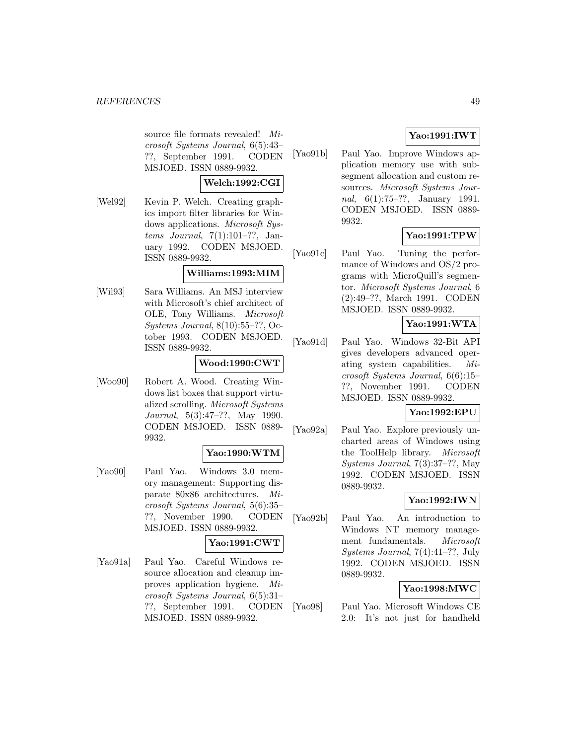source file formats revealed! Microsoft Systems Journal, 6(5):43– ??, September 1991. CODEN MSJOED. ISSN 0889-9932.

#### **Welch:1992:CGI**

[Wel92] Kevin P. Welch. Creating graphics import filter libraries for Windows applications. Microsoft Systems Journal, 7(1):101–??, January 1992. CODEN MSJOED. ISSN 0889-9932.

## **Williams:1993:MIM**

[Wil93] Sara Williams. An MSJ interview with Microsoft's chief architect of OLE, Tony Williams. Microsoft Systems Journal, 8(10):55–??, October 1993. CODEN MSJOED. ISSN 0889-9932.

### **Wood:1990:CWT**

[Woo90] Robert A. Wood. Creating Windows list boxes that support virtualized scrolling. Microsoft Systems Journal, 5(3):47–??, May 1990. CODEN MSJOED. ISSN 0889- 9932.

### **Yao:1990:WTM**

[Yao90] Paul Yao. Windows 3.0 memory management: Supporting disparate 80x86 architectures. Microsoft Systems Journal, 5(6):35– ??, November 1990. CODEN MSJOED. ISSN 0889-9932.

## **Yao:1991:CWT**

[Yao91a] Paul Yao. Careful Windows resource allocation and cleanup improves application hygiene. Microsoft Systems Journal, 6(5):31– ??, September 1991. CODEN MSJOED. ISSN 0889-9932.

## **Yao:1991:IWT**

[Yao91b] Paul Yao. Improve Windows application memory use with subsegment allocation and custom resources. Microsoft Systems Journal, 6(1):75–??, January 1991. CODEN MSJOED. ISSN 0889- 9932.

## **Yao:1991:TPW**

[Yao91c] Paul Yao. Tuning the performance of Windows and OS/2 programs with MicroQuill's segmentor. Microsoft Systems Journal, 6 (2):49–??, March 1991. CODEN MSJOED. ISSN 0889-9932.

## **Yao:1991:WTA**

[Yao91d] Paul Yao. Windows 32-Bit API gives developers advanced operating system capabilities. Microsoft Systems Journal, 6(6):15– ??, November 1991. CODEN MSJOED. ISSN 0889-9932.

### **Yao:1992:EPU**

[Yao92a] Paul Yao. Explore previously uncharted areas of Windows using the ToolHelp library. Microsoft Systems Journal, 7(3):37–??, May 1992. CODEN MSJOED. ISSN 0889-9932.

## **Yao:1992:IWN**

[Yao92b] Paul Yao. An introduction to Windows NT memory management fundamentals. Microsoft Systems Journal, 7(4):41–??, July 1992. CODEN MSJOED. ISSN 0889-9932.

## **Yao:1998:MWC**

[Yao98] Paul Yao. Microsoft Windows CE 2.0: It's not just for handheld